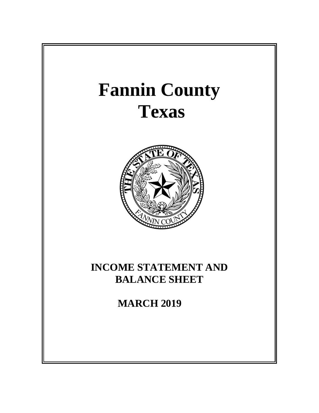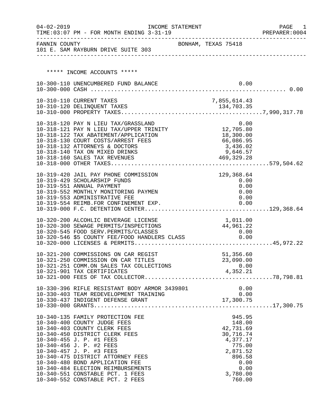| $04 - 02 - 2019$ | TIME: 03:07 PM - FOR MONTH ENDING 3-31-19                                                     | INCOME STATEMENT    |                  |              |      | PAGE<br>PREPARER: 0004 | 1 |
|------------------|-----------------------------------------------------------------------------------------------|---------------------|------------------|--------------|------|------------------------|---|
| FANNIN COUNTY    | 101 E. SAM RAYBURN DRIVE SUITE 303                                                            | BONHAM, TEXAS 75418 |                  |              |      |                        |   |
|                  |                                                                                               |                     |                  |              |      |                        |   |
|                  | ***** INCOME ACCOUNTS *****                                                                   |                     |                  |              |      |                        |   |
|                  | 10-300-110 UNENCUMBERED FUND BALANCE                                                          |                     |                  |              | 0.00 |                        |   |
|                  |                                                                                               |                     |                  |              |      |                        |   |
|                  | 10-310-110 CURRENT TAXES                                                                      |                     |                  | 7,855,614.43 |      |                        |   |
|                  |                                                                                               |                     |                  |              |      |                        |   |
|                  |                                                                                               |                     |                  |              |      |                        |   |
|                  |                                                                                               |                     |                  |              |      |                        |   |
|                  | 10-318-120 PAY N LIEU TAX/GRASSLAND 0.00<br>10-318-121 PAY N LIEU TAX/UPPER TRINITY 12,705.80 |                     |                  |              |      |                        |   |
|                  | 10-318-122 TAX ABATEMENT/APPLICATION                                                          |                     |                  | 18,300.00    |      |                        |   |
|                  | 10-318-130 COURT COSTS/ARREST FEES                                                            |                     |                  | 66,086.95    |      |                        |   |
|                  | 10-318-132 ATTORNEYS & DOCTORS                                                                |                     |                  | 3,436.02     |      |                        |   |
|                  | 10-318-140 TAX ON MIXED DRINKS                                                                |                     | 469, 329.28      | 9,646.57     |      |                        |   |
|                  | 10-318-160 SALES TAX REVENUES                                                                 |                     |                  |              |      |                        |   |
|                  |                                                                                               |                     |                  |              |      |                        |   |
|                  | 10-319-420 JAIL PAY PHONE COMMISSION                                                          |                     |                  | 129,368.64   |      |                        |   |
|                  | 10-319-429 SCHOLARSHIP FUNDS                                                                  |                     |                  | 0.00         |      |                        |   |
|                  | 10-319-551 ANNUAL PAYMENT<br>10-319-552 MONTHLY MONITORING PAYMEN                             |                     |                  | 0.00<br>0.00 |      |                        |   |
|                  | 10-319-553 ADMINISTRATIVE FEE                                                                 |                     |                  | 0.00         |      |                        |   |
|                  | 10-319-554 REIMB.FOR CONFINEMENT EXP.                                                         |                     |                  | 0.00         |      |                        |   |
|                  |                                                                                               |                     |                  |              |      |                        |   |
|                  | 10-320-200 ALCOHLIC BEVERAGE LICENSE                                                          |                     | 1,011.00         |              |      |                        |   |
|                  | 10-320-300 SEWAGE PERMITS/INSPECTIONS                                                         |                     | 44,961.22        |              |      |                        |   |
|                  |                                                                                               |                     |                  | 0.00         |      |                        |   |
|                  | 10-320-545 FOOD SERV.PERMITS/CLASSES<br>10-320-546 \$5 COUNTY FEE/FOOD HANDLERS CLASS         |                     |                  | 0.00         |      |                        |   |
|                  |                                                                                               |                     |                  |              |      |                        |   |
|                  | 10-321-200 COMMISSIONS ON CAR REGIST                                                          |                     |                  | 51,356.60    |      |                        |   |
|                  | 10-321-250 COMMISSION ON CAR TITLES                                                           |                     |                  | 23,090.00    |      |                        |   |
|                  | 10-321-251 COMM.ON SALES TAX COLLECTIONS                                                      |                     |                  |              | 0.00 |                        |   |
|                  | 10-321-901 TAX CERTIFICATES                                                                   |                     | 0.00<br>4,352.21 |              |      |                        |   |
|                  |                                                                                               |                     |                  |              |      |                        |   |
|                  | 10-330-396 RIFLE RESISTANT BODY ARMOR 3439801                                                 |                     |                  | 0.00         |      |                        |   |
|                  | 10-330-403 TEAM REDEVELOPMENT TRAINING                                                        |                     |                  |              | 0.00 |                        |   |
|                  |                                                                                               |                     |                  |              |      |                        |   |
|                  |                                                                                               |                     |                  |              |      |                        |   |
|                  | 10-340-135 FAMILY PROTECTION FEE                                                              |                     |                  | 945.95       |      |                        |   |
|                  | 10-340-400 COUNTY JUDGE FEES                                                                  |                     |                  | 148.00       |      |                        |   |
|                  | 10-340-403 COUNTY CLERK FEES                                                                  |                     |                  | 42,731.69    |      |                        |   |
|                  | 10-340-450 DISTRICT CLERK FEES                                                                |                     |                  | 30,716.74    |      |                        |   |
|                  | 10-340-455 J. P. #1 FEES                                                                      |                     |                  | 4,377.17     |      |                        |   |
|                  | 10-340-456 J. P. #2 FEES                                                                      |                     |                  | 775.00       |      |                        |   |
|                  | 10-340-457 J. P. #3 FEES                                                                      |                     |                  | 2,871.52     |      |                        |   |
|                  | 10-340-475 DISTRICT ATTORNEY FEES<br>10-340-480 BOND APPLICATION FEE                          |                     |                  | 896.58       | 0.00 |                        |   |
|                  | 10-340-484 ELECTION REIMBURSEMENTS                                                            |                     |                  |              | 0.00 |                        |   |
|                  | 10-340-551 CONSTABLE PCT. 1 FEES                                                              |                     |                  | 3,780.00     |      |                        |   |
|                  | 10-340-552 CONSTABLE PCT. 2 FEES                                                              |                     |                  | 760.00       |      |                        |   |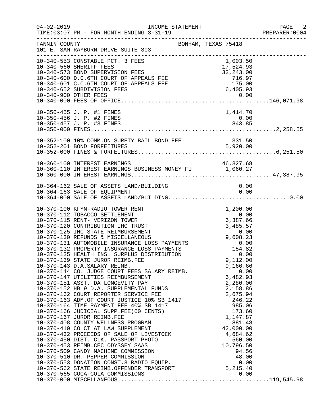| $04 - 02 - 2019$ | INCOME STATEMENT<br>TIME: 03:07 PM - FOR MONTH ENDING 3-31-19                                                                                                                                                                                                                                                                                                                                                                                                                                                                                                                                                                                                                                                                                                                                                                                                                                                                                                                                                                                        |                                                                                                                                                            | PAGE 2<br>PREPARER: 0004 |
|------------------|------------------------------------------------------------------------------------------------------------------------------------------------------------------------------------------------------------------------------------------------------------------------------------------------------------------------------------------------------------------------------------------------------------------------------------------------------------------------------------------------------------------------------------------------------------------------------------------------------------------------------------------------------------------------------------------------------------------------------------------------------------------------------------------------------------------------------------------------------------------------------------------------------------------------------------------------------------------------------------------------------------------------------------------------------|------------------------------------------------------------------------------------------------------------------------------------------------------------|--------------------------|
| FANNIN COUNTY    | BONHAM, TEXAS 75418<br>101 E. SAM RAYBURN DRIVE SUITE 303<br>-------------------------------                                                                                                                                                                                                                                                                                                                                                                                                                                                                                                                                                                                                                                                                                                                                                                                                                                                                                                                                                         |                                                                                                                                                            |                          |
|                  | 10-340-553 CONSTABLE PCT. 3 FEES<br>10-340-550 SHERIFF FEES<br>10-340-560 SHERIFF FEES<br>10-340-573 BOND SUPERVISION FEES<br>10-340-600 D.C.6TH COURT OF APPEALS FEE 716.97<br>10-340-601 C.C.6TH COURT OF APPEALS FEE 175.00<br>175.00<br>175.00<br>175.00<br>175.00<br>175.00                                                                                                                                                                                                                                                                                                                                                                                                                                                                                                                                                                                                                                                                                                                                                                     | 1,003.50                                                                                                                                                   |                          |
|                  | 10-350-455 J. P. #1 FINES<br>10-350-456 J. P. #2 FINES<br>10-350-457 J. P. #3 FINES                                                                                                                                                                                                                                                                                                                                                                                                                                                                                                                                                                                                                                                                                                                                                                                                                                                                                                                                                                  | 1,414.70<br>$0.00$<br>$843.85$                                                                                                                             |                          |
|                  |                                                                                                                                                                                                                                                                                                                                                                                                                                                                                                                                                                                                                                                                                                                                                                                                                                                                                                                                                                                                                                                      |                                                                                                                                                            |                          |
|                  | 10-360-100 INTEREST EARNINGS<br>10-360-110 INTEREST EARNINGS BUSINESS MONEY FU 1,060.27                                                                                                                                                                                                                                                                                                                                                                                                                                                                                                                                                                                                                                                                                                                                                                                                                                                                                                                                                              | 46,327.68                                                                                                                                                  |                          |
|                  |                                                                                                                                                                                                                                                                                                                                                                                                                                                                                                                                                                                                                                                                                                                                                                                                                                                                                                                                                                                                                                                      |                                                                                                                                                            |                          |
|                  | 10-370-139 STATE JUROR REIMB.FEE<br>10-370-143 D.A.SALARY REIMB.<br>10-370-144 CO. JUDGE COURT FEES SALARY REIMB.<br>10-370-147 UTILITIES REIMBURSEMENT 6,482.93<br>10-370-151 ASST. DA LONGEVITY PAY 2,280.00<br>10-370-152 HB 9 D.A. SUPPLEMENTAL FUNDS 2,158.86<br>10-370-162 COURT REPORTER SERVICE FE<br>10-370-151 ASST. DA LONGLATE.<br>10-370-152 HB 9 D.A. SUPPLEMENTAL FUNDS<br>10-370-162 COURT REPORTER SERVICE FEE<br>10-370-163 ADM.OF COURT JUSTICE 10% SB 1417<br>20-270-164 TIME PAYMENT FEE 40% SB 1417<br>10-370-167 JUROR REIMB.FEE<br>10-370-167 JUROR REIMB.FEE<br>10-370-408 COUNTY WELLNESS PROGRAM<br>10-370-410 CO CT AT LAW SUPPLEMENT<br>10-370-432 PROCEEDS OF SALE OF LIVESTOCK<br>10-370-450 DIST. CLK. PASSPORT PHOTO<br>10-370-453 REIMB.CEC ODYSSEY SAAS<br>10-370-509 CANDY MACHINE COMMISSION<br>10-370-510 DR. PEPPER COMMISSION<br>10-370-553 DONATION CONST.3 RADIO EQUIP.<br>10-370-562 STATE REIMB.OFFENDER TRANSPORT 5,215.40<br>10-370-565 COCA-COLA COMMISSIONS 0.00<br>10-370-565 COCA-COLA COMMISSIONS | 9,112.00<br>9,166.66<br>246.22<br>985.06<br>173.60<br>1,147.87<br>881.48<br>42,000.00<br>4,684.62<br>560.00<br>10,796.50<br>94.56<br>48.00<br>0.00<br>0.00 |                          |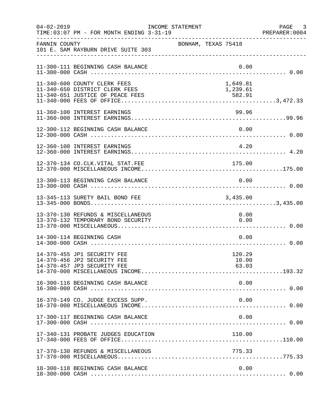| $04 - 02 - 2019$ | TIME: 03:07 PM - FOR MONTH ENDING 3-31-19                                                 | INCOME STATEMENT |                     |                          |      | PAGE 3<br>PREPARER:0004 |
|------------------|-------------------------------------------------------------------------------------------|------------------|---------------------|--------------------------|------|-------------------------|
| FANNIN COUNTY    | 101 E. SAM RAYBURN DRIVE SUITE 303                                                        |                  | BONHAM, TEXAS 75418 |                          |      |                         |
|                  | 11-300-111 BEGINNING CASH BALANCE                                                         |                  |                     | 0.00                     |      |                         |
|                  | 11-340-600 COUNTY CLERK FEES<br>11-340-650 DISTRICT CLERK FEES                            |                  |                     | 1,649.81<br>1,239.61     |      |                         |
|                  | 11-360-100 INTEREST EARNINGS                                                              |                  |                     | 99.96                    |      |                         |
|                  | 12-300-112 BEGINNING CASH BALANCE                                                         |                  |                     |                          |      |                         |
|                  | 12-360-100 INTEREST EARNINGS                                                              |                  |                     | 4.20                     |      |                         |
|                  | 12-370-134 CO.CLK.VITAL STAT.FEE                                                          |                  |                     | 175.00                   |      |                         |
|                  | 13-300-113 BEGINNING CASH BALANCE                                                         |                  |                     |                          | 0.00 |                         |
|                  | 13-345-113 SURETY BAIL BOND FEE                                                           |                  |                     | 3,435.00                 |      |                         |
|                  | 13-370-130 REFUNDS & MISCELLANEOUS<br>13-370-132 TEMPORARY BOND SECURITY                  |                  |                     | 0.00                     | 0.00 |                         |
|                  | 14-300-114 BEGINNING CASH                                                                 |                  |                     |                          | 0.00 |                         |
|                  | 14-370-455 JP1 SECURITY FEE<br>14-370-456 JP2 SECURITY FEE<br>14-370-457 JP3 SECURITY FEE |                  |                     | 120.29<br>10.00<br>63.03 |      |                         |
|                  | 16-300-116 BEGINNING CASH BALANCE                                                         |                  |                     |                          | 0.00 |                         |
|                  | 16-370-149 CO. JUDGE EXCESS SUPP.                                                         |                  |                     |                          | 0.00 |                         |
|                  | 17-300-117 BEGINNING CASH BALANCE                                                         |                  |                     |                          | 0.00 |                         |
|                  | 17-340-131 PROBATE JUDGES EDUCATION                                                       |                  |                     | 110.00                   |      |                         |
|                  | 17-370-130 REFUNDS & MISCELLANEOUS                                                        |                  |                     | 775.33                   |      |                         |
|                  | 18-300-118 BEGINNING CASH BALANCE                                                         |                  |                     |                          | 0.00 |                         |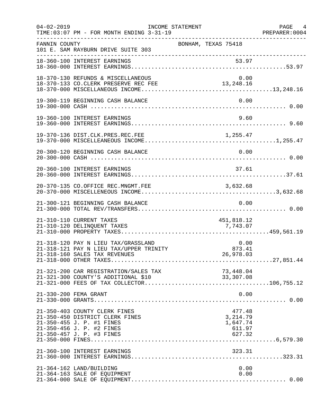| $04 - 02 - 2019$ | TIME: 03:07 PM - FOR MONTH ENDING 3-31-19                                                                                                               | INCOME STATEMENT                                    | PAGE 4<br>PREPARER: 0004 |
|------------------|---------------------------------------------------------------------------------------------------------------------------------------------------------|-----------------------------------------------------|--------------------------|
| FANNIN COUNTY    | 101 E. SAM RAYBURN DRIVE SUITE 303                                                                                                                      | BONHAM, TEXAS 75418                                 |                          |
|                  | 18-360-100 INTEREST EARNINGS                                                                                                                            | 53.97                                               |                          |
|                  | 18-370-130 REFUNDS & MISCELLANEOUS<br>18-370-133 CO.CLERK PRESERVE REC FEE                                                                              | 0.00                                                |                          |
|                  | 19-300-119 BEGINNING CASH BALANCE                                                                                                                       | 0.00                                                |                          |
|                  | 19-360-100 INTEREST EARNINGS                                                                                                                            | 9.60                                                |                          |
|                  | 19-370-136 DIST.CLK.PRES.REC.FEE                                                                                                                        |                                                     |                          |
|                  | 20-300-120 BEGINNING CASH BALANCE                                                                                                                       | 0.00                                                |                          |
|                  | 20-360-100 INTEREST EARNINGS                                                                                                                            | 37.61                                               |                          |
|                  | 20-370-135 CO.OFFICE REC.MNGMT.FEE                                                                                                                      | 3,632.68                                            |                          |
|                  | 21-300-121 BEGINNING CASH BALANCE                                                                                                                       | 0.00                                                |                          |
|                  | 21-310-110 CURRENT TAXES<br>21-310-120 DELINQUENT TAXES                                                                                                 | 451,818.12<br>7,743.07                              |                          |
|                  | 21-318-120 PAY N LIEU TAX/GRASSLAND<br>21-318-121 PAY N LIEU TAX/UPPER TRINITY<br>21-318-160 SALES TAX REVENUES                                         | 0.00<br>873.41<br>26,978.03                         |                          |
|                  | 21-321-200 CAR REGISTRATION/SALES TAX<br>21-321-300 COUNTY'S ADDITIONAL \$10                                                                            | 73,448.04<br>33,307.08                              |                          |
|                  | 21-330-200 FEMA GRANT                                                                                                                                   | 0.00                                                |                          |
|                  | 21-350-403 COUNTY CLERK FINES<br>21-350-450 DISTRICT CLERK FINES<br>21-350-455 J. P. #1 FINES<br>21-350-456 J. P. #2 FINES<br>21-350-457 J. P. #3 FINES | 477.48<br>3, 214.79<br>1,647.74<br>611.97<br>627.32 |                          |
|                  | 21-360-100 INTEREST EARNINGS                                                                                                                            | 323.31                                              |                          |
|                  | 21-364-162 LAND/BUILDING<br>21-364-163 SALE OF EQUIPMENT                                                                                                | 0.00<br>0.00                                        |                          |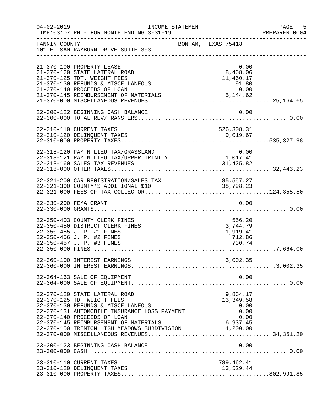| $04 - 02 - 2019$ | TIME: 03:07 PM - FOR MONTH ENDING 3-31-19                                                                                                                                                                                                                                                  | INCOME STATEMENT |                                                              | $-5$<br>PAGE<br>PREPARER: 0004 |
|------------------|--------------------------------------------------------------------------------------------------------------------------------------------------------------------------------------------------------------------------------------------------------------------------------------------|------------------|--------------------------------------------------------------|--------------------------------|
| FANNIN COUNTY    | 101 E. SAM RAYBURN DRIVE SUITE 303                                                                                                                                                                                                                                                         |                  | BONHAM, TEXAS 75418                                          |                                |
|                  | 21-370-100 PROPERTY LEASE<br>21-370-120 STATE LATERAL ROAD<br>21-370-125 TDT. WEIGHT FEES<br>21-370-130 REFUNDS & MISCELLANEOUS<br>21-370-140 PROCEEDS OF LOAN<br>21-370-145 REIMBURSEMENT OF MATERIALS                                                                                    |                  | 0.00<br>8,468.06<br>11,460.17<br>$91.80$<br>0.00<br>5,144.62 |                                |
|                  | 22-300-122 BEGINNING CASH BALANCE                                                                                                                                                                                                                                                          |                  | 0.00                                                         |                                |
|                  | 22-310-110 CURRENT TAXES<br>22-310-120 DELINQUENT TAXES                                                                                                                                                                                                                                    |                  | 526,308.31<br>9,019.67                                       |                                |
|                  | 22-318-120 PAY N LIEU TAX/GRASSLAND<br>22-318-121 PAY N LIEU TAX/UPPER TRINITY                                                                                                                                                                                                             |                  | 0.00<br>1,017.41                                             |                                |
|                  |                                                                                                                                                                                                                                                                                            |                  |                                                              |                                |
|                  | 22-330-200 FEMA GRANT                                                                                                                                                                                                                                                                      |                  | 0.00                                                         |                                |
|                  | 22-350-403 COUNTY CLERK FINES<br>22-350-450 DISTRICT CLERK FINES<br>22-350-455 J. P. #1 FINES<br>22-350-456 J. P. #2 FINES<br>22-350-457 J. P. #3 FINES                                                                                                                                    |                  | 556.20<br>3,744.79<br>1,919.41<br>712.86<br>730.74           |                                |
|                  | 22-360-100 INTEREST EARNINGS                                                                                                                                                                                                                                                               |                  | 3,002.35                                                     |                                |
|                  | 22-364-163 SALE OF EQUIPMENT                                                                                                                                                                                                                                                               |                  | 0.00                                                         |                                |
|                  | 22-370-120 STATE LATERAL ROAD<br>22-370-125 TDT WEIGHT FEES<br>22-370-130 REFUNDS & MISCELLANEOUS<br>22-370-131 AUTOMOBILE INSURANCE LOSS PAYMENT<br>22-370-140 PROCEEDS OF LOAN<br>22-370-145 REIMBURSEMENT OF MATERIALS 6,937.45<br>22-370-150 TRENTON HIGH MEADOWS SUBDIVISION 4,200.00 |                  | 9,864.17<br>13,349.58<br>0.00<br>0.00<br>0.00                |                                |
|                  | 23-300-123 BEGINNING CASH BALANCE                                                                                                                                                                                                                                                          |                  | 0.00                                                         |                                |
|                  | 23-310-110 CURRENT TAXES<br>23-310-120 DELINQUENT TAXES                                                                                                                                                                                                                                    |                  | 789,462.41<br>13,529.44                                      |                                |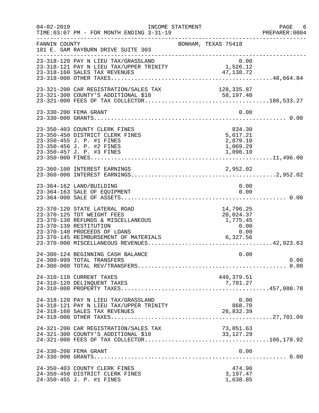| $04 - 02 - 2019$ | TIME: 03:07 PM - FOR MONTH ENDING 3-31-19                                                                                                                                                            | INCOME STATEMENT                                               | PAGE 6<br>PREPARER: 0004 |
|------------------|------------------------------------------------------------------------------------------------------------------------------------------------------------------------------------------------------|----------------------------------------------------------------|--------------------------|
| FANNIN COUNTY    | 101 E. SAM RAYBURN DRIVE SUITE 303                                                                                                                                                                   | BONHAM, TEXAS 75418                                            |                          |
|                  | 23-318-120 PAY N LIEU TAX/GRASSLAND<br>0.00<br>1,526.12 PAY N LIEU TAX/UPPER TRINITY 1,526.12<br>23-318-160 SALES TAX REVENUES<br>23-318-160 SALES TAX REVENUES                                      | 0.00<br>47,138.72                                              |                          |
|                  |                                                                                                                                                                                                      |                                                                |                          |
|                  | 23-330-200 FEMA GRANT                                                                                                                                                                                | 0.00                                                           |                          |
|                  | 23-350-403 COUNTY CLERK FINES<br>23-350-450 DISTRICT CLERK FINES<br>23-350-455 J. P. #1 FINES<br>23-350-456 J. P. #2 FINES<br>23-350-457 J. P. #3 FINES                                              | 834.30<br>5,617.21<br>2,879.10<br>1,069.29<br>1,096.10         |                          |
|                  | 23-360-100 INTEREST EARNINGS                                                                                                                                                                         | 2,952.02                                                       |                          |
|                  | 23-364-162 LAND/BUILDING<br>23-364-163 SALE OF EQUIPMENT                                                                                                                                             | 0.00<br>0.00                                                   |                          |
|                  | 23-370-120 STATE LATERAL ROAD<br>23-370-125 TDT WEIGHT FEES<br>23-370-130 REFUNDS & MISCELLANEOUS<br>23-370-139 RESTITUTION<br>23-370-140 PROCEEDS OF LOANS<br>23-370-145 REIMBURSEMENT OF MATERIALS | 14,796.25<br>20,024.37<br>1,775.45<br>0.00<br>0.00<br>6,327.56 |                          |
|                  | 24-300-124 BEGINNING CASH BALANCE<br>24-300-999 TOTAL TRANSFERS                                                                                                                                      | 0.00                                                           | 0.00                     |
|                  | 24-310-110 CURRENT TAXES                                                                                                                                                                             | 449,379.51                                                     |                          |
|                  | 24-318-120 PAY N LIEU TAX/GRASSLAND<br>24-318-121 PAY N LIEU TAX/UPPER TRINITY                                                                                                                       | 0.00<br>868.70<br>26,832.39                                    |                          |
|                  | 24-321-200 CAR REGISTRATION/SALES TAX                                                                                                                                                                | 73,051.63<br>33, 127. 29                                       |                          |
|                  | 24-330-200 FEMA GRANT                                                                                                                                                                                | 0.00                                                           |                          |
|                  | 24-350-403 COUNTY CLERK FINES<br>24-350-450 DISTRICT CLERK FINES<br>24-350-455 J. P. #1 FINES                                                                                                        | 474.90<br>3,197.47<br>1,638.85                                 |                          |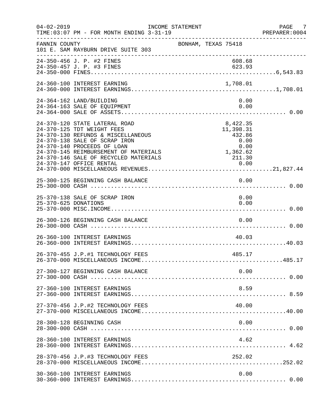| $04 - 02 - 2019$     | INCOME STATEMENT<br>TIME: 03:07 PM - FOR MONTH ENDING 3-31-19                                                                                                                                                                                                                   |                                                                               | PAGE 7<br>PREPARER:0004 |
|----------------------|---------------------------------------------------------------------------------------------------------------------------------------------------------------------------------------------------------------------------------------------------------------------------------|-------------------------------------------------------------------------------|-------------------------|
| FANNIN COUNTY        | 101 E. SAM RAYBURN DRIVE SUITE 303                                                                                                                                                                                                                                              | BONHAM, TEXAS 75418                                                           |                         |
|                      | 24-350-456 J. P. #2 FINES<br>24-350-457 J. P. #3 FINES                                                                                                                                                                                                                          | 608.68<br>623.93                                                              |                         |
|                      | 24-360-100 INTEREST EARNING                                                                                                                                                                                                                                                     | 1,708.01                                                                      |                         |
|                      | 24-364-162 LAND/BUILDING<br>24-364-163 SALE OF EQUIPMENT                                                                                                                                                                                                                        | 0.00<br>0.00                                                                  |                         |
|                      | 24-370-120 STATE LATERAL ROAD<br>24-370-125 TDT WEIGHT FEES<br>24-370-130 REFUNDS & MISCELLANEOUS<br>24-370-138 SALE OF SCRAP IRON<br>24-370-140 PROCEEDS OF LOAN<br>24-370-145 REIMBURSEMENT OF MATERIALS<br>24-370-146 SALE OF RECYCLED MATERIALS<br>24-370-147 OFFICE RENTAL | 8,422.35<br>11,398.31<br>432.86<br>0.00<br>0.00<br>0.00<br>1,362.62<br>211.30 |                         |
|                      | 25-300-125 BEGINNING CASH BALANCE                                                                                                                                                                                                                                               | 0.00                                                                          |                         |
| 25-370-625 DONATIONS | 25-370-138 SALE OF SCRAP IRON                                                                                                                                                                                                                                                   | 0.00<br>0.00                                                                  |                         |
|                      | 26-300-126 BEGINNING CASH BALANCE                                                                                                                                                                                                                                               | 0.00                                                                          |                         |
|                      | 26-360-100 INTEREST EARNINGS                                                                                                                                                                                                                                                    | 40.03                                                                         |                         |
|                      | 26-370-455 J.P.#1 TECHNOLOGY FEES                                                                                                                                                                                                                                               | 485.17                                                                        |                         |
|                      | 27-300-127 BEGINNING CASH BALANCE                                                                                                                                                                                                                                               | 0.00                                                                          |                         |
|                      | 27-360-100 INTEREST EARNINGS                                                                                                                                                                                                                                                    | 8.59                                                                          |                         |
|                      | 27-370-456 J.P.#2 TECHNOLOGY FEES                                                                                                                                                                                                                                               | 40.00                                                                         |                         |
|                      | 28-300-128 BEGINNING CASH                                                                                                                                                                                                                                                       | 0.00                                                                          |                         |
|                      | 28-360-100 INTEREST EARNINGS                                                                                                                                                                                                                                                    | 4.62                                                                          |                         |
|                      | 28-370-456 J.P.#3 TECHNOLOGY FEES                                                                                                                                                                                                                                               | 252.02                                                                        |                         |
|                      | 30-360-100 INTEREST EARNINGS                                                                                                                                                                                                                                                    | 0.00                                                                          |                         |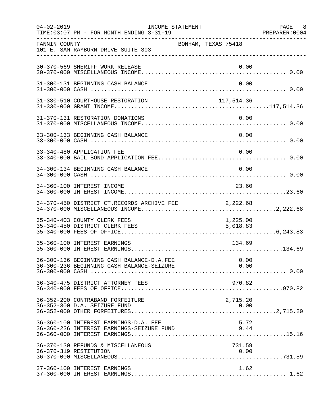| $04 - 02 - 2019$ | TIME: 03:07 PM - FOR MONTH ENDING 3-31-19                                              | INCOME STATEMENT |                      | PAGE 8<br>PREPARER: 0004 |
|------------------|----------------------------------------------------------------------------------------|------------------|----------------------|--------------------------|
| FANNIN COUNTY    | 101 E. SAM RAYBURN DRIVE SUITE 303                                                     |                  | BONHAM, TEXAS 75418  |                          |
|                  | 30-370-569 SHERIFF WORK RELEASE                                                        |                  | 0.00                 |                          |
|                  | 31-300-131 BEGINNING CASH BALANCE                                                      |                  | 0.00                 |                          |
|                  | 31-330-510 COURTHOUSE RESTORATION                                                      |                  | 117, 514.36          |                          |
|                  | 31-370-131 RESTORATION DONATIONS                                                       |                  | 0.00                 |                          |
|                  | 33-300-133 BEGINNING CASH BALANCE                                                      |                  | 0.00                 |                          |
|                  | 33-340-480 APPLICATION FEE                                                             |                  | 0.00                 |                          |
|                  | 34-300-134 BEGINNING CASH BALANCE                                                      |                  | 0.00                 |                          |
|                  | 34-360-100 INTEREST INCOME                                                             |                  | 23.60                |                          |
|                  | 34-370-450 DISTRICT CT.RECORDS ARCHIVE FEE                                             |                  | 2, 222.68            |                          |
|                  | 35-340-403 COUNTY CLERK FEES<br>35-340-450 DISTRICT CLERK FEES                         |                  | 1,225.00<br>5,018.83 |                          |
|                  | 35-360-100 INTEREST EARNINGS                                                           |                  | 134.69               |                          |
|                  | 36-300-136 BEGINNING CASH BALANCE-D.A.FEE<br>36-300-236 BEGINNING CASH BALANCE-SEIZURE |                  | 0.00<br>0.00         |                          |
|                  | 36-340-475 DISTRICT ATTORNEY FEES                                                      |                  | 970.82               |                          |
|                  | 36-352-200 CONTRABAND FORFEITURE                                                       |                  | 2,715.20             |                          |
|                  | 36-360-100 INTEREST EARNINGS-D.A. FEE<br>36-360-236 INTEREST EARNINGS-SEIZURE FUND     |                  | 5.72<br>9.44         |                          |
|                  | 36-370-130 REFUNDS & MISCELLANEOUS<br>36-370-319 RESTITUTION                           |                  | 731.59<br>0.00       |                          |
|                  | 37-360-100 INTEREST EARNINGS                                                           |                  | 1.62                 |                          |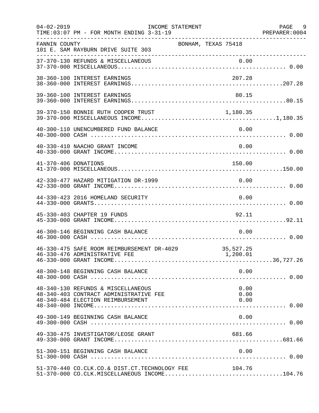| $04 - 02 - 2019$     | TIME: 03:07 PM - FOR MONTH ENDING 3-31-19                                                                         | INCOME STATEMENT    |                       | PAGE 9<br>PREPARER: 0004 |
|----------------------|-------------------------------------------------------------------------------------------------------------------|---------------------|-----------------------|--------------------------|
| FANNIN COUNTY        | 101 E. SAM RAYBURN DRIVE SUITE 303                                                                                | BONHAM, TEXAS 75418 |                       |                          |
|                      |                                                                                                                   |                     |                       |                          |
|                      | 38-360-100 INTEREST EARNINGS                                                                                      |                     | 207.28                |                          |
|                      | 39-360-100 INTEREST EARNINGS                                                                                      |                     | 80.15                 |                          |
|                      | 39-370-150 BONNIE RUTH COOPER TRUST                                                                               |                     | 1,180.35              |                          |
|                      | 40-300-110 UNENCUMBERED FUND BALANCE                                                                              |                     | 0.00                  |                          |
|                      | 40-330-410 NAACHO GRANT INCOME                                                                                    |                     | 0.00                  |                          |
| 41-370-406 DONATIONS |                                                                                                                   |                     | 150.00                |                          |
|                      | 42-330-477 HAZARD MITIGATION DR-1999                                                                              |                     | 0.00                  |                          |
|                      | 44-330-423 2016 HOMELAND SECURITY                                                                                 |                     | 0.00                  |                          |
|                      | 45-330-403 CHAPTER 19 FUNDS                                                                                       |                     | 92.11                 |                          |
|                      | 46-300-146 BEGINNING CASH BALANCE                                                                                 |                     | 0.00                  |                          |
|                      | 46-330-475 SAFE ROOM REIMBURSEMENT DR-4029<br>46-330-476 ADMINISTRATIVE FEE                                       |                     | 35,527.25<br>1,200.01 |                          |
|                      | 48-300-148 BEGINNING CASH BALANCE                                                                                 |                     | 0.00                  |                          |
|                      | 48-340-130 REFUNDS & MISCELLANEOUS<br>48-340-403 CONTRACT ADMINISTRATIVE FEE<br>48-340-484 ELECTION REIMBURSEMENT |                     | 0.00<br>0.00<br>0.00  |                          |
|                      | 49-300-149 BEGINNING CASH BALANCE                                                                                 |                     | 0.00                  |                          |
|                      | 49-330-475 INVESTIGATOR/LEOSE GRANT                                                                               |                     | 681.66                |                          |
|                      | 51-300-151 BEGINNING CASH BALANCE                                                                                 |                     | 0.00                  |                          |
|                      | 51-370-440 CO.CLK.CO.& DIST.CT.TECHNOLOGY FEE<br>$51-370-000$ CO.CLK.MISCELLANEOUS INCOME104.76                   |                     | 104.76                |                          |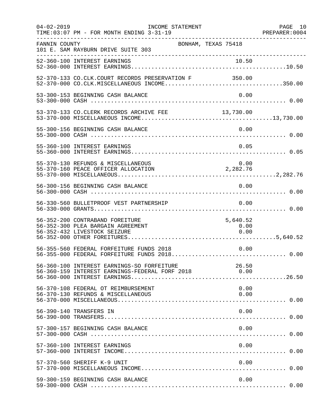| $04 - 02 - 2019$ | INCOME STATEMENT<br>TIME: 03:07 PM - FOR MONTH ENDING 3-31-19                                        |                          | PAGE 10 |
|------------------|------------------------------------------------------------------------------------------------------|--------------------------|---------|
| FANNIN COUNTY    | BONHAM, TEXAS 75418<br>101 E. SAM RAYBURN DRIVE SUITE 303                                            |                          |         |
|                  |                                                                                                      |                          |         |
|                  | 52-370-133 CO.CLK.COURT RECORDS PRESERVATION F 350.00                                                |                          |         |
|                  | 53-300-153 BEGINNING CASH BALANCE                                                                    | 0.00                     |         |
|                  | 53-370-133 CO.CLERK RECORDS ARCHIVE FEE 13,730.00                                                    |                          |         |
|                  | 55-300-156 BEGINNING CASH BALANCE                                                                    | 0.00                     |         |
|                  | 55-360-100 INTEREST EARNINGS                                                                         | 0.05                     |         |
|                  | 55-370-130 REFUNDS & MISCELLANEOUS<br>55-370-160 PEACE OFFICER ALLOCATION                            | 0.00<br>2, 282.76        |         |
|                  | 56-300-156 BEGINNING CASH BALANCE                                                                    | 0.00                     |         |
|                  | 56-330-560 BULLETPROOF VEST PARTNERSHIP                                                              | 0.00                     |         |
|                  | 56-352-200 CONTRABAND FOREITURE<br>56-352-300 PLEA BARGAIN AGREEMENT<br>56-352-432 LIVESTOCK SEIZURE | 5,640.52<br>0.00<br>0.00 |         |
|                  | 56-355-560 FEDERAL FORFEITURE FUNDS 2018                                                             | 0.00                     |         |
|                  | 56-360-100 INTEREST EARNINGS-SO FORFEITURE<br>56-360-159 INTEREST EARNINGS-FEDERAL FORF 2018         | 26.50<br>0.00            |         |
|                  | 56-370-108 FEDERAL OT REIMBURSEMENT<br>56-370-130 REFUNDS & MISCELLANEOUS                            | 0.00<br>0.00             |         |
|                  | 56-390-140 TRANSFERS IN                                                                              | 0.00                     |         |
|                  | 57-300-157 BEGINNING CASH BALANCE                                                                    | 0.00                     |         |
|                  | 57-360-100 INTEREST EARNINGS                                                                         | 0.00                     |         |
|                  | 57-370-560 SHERIFF K-9 UNIT                                                                          | 0.00                     |         |
|                  | 59-300-159 BEGINNING CASH BALANCE                                                                    | 0.00                     |         |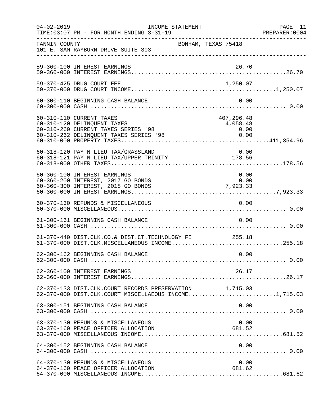| $04 - 02 - 2019$ | INCOME STATEMENT<br>TIME: 03:07 PM - FOR MONTH ENDING 3-31-19                                                                            |                                        | PAGE 11<br>PREPARER: 0004 |
|------------------|------------------------------------------------------------------------------------------------------------------------------------------|----------------------------------------|---------------------------|
| FANNIN COUNTY    | 101 E. SAM RAYBURN DRIVE SUITE 303                                                                                                       | BONHAM, TEXAS 75418                    |                           |
|                  | 59-360-100 INTEREST EARNINGS                                                                                                             | 26.70                                  |                           |
|                  | 59-370-425 DRUG COURT FEE                                                                                                                | 1,250.07                               |                           |
|                  | 60-300-110 BEGINNING CASH BALANCE                                                                                                        | 0.00                                   |                           |
|                  | 60-310-110 CURRENT TAXES<br>60-310-120 DELINQUENT TAXES<br>60-310-260 CURRENT TAXES SERIES '98<br>60-310-262 DELINQUENT TAXES SERIES '98 | 407,296.48<br>4,058.48<br>0.00<br>0.00 |                           |
|                  | 60-318-120 PAY N LIEU TAX/GRASSLAND<br>00-318-120 PAI N LIEU TAA/GRASSLAND<br>60-318-121 PAY N LIEU TAX/UPPER TRINITY 178.56             | 0.00                                   |                           |
|                  | 60-360-100 INTEREST EARNINGS<br>60-360-200 INTEREST, 2017 GO BONDS<br>60-360-300 INTEREST, 2018 GO BONDS                                 | 0.00<br>0.00<br>7,923.33               |                           |
|                  | 60-370-130 REFUNDS & MISCELLANEOUS                                                                                                       | 0.00                                   |                           |
|                  | 61-300-161 BEGINNING CASH BALANCE                                                                                                        | 0.00                                   |                           |
|                  | 61-370-440 DIST.CLK.CO.& DIST.CT.TECHNOLOGY FE 255.18<br>61-370-000 DIST.CLK.MISCELLANEOUS INCOME255.18                                  |                                        |                           |
|                  | 62-300-162 BEGINNING CASH BALANCE                                                                                                        | 0.00                                   |                           |
|                  | 62-360-100 INTEREST EARNINGS                                                                                                             | 26.17                                  |                           |
|                  | 62-370-133 DIST.CLK.COURT RECORDS PRESERVATION 1,715.03<br>62-370-000 DIST.CLK.COURT MISCELLAEOUS INCOME1,715.03                         |                                        |                           |
|                  | 63-300-151 BEGINNING CASH BALANCE                                                                                                        | 0.00                                   |                           |
|                  | 63-370-130 REFUNDS & MISCELLANEOUS<br>63-370-160 PEACE OFFICER ALLOCATION                                                                | 0.00<br>681.52                         |                           |
|                  | 64-300-152 BEGINNING CASH BALANCE                                                                                                        | 0.00                                   |                           |
|                  | 64-370-130 REFUNDS & MISCELLANEOUS<br>64-370-160 PEACE OFFICER ALLOCATION                                                                | 0.00<br>681.62                         |                           |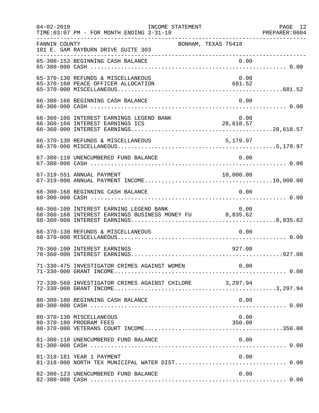| $04 - 02 - 2019$ | INCOME STATEMENT<br>TIME: 03:07 PM - FOR MONTH ENDING 3-31-19                                      |                     | PAGE 12<br>PREPARER: 0004 |
|------------------|----------------------------------------------------------------------------------------------------|---------------------|---------------------------|
| FANNIN COUNTY    | 101 E. SAM RAYBURN DRIVE SUITE 303<br>----------------------------------                           | BONHAM, TEXAS 75418 |                           |
|                  | 65-300-153 BEGINNING CASH BALANCE                                                                  | 0.00                |                           |
|                  | 65-370-130 REFUNDS & MISCELLANEOUS<br>65-370-160 PEACE OFFICER ALLOCATION                          | 0.00<br>681.52      |                           |
|                  | 66-300-166 BEGINNING CASH BALANCE                                                                  | 0.00                |                           |
|                  | 66-360-100 INTEREST EARNINGS LEGEND BANK<br>66-360-166 INTEREST EARNINGS ICS                       | $0.00$<br>28,618.57 |                           |
|                  | 66-370-130 REFUNDS & MISCELLANEOUS                                                                 | 5,179.97            |                           |
|                  | 67-300-110 UNENCUMBERED FUND BALANCE                                                               | 0.00                |                           |
|                  | 67-319-551 ANNUAL PAYMENT                                                                          | 10,000.00           |                           |
|                  | 68-300-168 BEGINNING CASH BALANCE                                                                  | 0.00                |                           |
|                  | 68-360-100 INTEREST EARNING LEGEND BANK<br>68-360-168 INTEREST EARNINGS BUSINESS MONEY FU 8,835.62 | 0.00                |                           |
|                  | 68-370-130 REFUNDS & MISCELLANEOUS                                                                 | 0.00                |                           |
|                  | 70-360-100 INTEREST EARNINGS                                                                       | 927.08              |                           |
|                  | 71-330-475 INVESTIGATOR CRIMES AGAINST WOMEN                                                       | 0.00                |                           |
|                  | 72-330-560 INVESTIGATOR CRIMES AGAINST CHILDRE 3,297.94                                            |                     |                           |
|                  | 80-300-180 BEGINNING CASH BALANCE                                                                  | 0.00                |                           |
|                  | 80-370-130 MISCELLANEOUS<br>80-370-180 PROGRAM FEES                                                | 0.00<br>350.00      |                           |
|                  | 81-300-110 UNENCUMBERED FUND BALANCE                                                               | 0.00                |                           |
|                  | 81-318-181 YEAR 1 PAYMENT                                                                          | 0.00                |                           |
|                  | 82-300-123 UNENCUMBERED FUND BALANCE                                                               | 0.00                |                           |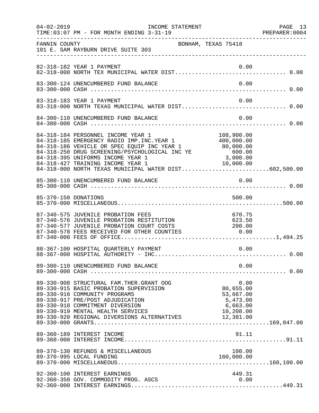|               | 04-02-2019    INCOME STATEMENT<br>TIME: 03:07 PM - FOR MONTH ENDING 3-31-19                                                                                                                                                                                                                                                                                                           |                                                                     | PAGE 13<br>PREPARER: 0004 |
|---------------|---------------------------------------------------------------------------------------------------------------------------------------------------------------------------------------------------------------------------------------------------------------------------------------------------------------------------------------------------------------------------------------|---------------------------------------------------------------------|---------------------------|
| FANNIN COUNTY | BONHAM, TEXAS 75418<br>101 E. SAM RAYBURN DRIVE SUITE 303                                                                                                                                                                                                                                                                                                                             |                                                                     |                           |
|               | 82-318-182 YEAR 1 PAYMENT                                                                                                                                                                                                                                                                                                                                                             | 0.00                                                                |                           |
|               | 83-300-124 UNENCUMBERED FUND BALANCE                                                                                                                                                                                                                                                                                                                                                  | 0.00                                                                |                           |
|               | 83-318-183 YEAR 1 PAYMENT<br>83-318-000 NORTH TEXAS MUNICIPAL WATER DIST 0.00                                                                                                                                                                                                                                                                                                         | 0.00                                                                |                           |
|               | 84-300-110 UNENCUMBERED FUND BALANCE                                                                                                                                                                                                                                                                                                                                                  | 0.00                                                                |                           |
|               | 84-318-184 PERSONNEL INCOME YEAR 1 108,900.00<br>84-318-185 EMERGENCY RADIO IMP.INC.YEAR 1 400,000.00<br>84-318-186 VEHICLE OR SPEC EQUIP INC YEAR 1 80,000.00<br>84-318-250 DRUG SCREENING/PSYCHOLOGICAL INC YE 600.00<br>80,000.00<br><br>84-318-395 UNIFORMS INCOME YEAR 1<br>84-318-427 TRAINING INCOME YEAR 1 10,000.00<br>84-318-000 NORTH TEXAS MUNICIPAL WATER DIST602,500.00 |                                                                     |                           |
|               |                                                                                                                                                                                                                                                                                                                                                                                       |                                                                     |                           |
|               | 85-370-150 DONATIONS                                                                                                                                                                                                                                                                                                                                                                  | 500.00                                                              |                           |
|               | 87-340-575 JUVENILE PROBATION FEES<br>87-340-575 UUVENILE PROBAILON FEES<br>87-340-576 JUVENILE PROBATION RESTITUTION 623.50<br>87-340-577 JUVENILE PROBATION COURT COSTS 200.00<br>87-340-578 FEES RECEIVED FOR OTHER COUNTIES 0.00                                                                                                                                                  | 670.75                                                              |                           |
|               | 88-367-100 HOSPITAL QUARTERLY PAYMENT                                                                                                                                                                                                                                                                                                                                                 | 0.00                                                                |                           |
|               | 89-300-110 UNENCUMBERED FUND BALANCE                                                                                                                                                                                                                                                                                                                                                  | 0.00                                                                |                           |
|               | 89-330-908 STRUCTURAL FAM. THER. GRANT OOG<br>89-330-915 BASIC PROBATION SUPERVISION<br>89-330-916 COMMUNITY PROGRAMS<br>89-330-917 PRE/POST ADJUDICATION<br>89-330-918 COMMITMENT DIVERSION<br>89-330-919 MENTAL HEALTH SERVICES<br>89-330-919 MENTAL HEALTH SERVICES (10,208.00)<br>89-330-920 REGIONAL DIVERSIONS ALTERNATIVES (12,381.00)                                         | 0.00<br>80,655.00<br>53,667.00<br>5,473.00<br>6,663.00<br>10,208.00 |                           |
|               | 89-360-189 INTEREST INCOME                                                                                                                                                                                                                                                                                                                                                            | 91.11                                                               |                           |
|               | 89-370-130 REFUNDS & MISCELLANEOUS<br>89-370-995 LOCAL FUNDING                                                                                                                                                                                                                                                                                                                        | 100.00<br>160,000.00                                                |                           |
|               | 92-360-100 INTEREST EARNINGS<br>92-360-350 GOV. COMMODITY PROG. ASCS                                                                                                                                                                                                                                                                                                                  | 449.31<br>0.00                                                      |                           |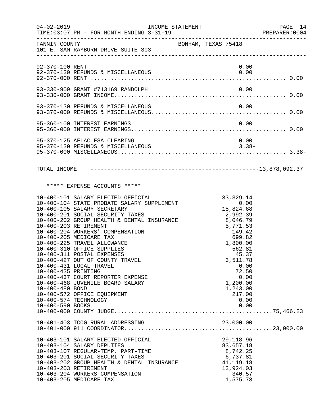| $04 - 02 - 2019$                                                                                                                                                                                                                                                                             | INCOME STATEMENT<br>TIME: 03:07 PM - FOR MONTH ENDING 3-31-19                                                                                                                                                                                                                                                                                     |                     |  |                                                                                                                                                                                                                                   | PAGE 14<br>PREPARER: 0004 |  |
|----------------------------------------------------------------------------------------------------------------------------------------------------------------------------------------------------------------------------------------------------------------------------------------------|---------------------------------------------------------------------------------------------------------------------------------------------------------------------------------------------------------------------------------------------------------------------------------------------------------------------------------------------------|---------------------|--|-----------------------------------------------------------------------------------------------------------------------------------------------------------------------------------------------------------------------------------|---------------------------|--|
| FANNIN COUNTY                                                                                                                                                                                                                                                                                | 101 E. SAM RAYBURN DRIVE SUITE 303                                                                                                                                                                                                                                                                                                                | BONHAM, TEXAS 75418 |  |                                                                                                                                                                                                                                   |                           |  |
| 92-370-100 RENT                                                                                                                                                                                                                                                                              |                                                                                                                                                                                                                                                                                                                                                   |                     |  | 0.00                                                                                                                                                                                                                              |                           |  |
|                                                                                                                                                                                                                                                                                              |                                                                                                                                                                                                                                                                                                                                                   |                     |  |                                                                                                                                                                                                                                   |                           |  |
|                                                                                                                                                                                                                                                                                              |                                                                                                                                                                                                                                                                                                                                                   |                     |  |                                                                                                                                                                                                                                   |                           |  |
|                                                                                                                                                                                                                                                                                              | 95-360-100 INTEREST EARNINGS                                                                                                                                                                                                                                                                                                                      |                     |  | 0.00                                                                                                                                                                                                                              |                           |  |
|                                                                                                                                                                                                                                                                                              | 95-370-125 AFLAC FSA CLEARING                                                                                                                                                                                                                                                                                                                     |                     |  | 0.00                                                                                                                                                                                                                              |                           |  |
|                                                                                                                                                                                                                                                                                              |                                                                                                                                                                                                                                                                                                                                                   |                     |  |                                                                                                                                                                                                                                   |                           |  |
|                                                                                                                                                                                                                                                                                              | ***** EXPENSE ACCOUNTS *****                                                                                                                                                                                                                                                                                                                      |                     |  |                                                                                                                                                                                                                                   |                           |  |
| 10-400-203 RETIREMENT<br>10-400-205 MEDICARE TAX<br>10-400-225 TRAVEL ALLOWANCE<br>10-400-310 OFFICE SUPPLIES<br>10-400-311 POSTAL EXPENSES<br>10-400-431 LOCAL TRAVEL<br>10-400-435 PRINTING<br>10-400-480 BOND<br>10-400-572 OFFICE EQUIPMENT<br>10-400-574 TECHNOLOGY<br>10-400-590 BOOKS | 10-400-101 SALARY ELECTED OFFICIAL<br>10-400-104 STATE PROBATE SALARY SUPPLEMENT<br>10-400-105 SALARY SECRETARY<br>10-400-201 SOCIAL SECURITY TAXES<br>10-400-202 GROUP HEALTH & DENTAL INSURANCE<br>10-400-204 WORKERS' COMPENSATION<br>10-400-427 OUT OF COUNTY TRAVEL<br>10-400-437 COURT REPORTER EXPENSE<br>10-400-468 JUVENILE BOARD SALARY |                     |  | 33, 329.14<br>0.00<br>15, 824.68<br>2, 992.39<br>$\frac{2}{8}$ , 046.79<br>$5,771.53$<br>$149.42$<br>699.82<br>1,800.00<br>562.81<br>45.37<br>3,511.78<br>0.00<br>72.50<br>0.00<br>1,200.00<br>1,243.00<br>217.00<br>0.00<br>0.00 |                           |  |
| 10-403-104 SALARY DEPUTIES<br>10-403-203 RETIREMENT<br>10-403-205 MEDICARE TAX                                                                                                                                                                                                               | 10-403-101 SALARY ELECTED OFFICIAL<br>10-403-107 REGULAR-TEMP. PART-TIME<br>10-403-201 SOCIAL SECURITY TAXES<br>10-403-202 GROUP HEALTH & DENTAL INSURANCE<br>10-403-204 WORKERS COMPENSATION                                                                                                                                                     |                     |  | 29, 118.96<br>83,657.18<br>8,742.25<br>6,737.81<br>41, 119. 18<br>13,924.03<br>340.57<br>1,575.73                                                                                                                                 |                           |  |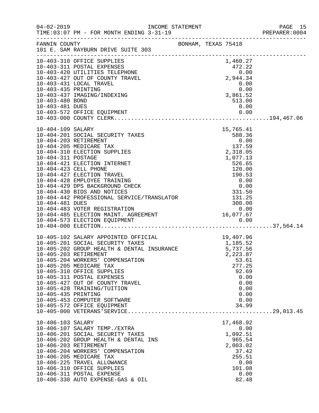|                                    |                                                                                                                                                                             |  |                                                        | PREPARER: 0004 |
|------------------------------------|-----------------------------------------------------------------------------------------------------------------------------------------------------------------------------|--|--------------------------------------------------------|----------------|
| FANNIN COUNTY                      | BONHAM, TEXAS 75418<br>101 E. SAM RAYBURN DRIVE SUITE 303                                                                                                                   |  |                                                        |                |
|                                    | 10-403-310 OFFICE SUPPLIES                                                                                                                                                  |  | 1,460.27                                               |                |
|                                    | 10-403-311 POSTAL EXPENSES<br>10-403-311 POSTAL EXPENSES<br>10-403-420 UTILITIES TELEPHONE                                                                                  |  |                                                        |                |
|                                    |                                                                                                                                                                             |  |                                                        |                |
|                                    | 10-403-427 OUT OF COUNTY TRAVEL                                                                                                                                             |  | $472.22$<br>0.00<br>2,944.34                           |                |
|                                    | 10-403-431 LOCAL TRAVEL                                                                                                                                                     |  | 0.00                                                   |                |
| 10-403-435 PRINTING                |                                                                                                                                                                             |  | 0.00<br>$\begin{array}{c} 0.00 \ 3,861.52 \end{array}$ |                |
|                                    | 10-403-437 IMAGING/INDEXING                                                                                                                                                 |  |                                                        |                |
| 10-403-480 BOND<br>10-403-481 DUES |                                                                                                                                                                             |  | 513.00<br>0.00                                         |                |
|                                    |                                                                                                                                                                             |  |                                                        |                |
|                                    |                                                                                                                                                                             |  |                                                        |                |
| 10-404-109 SALARY                  |                                                                                                                                                                             |  | 15,765.41                                              |                |
|                                    | 10-404-201 SOCIAL SECURITY TAXES                                                                                                                                            |  | 588.36                                                 |                |
|                                    | 10-404-203 RETIREMENT                                                                                                                                                       |  | 0.00                                                   |                |
|                                    | 10-404-205 MEDICARE TAX                                                                                                                                                     |  | 137.59                                                 |                |
|                                    | 10-404-310 ELECTION SUPPLIES                                                                                                                                                |  | 2,318.05                                               |                |
| 10-404-311 POSTAGE                 |                                                                                                                                                                             |  | 1,077.13                                               |                |
|                                    | 10-404-421 ELECTION INTERNET                                                                                                                                                |  | 526.65                                                 |                |
|                                    | 10-404-423 CELL PHONE                                                                                                                                                       |  | 120.00                                                 |                |
|                                    | 10-404-427 ELECTION TRAVEL                                                                                                                                                  |  |                                                        |                |
|                                    | 10-404-428 EMPLOYEE TRAINING<br>10-404-429 DPS BACKGROUND CHECK<br>10-404-430 BIDS AND NOTICES<br>10-404-442 PROFESSIONAL SERVICE/TRANSLATOR                                |  | $190.53$<br>0.00<br>0.00<br>331.50                     |                |
|                                    |                                                                                                                                                                             |  |                                                        |                |
|                                    |                                                                                                                                                                             |  | 131.25                                                 |                |
|                                    |                                                                                                                                                                             |  | 300.00                                                 |                |
|                                    |                                                                                                                                                                             |  |                                                        |                |
|                                    |                                                                                                                                                                             |  |                                                        |                |
|                                    |                                                                                                                                                                             |  |                                                        |                |
|                                    |                                                                                                                                                                             |  |                                                        |                |
|                                    | 10-405-102 SALARY APPOINTED OFFICIAL 19,407.96<br>10-405-201 SOCIAL SECURITY TAXES 1,185.52<br>10-405-202 GROUP HEALTH & DENTAL INSURANCE 5,737.56<br>10-405-203 RETIREMENT |  |                                                        |                |
|                                    |                                                                                                                                                                             |  |                                                        |                |
|                                    |                                                                                                                                                                             |  |                                                        |                |
|                                    | 10-405-203 RETIREMENT                                                                                                                                                       |  | 2,223.87                                               |                |
|                                    | 10-405-204 WORKERS' COMPENSATION<br>10-405-205 MEDICARE TAX                                                                                                                 |  | 53.61<br>277.25                                        |                |
|                                    | 10-405-310 OFFICE SUPPLIES                                                                                                                                                  |  | 92.69                                                  |                |
|                                    | 10-405-311 POSTAL EXPENSES                                                                                                                                                  |  | 0.00                                                   |                |
|                                    | 10-405-427 OUT OF COUNTY TRAVEL                                                                                                                                             |  | 0.00                                                   |                |
|                                    | 10-405-428 TRAINING/TUITION                                                                                                                                                 |  | 0.00                                                   |                |
| 10-405-435 PRINTING                |                                                                                                                                                                             |  | 0.00                                                   |                |
|                                    | 10-405-453 COMPUTER SOFTWARE                                                                                                                                                |  | 0.00                                                   |                |
|                                    | 10-405-572 OFFICE EQUIPMENT                                                                                                                                                 |  | 34.99                                                  |                |
|                                    |                                                                                                                                                                             |  |                                                        |                |
| 10-406-103 SALARY                  |                                                                                                                                                                             |  | 17,468.92                                              |                |
|                                    | 10-406-107 SALARY TEMP./EXTRA                                                                                                                                               |  | 0.00                                                   |                |
|                                    | 10-406-201 SOCIAL SECURITY TAXES<br>10-406-202 GROUP HEALTH & DENTAL INS                                                                                                    |  | 1,092.51<br>965.54                                     |                |
|                                    | 10-406-203 RETIREMENT                                                                                                                                                       |  | 2,003.02                                               |                |
|                                    | 10-406-204 WORKERS' COMPENSATION                                                                                                                                            |  | 37.42                                                  |                |
|                                    | 10-406-205 MEDICARE TAX                                                                                                                                                     |  | 255.51                                                 |                |
|                                    | 10-406-225 TRAVEL ALLOWANCE                                                                                                                                                 |  | 0.00                                                   |                |
|                                    | 10-406-310 OFFICE SUPPLIES                                                                                                                                                  |  | 101.08                                                 |                |
|                                    | 10-406-311 POSTAL EXPENSE                                                                                                                                                   |  | 0.00                                                   |                |
|                                    | 10-406-330 AUTO EXPENSE-GAS & OIL                                                                                                                                           |  | 82.48                                                  |                |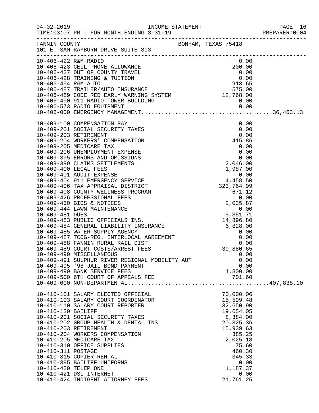|                      |                                                                                                                                                                                                                                            |                     |                        | PAGE 16<br>PREPARER: 0004 |
|----------------------|--------------------------------------------------------------------------------------------------------------------------------------------------------------------------------------------------------------------------------------------|---------------------|------------------------|---------------------------|
|                      | FANNIN COUNTY<br>101 E. SAM RAYBURN DRIVE SUITE 303                                                                                                                                                                                        | BONHAM, TEXAS 75418 |                        |                           |
|                      | 10-406-422 R&M RADIO                                                                                                                                                                                                                       |                     | 0.00                   |                           |
|                      |                                                                                                                                                                                                                                            |                     |                        |                           |
|                      |                                                                                                                                                                                                                                            |                     |                        |                           |
|                      |                                                                                                                                                                                                                                            |                     |                        |                           |
|                      |                                                                                                                                                                                                                                            |                     |                        |                           |
|                      |                                                                                                                                                                                                                                            |                     |                        |                           |
|                      |                                                                                                                                                                                                                                            |                     |                        |                           |
|                      | 10-406-422 R&M RADIO<br>10-406-423 CELL PHONE ALLOWANCE<br>10-406-428 TRAINING & TUITION<br>10-406-428 TRAINING & TUITION<br>10-406-428 TRAILER/AUTO INSURANCE<br>10-406-489 CODE RED EARLY WARNING SYSTEM<br>10-406-490 911 RADIO TOWER B |                     |                        |                           |
|                      | 10-409-100 COMPENSATION PAY                                                                                                                                                                                                                |                     |                        |                           |
|                      | 10-409-201 SOCIAL SECURITY TAXES                                                                                                                                                                                                           |                     |                        |                           |
|                      | 10-409-203 RETIREMENT<br>10-409-204 WORKERS' COMPENSATION                                                                                                                                                                                  |                     |                        |                           |
|                      | 10-409-205 MEDICARE TAX                                                                                                                                                                                                                    |                     |                        |                           |
|                      | 10-409-206 UNEMPLOYMENT EXPENSE                                                                                                                                                                                                            |                     |                        |                           |
|                      | 10-409-395 ERRORS AND OMISSIONS                                                                                                                                                                                                            |                     |                        |                           |
|                      | 10-409-399 CLAIMS SETTLEMENTS                                                                                                                                                                                                              |                     |                        |                           |
|                      |                                                                                                                                                                                                                                            |                     |                        |                           |
|                      |                                                                                                                                                                                                                                            |                     |                        |                           |
|                      |                                                                                                                                                                                                                                            |                     |                        |                           |
|                      |                                                                                                                                                                                                                                            |                     |                        |                           |
|                      |                                                                                                                                                                                                                                            |                     |                        |                           |
|                      |                                                                                                                                                                                                                                            |                     |                        |                           |
|                      |                                                                                                                                                                                                                                            |                     |                        |                           |
|                      |                                                                                                                                                                                                                                            |                     |                        |                           |
|                      |                                                                                                                                                                                                                                            |                     |                        |                           |
|                      |                                                                                                                                                                                                                                            |                     |                        |                           |
|                      |                                                                                                                                                                                                                                            |                     |                        |                           |
|                      |                                                                                                                                                                                                                                            |                     |                        |                           |
|                      |                                                                                                                                                                                                                                            |                     |                        |                           |
|                      | 10-409-490 MISCELLANEOUS                                                                                                                                                                                                                   |                     | 0.00                   |                           |
|                      | 10-409-491 SULPHUR RIVER REGIONAL MOBILITY AUT                                                                                                                                                                                             |                     | 0.00                   |                           |
|                      | 10-409-495 '98 JAIL BOND PAYMENT                                                                                                                                                                                                           |                     | 0.00                   |                           |
|                      | 10-409-499 BANK SERVICE FEES                                                                                                                                                                                                               |                     | 4,800.00               |                           |
|                      |                                                                                                                                                                                                                                            |                     |                        |                           |
|                      | 10-410-101 SALARY ELECTED OFFICIAL                                                                                                                                                                                                         |                     | 70,000.06              |                           |
|                      | 10-410-103 SALARY COURT COORDINATOR                                                                                                                                                                                                        |                     | 15,599.48              |                           |
|                      | 10-410-110 SALARY COURT REPORTER                                                                                                                                                                                                           |                     | 32,650.90              |                           |
| 10-410-130 BAILIFF   |                                                                                                                                                                                                                                            |                     | 19,654.05              |                           |
|                      | 10-410-201 SOCIAL SECURITY TAXES                                                                                                                                                                                                           |                     | 8,384.00               |                           |
|                      | 10-410-202 GROUP HEALTH & DENTAL INS<br>10-410-203 RETIREMENT                                                                                                                                                                              |                     | 20,325.36<br>15,939.63 |                           |
|                      | 10-410-204 WORKERS COMPENSATION                                                                                                                                                                                                            |                     | 385.25                 |                           |
|                      | 10-410-205 MEDICARE TAX                                                                                                                                                                                                                    |                     | 2,025.18               |                           |
|                      | 10-410-310 OFFICE SUPPLIES                                                                                                                                                                                                                 |                     | 75.60                  |                           |
| 10-410-311 POSTAGE   |                                                                                                                                                                                                                                            |                     | 460.30                 |                           |
|                      | 10-410-315 COPIER RENTAL                                                                                                                                                                                                                   |                     | 345.33                 |                           |
|                      | 10-410-395 BAILIFF UNIFORMS                                                                                                                                                                                                                |                     | 0.00                   |                           |
| 10-410-420 TELEPHONE |                                                                                                                                                                                                                                            |                     | 1,187.37               |                           |
|                      | 10-410-421 DSL INTERNET<br>10-410-424 INDIGENT ATTORNEY FEES                                                                                                                                                                               |                     | 0.00<br>21,761.25      |                           |
|                      |                                                                                                                                                                                                                                            |                     |                        |                           |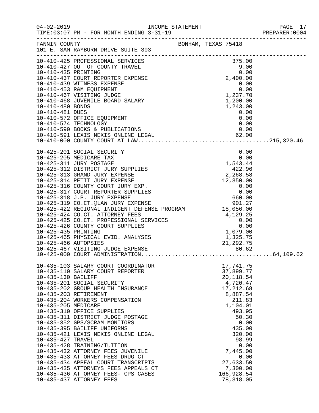| $04 - 02 - 2019$                                               | TIME: 03:07 PM - FOR MONTH ENDING 3-31-19                                                                                                                                                                                                                                                                                                                                                                                                                                                                                                                                                                                                  |                                                                                                                                                                                                                                         | PAGE 17<br>PREPARER:0004<br>PAGE 17 |
|----------------------------------------------------------------|--------------------------------------------------------------------------------------------------------------------------------------------------------------------------------------------------------------------------------------------------------------------------------------------------------------------------------------------------------------------------------------------------------------------------------------------------------------------------------------------------------------------------------------------------------------------------------------------------------------------------------------------|-----------------------------------------------------------------------------------------------------------------------------------------------------------------------------------------------------------------------------------------|-------------------------------------|
|                                                                | FANNIN COUNTY COUNTY BONHAM, TEXAS 75418<br>101 E. SAM RAYBURN DRIVE SUITE 303                                                                                                                                                                                                                                                                                                                                                                                                                                                                                                                                                             |                                                                                                                                                                                                                                         |                                     |
|                                                                |                                                                                                                                                                                                                                                                                                                                                                                                                                                                                                                                                                                                                                            |                                                                                                                                                                                                                                         |                                     |
|                                                                |                                                                                                                                                                                                                                                                                                                                                                                                                                                                                                                                                                                                                                            |                                                                                                                                                                                                                                         |                                     |
| 10-425-466 AUTOPSIES                                           | 10-425-424 CO.CT. ATTORNEY FEES<br>10-425-425 CO.CT. PROFESSIONAL SERVICES<br>10-425-426 COUNTY COURT SUPPLIES<br>10-425-435 PRINTING<br>10-425-465 PHYSICAL EVID. ANALYSES<br>1,325.75<br>1,325.75<br>1,325.75<br>1,325.75                                                                                                                                                                                                                                                                                                                                                                                                                | 21, 292. 75                                                                                                                                                                                                                             |                                     |
| 10-435-130 BAILIFF<br>10-435-205 MEDICARE<br>10-435-427 TRAVEL | 10-435-103 SALARY COURT COORDINATOR<br>10-435-110 SALARY COURT REPORTER<br>10-435-201 SOCIAL SECURITY<br>10-435-202 GROUP HEALTH INSURANCE<br>10-435-203 RETIREMENT<br>10-435-204 WORKERS COMPENSATION<br>10-435-310 OFFICE SUPPLIES<br>10-435-311 DISTRICT JUDGE POSTAGE<br>10-435-352 GPS/SCRAM MONITORS<br>10-435-395 BAILIFF UNIFORMS<br>10-435-421 LEXIS NEXIS ONLINE LEGAL<br>10-435-428 TRAINING/TUITION<br>10-435-432 ATTORNEY FEES JUVENILE<br>10-435-433 ATTORNEY FEES DRUG CT<br>10-435-434 APPEAL COURT TRANSCRIPTS<br>10-435-435 ATTORNEYS FEES APPEALS CT<br>10-435-436 ATTORNEY FEES- CPS CASES<br>10-435-437 ATTORNEY FEES | 17,741.75<br>37,899.77<br>20, 118.54<br>4,720.47<br>17,212.68<br>8,887.54<br>211.83<br>1,104.01<br>493.95<br>50.30<br>0.00<br>435.00<br>320.00<br>98.99<br>0.00<br>7,445.00<br>0.00<br>27,633.50<br>7,300.00<br>166,928.54<br>78,318.05 |                                     |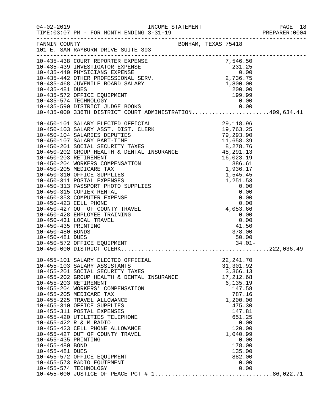|                                        |                                                                                                                                                                                                                                              |                                           | PREPARER: 0004 |
|----------------------------------------|----------------------------------------------------------------------------------------------------------------------------------------------------------------------------------------------------------------------------------------------|-------------------------------------------|----------------|
|                                        | FANNIN COUNTY SONHAM, TEXAS 75418<br>101 E. SAM RAYBURN DRIVE SUITE 303                                                                                                                                                                      |                                           |                |
|                                        | 10-435-438 COURT REPORTER EXPENSE<br>10-435-439 INVESTIGATOR EXPENSE<br>10-435-440 PHYSICIANS EXPENSE<br>10-435-440 PHYSICIANS EXPENSE<br>10-435-442 OTHER PROFESSIONAL SERV.<br>10-435-468 JUVENILE BOARD SALARY<br>10-435-481 DUES<br>10-4 |                                           |                |
|                                        |                                                                                                                                                                                                                                              |                                           |                |
|                                        | 10-435-574 TECHNOLOGY                                                                                                                                                                                                                        | 0.00                                      |                |
|                                        |                                                                                                                                                                                                                                              |                                           |                |
|                                        |                                                                                                                                                                                                                                              |                                           |                |
|                                        |                                                                                                                                                                                                                                              |                                           |                |
|                                        |                                                                                                                                                                                                                                              |                                           |                |
|                                        |                                                                                                                                                                                                                                              |                                           |                |
|                                        |                                                                                                                                                                                                                                              |                                           |                |
| 10-450-435 PRINTING                    | 10-450-428 EMPLOYEE TRAINING<br>10-450-431 LOCAL TRAVEL                                                                                                                                                                                      | 0.00<br>$0.00$<br>0.00<br>41.50<br>378.00 |                |
| 10-450-480 BONDS<br>10-450-481 DUES    |                                                                                                                                                                                                                                              | 378.00<br>50.00                           |                |
|                                        | 10-455-101 SALARY ELECTED OFFICIAL                                                                                                                                                                                                           | 22, 241.70                                |                |
|                                        | 10-455-103 SALARY ASSISTANTS<br>10-455-201 SOCIAL SECURITY TAXES<br>10-455-202 GROUP HEALTH & DENTAL INSURANCE                                                                                                                               | 31,301.92<br>3,366.13<br>17,212.68        |                |
|                                        | 10-455-203 RETIREMENT<br>10-455-204 WORKERS' COMPENSATION<br>10-455-205 MEDICARE TAX                                                                                                                                                         | 6, 135.19<br>147.58<br>787.16             |                |
|                                        | 10-455-225 TRAVEL ALLOWANCE<br>10-455-310 OFFICE SUPPLIES<br>10-455-311 POSTAL EXPENSES                                                                                                                                                      | 1,200.00<br>475.30<br>147.81              |                |
|                                        | 10-455-420 UTILITIES TELEPHONE<br>10-455-422 R & M RADIO<br>10-455-423 CELL PHONE ALLOWANCE                                                                                                                                                  | 651.25<br>0.00<br>120.00                  |                |
| 10-455-435 PRINTING<br>10-455-480 BOND | 10-455-427 OUT OF COUNTY TRAVEL                                                                                                                                                                                                              | 1,040.99<br>0.00<br>178.00                |                |
| 10-455-481 DUES                        | 10-455-572 OFFICE EQUIPMENT<br>10-455-573 RADIO EQUIPMENT                                                                                                                                                                                    | 135.00<br>882.00<br>0.00                  |                |
|                                        | 10-455-574 TECHNOLOGY                                                                                                                                                                                                                        | 0.00                                      |                |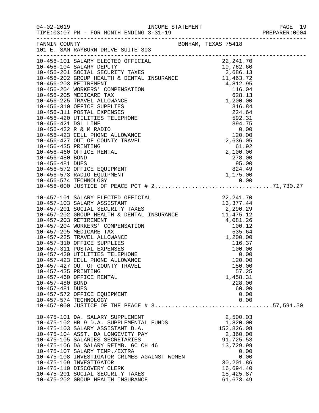| FANNIN COUNTY BONHAM, TEXAS 75418<br>101 E. SAM RAYBURN DRIVE SUITE 303<br>10-456-101 SALARY ELECTED OFFICIAL 22, 241.70<br>10-456-104 SALARY DEPUTY 19, 762.60<br>10-456-201 SOCIAL SECURITY TAXES 2, 686.13<br>10-456-202 GROUP HEALTH & DENTAL INSURANCE 11, 463.72 |  |
|------------------------------------------------------------------------------------------------------------------------------------------------------------------------------------------------------------------------------------------------------------------------|--|
|                                                                                                                                                                                                                                                                        |  |
|                                                                                                                                                                                                                                                                        |  |
|                                                                                                                                                                                                                                                                        |  |
|                                                                                                                                                                                                                                                                        |  |
|                                                                                                                                                                                                                                                                        |  |
|                                                                                                                                                                                                                                                                        |  |
|                                                                                                                                                                                                                                                                        |  |
|                                                                                                                                                                                                                                                                        |  |
|                                                                                                                                                                                                                                                                        |  |
|                                                                                                                                                                                                                                                                        |  |
|                                                                                                                                                                                                                                                                        |  |
|                                                                                                                                                                                                                                                                        |  |
|                                                                                                                                                                                                                                                                        |  |
|                                                                                                                                                                                                                                                                        |  |
|                                                                                                                                                                                                                                                                        |  |
|                                                                                                                                                                                                                                                                        |  |
|                                                                                                                                                                                                                                                                        |  |
|                                                                                                                                                                                                                                                                        |  |
|                                                                                                                                                                                                                                                                        |  |
|                                                                                                                                                                                                                                                                        |  |
|                                                                                                                                                                                                                                                                        |  |
|                                                                                                                                                                                                                                                                        |  |
|                                                                                                                                                                                                                                                                        |  |
|                                                                                                                                                                                                                                                                        |  |
|                                                                                                                                                                                                                                                                        |  |
|                                                                                                                                                                                                                                                                        |  |
|                                                                                                                                                                                                                                                                        |  |
|                                                                                                                                                                                                                                                                        |  |
|                                                                                                                                                                                                                                                                        |  |
|                                                                                                                                                                                                                                                                        |  |
|                                                                                                                                                                                                                                                                        |  |
|                                                                                                                                                                                                                                                                        |  |
|                                                                                                                                                                                                                                                                        |  |
| 10-457-423 CELL PHONE ALLOWANCE<br>120.00                                                                                                                                                                                                                              |  |
| 10-457-427 OUT OF COUNTY TRAVEL<br>150.00                                                                                                                                                                                                                              |  |
| 10-457-435 PRINTING<br>57.25                                                                                                                                                                                                                                           |  |
| 10-457-460 OFFICE RENTAL<br>1,458.31                                                                                                                                                                                                                                   |  |
| 10-457-480 BOND<br>228.00                                                                                                                                                                                                                                              |  |
| 10-457-481 DUES<br>60.00                                                                                                                                                                                                                                               |  |
| 10-457-572 OFFICE EQUIPMENT<br>0.00                                                                                                                                                                                                                                    |  |
| 10-457-574 TECHNOLOGY<br>0.00                                                                                                                                                                                                                                          |  |
|                                                                                                                                                                                                                                                                        |  |
| 2,500.03<br>10-475-101 DA. SALARY SUPPLEMENT                                                                                                                                                                                                                           |  |
| 1,820.00<br>10-475-102 HB 9 D.A. SUPPLEMENTAL FUNDS                                                                                                                                                                                                                    |  |
| 152,826.08<br>10-475-103 SALARY ASSISTANT D.A.                                                                                                                                                                                                                         |  |
| 10-475-104 ASST. DA LONGEVITY PAY<br>2,360.00                                                                                                                                                                                                                          |  |
| 10-475-105 SALARIES SECRETARIES<br>91,725.53                                                                                                                                                                                                                           |  |
| 10-475-106 DA SALARY REIMB. GC CH 46<br>13,729.99                                                                                                                                                                                                                      |  |
| 10-475-107 SALARY TEMP./EXTRA<br>0.00                                                                                                                                                                                                                                  |  |
| 0.00<br>10-475-108 INVESTIGATOR CRIMES AGAINST WOMEN                                                                                                                                                                                                                   |  |
| 10-475-109 INVESTIGATOR<br>30,201.86<br>16,694.40<br>10-475-110 DISCOVERY CLERK                                                                                                                                                                                        |  |
| 10-475-201 SOCIAL SECURITY TAXES<br>18,425.87                                                                                                                                                                                                                          |  |
| 10-475-202 GROUP HEALTH INSURANCE<br>61,673.49                                                                                                                                                                                                                         |  |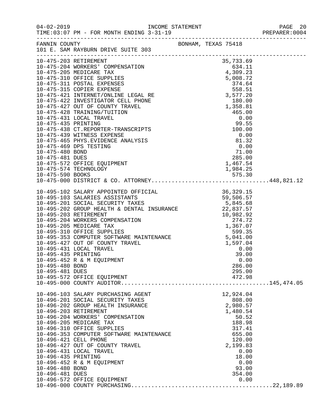| $04 - 02 - 2019$        | TIME: 03:07 PM - FOR MONTH ENDING 3-31-19<br>--------------------------------                                                                                                                                                              |                     | PAGE 20<br>PREPARER:0004 |
|-------------------------|--------------------------------------------------------------------------------------------------------------------------------------------------------------------------------------------------------------------------------------------|---------------------|--------------------------|
| FANNIN COUNTY           | 101 E. SAM RAYBURN DRIVE SUITE 303                                                                                                                                                                                                         | BONHAM, TEXAS 75418 |                          |
| 10-475-203 RETIREMENT   |                                                                                                                                                                                                                                            | 35,733.69           |                          |
|                         |                                                                                                                                                                                                                                            |                     |                          |
|                         |                                                                                                                                                                                                                                            |                     |                          |
|                         |                                                                                                                                                                                                                                            |                     |                          |
|                         | 10-475-203 RETIREMENT<br>10-475-204 WORKERS' COMPENSATION<br>10-475-205 MEDICARE TAX<br>10-475-310 OFFICE SUPPLIES<br>10-475-311 POSTAL EXPENSES<br>10-475-311 POSTAL EXPENSES<br>10-475-315 COPIER EXPENSE                                |                     |                          |
|                         |                                                                                                                                                                                                                                            |                     |                          |
|                         |                                                                                                                                                                                                                                            |                     |                          |
|                         |                                                                                                                                                                                                                                            |                     |                          |
|                         |                                                                                                                                                                                                                                            |                     |                          |
|                         |                                                                                                                                                                                                                                            |                     |                          |
|                         |                                                                                                                                                                                                                                            |                     |                          |
|                         |                                                                                                                                                                                                                                            |                     |                          |
|                         |                                                                                                                                                                                                                                            |                     |                          |
|                         |                                                                                                                                                                                                                                            |                     |                          |
|                         |                                                                                                                                                                                                                                            |                     |                          |
|                         |                                                                                                                                                                                                                                            |                     |                          |
|                         |                                                                                                                                                                                                                                            |                     |                          |
|                         |                                                                                                                                                                                                                                            |                     |                          |
|                         | 10-475-590 BOOKS<br>10-475-000 DISTRICT & CO. ATTORNEY448,821.12                                                                                                                                                                           |                     |                          |
|                         |                                                                                                                                                                                                                                            |                     |                          |
|                         | 10-495-102 SALARY APPOINTED OFFICIAL 36,329.15<br>10-495-103 SALARIES ASSISTANTS 59,506.57<br>10-495-201 SOCIAL SECURITY TAXES 5,845.68<br>10-495-202 GROUP HEALTH & DENTAL INSURANCE 22,837.57<br>10.405.202 DETIDIMENT                   |                     |                          |
|                         |                                                                                                                                                                                                                                            |                     |                          |
|                         |                                                                                                                                                                                                                                            |                     |                          |
|                         |                                                                                                                                                                                                                                            |                     |                          |
|                         | 10-495-202 GROUP HEADLE & DENIAL INSURANCE<br>10-495-203 RETIREMENT<br>10-495-204 WORKERS COMPENSATION<br>10-495-205 MEDICARE TAX<br>10-495-310 OFFICE SUPPLIES<br>10-495-353 COMPUTER SOFTWARE MAINTENANCE<br>10-495-427 OUT OF COUNTY TR |                     |                          |
|                         |                                                                                                                                                                                                                                            |                     |                          |
|                         |                                                                                                                                                                                                                                            |                     |                          |
|                         |                                                                                                                                                                                                                                            |                     |                          |
|                         |                                                                                                                                                                                                                                            |                     |                          |
| 10-495-431 LOCAL TRAVEL |                                                                                                                                                                                                                                            | 0.00                |                          |
| 10-495-435 PRINTING     |                                                                                                                                                                                                                                            | 39.00               |                          |
|                         | 10-495-452 R & M EQUIPMENT                                                                                                                                                                                                                 | 0.00                |                          |
| 10-495-480 BOND         |                                                                                                                                                                                                                                            | 286.00              |                          |
| 10-495-481 DUES         |                                                                                                                                                                                                                                            | 295.00              |                          |
|                         | 10-495-572 OFFICE EQUIPMENT                                                                                                                                                                                                                | 472.98              |                          |
|                         |                                                                                                                                                                                                                                            |                     |                          |
|                         | 10-496-103 SALARY PURCHASING AGENT                                                                                                                                                                                                         | 12,924.04           |                          |
|                         | 10-496-201 SOCIAL SECURITY TAXES                                                                                                                                                                                                           | 808.00              |                          |
|                         | 10-496-202 GROUP HEALTH INSURANCE                                                                                                                                                                                                          | 2,980.57            |                          |
| 10-496-203 RETIREMENT   | 10-496-204 WORKERS' COMPENSATION                                                                                                                                                                                                           | 1,480.54<br>50.52   |                          |
| 10-496-205 MEDICARE TAX |                                                                                                                                                                                                                                            | 188.98              |                          |
|                         | 10-496-310 OFFICE SUPPLIES                                                                                                                                                                                                                 | 317.41              |                          |
|                         | 10-496-353 COMPUTER SOFTWARE MAINTENANCE                                                                                                                                                                                                   | 655.00              |                          |
| 10-496-421 CELL PHONE   |                                                                                                                                                                                                                                            | 120.00              |                          |
|                         | 10-496-427 OUT OF COUNTY TRAVEL                                                                                                                                                                                                            | 2,199.83            |                          |
| 10-496-431 LOCAL TRAVEL |                                                                                                                                                                                                                                            | 0.00                |                          |
| 10-496-435 PRINTING     |                                                                                                                                                                                                                                            | 18.00               |                          |
|                         | 10-496-452 R & M EQUIPMENT                                                                                                                                                                                                                 | 0.00                |                          |
| 10-496-480 BOND         |                                                                                                                                                                                                                                            | 93.00               |                          |
| 10-496-481 DUES         | 10-496-572 OFFICE EQUIPMENT                                                                                                                                                                                                                | 354.00<br>0.00      |                          |
|                         |                                                                                                                                                                                                                                            |                     |                          |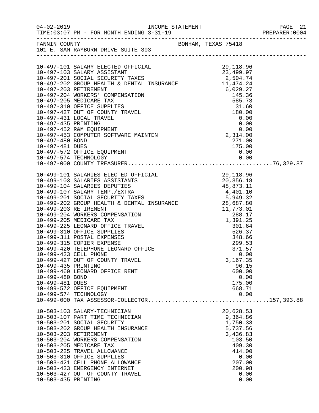|                                                           |                                                                                                                                                                                                                                                                                                                                                                                               |                                                                                                                                     | PAGE 21 |
|-----------------------------------------------------------|-----------------------------------------------------------------------------------------------------------------------------------------------------------------------------------------------------------------------------------------------------------------------------------------------------------------------------------------------------------------------------------------------|-------------------------------------------------------------------------------------------------------------------------------------|---------|
|                                                           | FANNIN COUNTY<br>101 E. SAM RAYBURN DRIVE SUITE 303                                                                                                                                                                                                                                                                                                                                           |                                                                                                                                     |         |
|                                                           |                                                                                                                                                                                                                                                                                                                                                                                               |                                                                                                                                     |         |
| 10-499-435 PRINTING<br>10-499-480 BOND<br>10-499-481 DUES | 10-499-423 CELL PHONE<br>10-499-427 OUT OF COUNTY TRAVEL<br>10-499-460 LEONARD OFFICE RENT<br>10-499-572 OFFICE EQUIPMENT<br>10-499-574 TECHNOLOGY                                                                                                                                                                                                                                            | 0.00<br>3,167.35<br>96.15<br>600.00<br>0.00<br>175.00<br>668.71<br>0.00                                                             |         |
| 10-503-435 PRINTING                                       | 10-503-103 SALARY-TECHNICIAN<br>10-503-107 PART TIME TECHNICIAN<br>10-503-201 SOCIAL SECURITY<br>10-503-202 GROUP HEALTH INSURANCE<br>10-503-203 RETIREMENT<br>10-503-204 WORKERS COMPENSATION<br>10-503-205 MEDICARE TAX<br>10-503-225 TRAVEL ALLOWANCE<br>10-503-310 OFFICE SUPPLIES<br>10-503-421 CELL PHONE ALLOWANCE<br>10-503-423 EMERGENCY INTERNET<br>10-503-427 OUT OF COUNTY TRAVEL | 20,628.53<br>9,364.86<br>1,750.33<br>5,737.56<br>3,436.83<br>103.50<br>409.30<br>414.00<br>0.00<br>207.00<br>200.98<br>0.00<br>0.00 |         |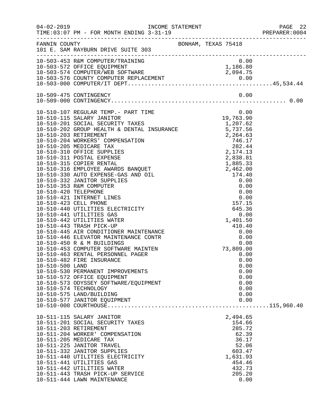|                 |                                                                                                                                                                                                                                                                                                                                                                                   |  |                                                                                                    |                                                              | 22 PAGE<br>2004:PREPARER<br>PAGE 22 |
|-----------------|-----------------------------------------------------------------------------------------------------------------------------------------------------------------------------------------------------------------------------------------------------------------------------------------------------------------------------------------------------------------------------------|--|----------------------------------------------------------------------------------------------------|--------------------------------------------------------------|-------------------------------------|
|                 | FANNIN COUNTY<br>101 E. SAM RAYBURN DRIVE SUITE 303                                                                                                                                                                                                                                                                                                                               |  |                                                                                                    |                                                              |                                     |
|                 | 10-503-453 R&M COMPUTER/TRAINING<br>10-503-453 R&M COMPUTER/TRAINING 0.00<br>10-503-572 OFFICE EQUIPMENT 1,186.80<br>10-503-574 COMPUTER/WEB SOFTWARE 2,094.75<br>10-503-576 COUNTY COMPUTER REPLACEMENT 0.00<br>10-503-000 COMPUTER/IT DEPT                                                                                                                                      |  |                                                                                                    |                                                              |                                     |
|                 |                                                                                                                                                                                                                                                                                                                                                                                   |  |                                                                                                    |                                                              |                                     |
|                 |                                                                                                                                                                                                                                                                                                                                                                                   |  |                                                                                                    |                                                              |                                     |
| 10-510-500 LAND | 10-510-482 FIRE INSURANCE<br>10-510-530 PERMANENT IMPROVEMENTS<br>10-510-572 OFFICE EQUIPMENT<br>10-510-573 ODYSSEY SOFTWARE/EQUIPMENT<br>10-510-574 TECHNOLOGY<br>10-510-575 LAND/BUILDING<br>10-510-577 JANITOR EQUIPMENT                                                                                                                                                       |  |                                                                                                    | 0.00<br>0.00<br>0.00<br>0.00<br>0.00<br>0.00<br>0.00<br>0.00 |                                     |
|                 | 10-511-115 SALARY JANITOR<br>10-511-201 SOCIAL SECURITY TAXES<br>10-511-203 RETIREMENT<br>10-511-204 WORKER' COMPENSATION<br>10-511-205 MEDICARE TAX<br>10-511-225 JANITOR TRAVEL<br>10-511-332 JANITOR SUPPLIES<br>10-511-440 UTILITIES ELECTRICITY<br>10-511-441 UTILITIES GAS<br>10-511-442 UTILITIES WATER<br>10-511-443 TRASH PICK-UP SERVICE<br>10-511-444 LAWN MAINTENANCE |  | 2,494.65<br>154.66<br>285.72<br>62.39<br>36.17<br>603.47<br>1,631.93<br>454.46<br>432.73<br>205.20 | 52.06<br>0.00                                                |                                     |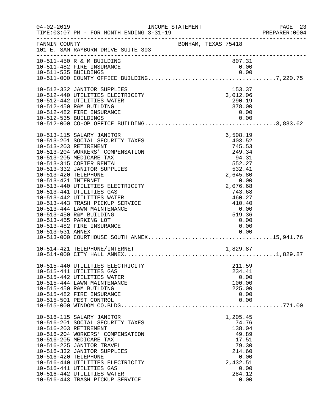| $04 - 02 - 2019$                                                | INCOME STATEMENT<br>TIME: 03:07 PM - FOR MONTH ENDING 3-31-19                                                                                                                                                                                                                                                                                                                                                                                                      |                     |                                                                                                                                                                             | PAGE 23<br>PREPARER: 0004 |
|-----------------------------------------------------------------|--------------------------------------------------------------------------------------------------------------------------------------------------------------------------------------------------------------------------------------------------------------------------------------------------------------------------------------------------------------------------------------------------------------------------------------------------------------------|---------------------|-----------------------------------------------------------------------------------------------------------------------------------------------------------------------------|---------------------------|
| FANNIN COUNTY                                                   | 101 E. SAM RAYBURN DRIVE SUITE 303                                                                                                                                                                                                                                                                                                                                                                                                                                 | BONHAM, TEXAS 75418 |                                                                                                                                                                             |                           |
|                                                                 | 10-511-450 R & M BUILDING<br>10-511-482 FIRE INSURANCE                                                                                                                                                                                                                                                                                                                                                                                                             |                     | 807.31<br>0.00                                                                                                                                                              |                           |
| 10-512-535 BUILDINGS                                            | 10-512-332 JANITOR SUPPLIES<br>10-512-440 UTILITIES ELECTRICITY<br>10-512-442 UTILITIES WATER<br>10-512-450 R&M BUILDING<br>10-512-482 FIRE INSURANCE                                                                                                                                                                                                                                                                                                              |                     | 153.37<br>3,012.06<br>290.19<br>378.00<br>0.00<br>0.00                                                                                                                      |                           |
| 10-513-420 TELEPHONE<br>10-513-421 INTERNET<br>10-513-531 ANNEX | 10-513-115 SALARY JANITOR<br>10-513-201 SOCIAL SECURITY TAXES<br>10-513-203 RETIREMENT<br>10-513-204 WORKERS' COMPENSATION<br>10-513-205 MEDICARE TAX<br>10-513-315 COPIER RENTAL<br>10-513-332 JANITOR SUPPLIES<br>10-513-440 UTILITIES ELECTRICITY<br>10-513-441 UTILITIES GAS<br>10-513-442 UTILITIES WATER<br>10-513-443 TRASH PICKUP SERVICE<br>10-513-444 LAWN MAINTENANCE<br>10-513-450 R&M BUILDING<br>10-513-455 PARKING LOT<br>10-513-482 FIRE INSURANCE |                     | 6,508.19<br>403.52<br>745.53<br>249.34<br>94.31<br>552.27<br>532.41<br>2,645.80<br>0.00<br>2,076.68<br>743.68<br>460.27<br>410.40<br>0.00<br>519.36<br>0.00<br>0.00<br>0.00 |                           |
|                                                                 | 10-514-421 TELEPHONE/INTERNET                                                                                                                                                                                                                                                                                                                                                                                                                                      |                     | 1,829.87                                                                                                                                                                    |                           |
|                                                                 | 10-515-440 UTILITIES ELECTRICITY<br>10-515-441 UTILITIES GAS<br>10-515-442 UTILITIES WATER<br>10-515-444 LAWN MAINTENANCE<br>10-515-450 R&M BUILDING<br>10-515-482 FIRE INSURANCE<br>10-515-501 PEST CONTROL                                                                                                                                                                                                                                                       |                     | 211.59<br>234.41<br>0.00<br>100.00<br>225.00<br>0.00<br>0.00                                                                                                                |                           |
| 10-516-420 TELEPHONE                                            | 10-516-115 SALARY JANITOR<br>10-516-201 SOCIAL SECURITY TAXES<br>10-516-203 RETIREMENT<br>10-516-204 WORKERS' COMPENSATION<br>10-516-205 MEDICARE TAX<br>10-516-225 JANITOR TRAVEL<br>10-516-332 JANITOR SUPPLIES<br>10-516-440 UTILITIES ELECTRICITY<br>10-516-441 UTILITIES GAS<br>10-516-442 UTILITIES WATER<br>10-516-443 TRASH PICKUP SERVICE                                                                                                                 |                     | 1,205.45<br>74.76<br>138.04<br>49.89<br>17.51<br>79.30<br>214.60<br>0.00<br>2,432.51<br>0.00<br>284.12<br>0.00                                                              |                           |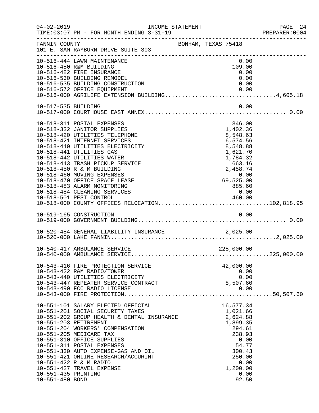| $04 - 02 - 2019$    | INCOME STATEMENT<br>TIME: 03:07 PM - FOR MONTH ENDING 3-31-19                      |                     |                       |                | PAGE 24 |
|---------------------|------------------------------------------------------------------------------------|---------------------|-----------------------|----------------|---------|
| FANNIN COUNTY       | 101 E. SAM RAYBURN DRIVE SUITE 303                                                 | BONHAM, TEXAS 75418 |                       |                |         |
|                     | 10-516-444 LAWN MAINTENANCE<br>10-516-450 R&M BUILDING                             |                     |                       | 0.00<br>109.00 |         |
|                     | 10-516-482 FIRE INSURANCE                                                          |                     |                       | 0.00           |         |
|                     | 10-516-530 BUILDING REMODEL                                                        |                     |                       | 0.00           |         |
|                     | 10-516-535 BUILDING CONSTRUCTION<br>10-516-572 OFFICE EQUIPMENT                    |                     |                       | 0.00           |         |
|                     | 10-516-572 OFFICE EQUIPMENT 0.00<br>10-516-000 AGRILIFE EXTENSION BUILDING4,605.18 |                     |                       |                |         |
| 10-517-535 BUILDING |                                                                                    |                     |                       | 0.00           |         |
|                     |                                                                                    |                     |                       |                |         |
|                     | 10-518-311 POSTAL EXPENSES                                                         |                     | 346.00                |                |         |
|                     | 10-518-332 JANITOR SUPPLIES                                                        |                     | 1,402.36              |                |         |
|                     | 10-518-420 UTILITIES TELEPHONE<br>10-518-421 INTERNET SERVICES                     |                     | 8,548.63<br>6,574.56  |                |         |
|                     | 10-518-440 UTILITIES ELECTRICITY                                                   |                     | 8,548.88              |                |         |
|                     | 10-518-441 UTILITIES GAS                                                           |                     | 1,621.70              |                |         |
|                     | 10-518-442 UTILITIES WATER                                                         |                     | 1,784.32              |                |         |
|                     | 10-518-443 TRASH PICKUP SERVICE                                                    |                     | $663.16$<br>2,458.74  |                |         |
|                     | 10-518-450 R & M BUILDING<br>10-518-460 MOVING EXPENSES                            |                     |                       |                |         |
|                     | 10-518-470 OFFICE SPACE LEASE                                                      |                     | $0.00$<br>$69,525.00$ |                |         |
|                     | 10-518-483 ALARM MONITORING                                                        |                     | 885.60                |                |         |
|                     | 10-518-484 CLEANING SERVICES                                                       |                     |                       | 0.00           |         |
|                     | 10-518-501 PEST CONTROL 460.00<br>10-518-000 COUNTY OFFICES RELOCATION102,818.95   |                     |                       |                |         |
|                     |                                                                                    |                     |                       |                |         |
|                     |                                                                                    |                     |                       |                |         |
|                     |                                                                                    |                     |                       |                |         |
|                     |                                                                                    |                     |                       |                |         |
|                     |                                                                                    |                     |                       |                |         |
|                     |                                                                                    |                     |                       |                |         |
|                     | 10-543-416 FIRE PROTECTION SERVICE                                                 |                     | 42,000.00             |                |         |
|                     | 10-543-422 R&M RADIO/TOWER                                                         |                     |                       | 0.00           |         |
|                     | 10-543-440 UTILITIES ELECTRICITY<br>10-543-447 REPEATER SERVICE CONTRACT           |                     | 8,507.60              | 0.00           |         |
|                     | 10-543-490 FCC RADIO LICENSE                                                       |                     |                       | 0.00           |         |
|                     |                                                                                    |                     |                       |                |         |
|                     | 10-551-101 SALARY ELECTED OFFICIAL                                                 |                     | 16,577.34             |                |         |
|                     | 10-551-201 SOCIAL SECURITY TAXES                                                   |                     | 1,021.66              |                |         |
|                     | 10-551-202 GROUP HEALTH & DENTAL INSURANCE<br>10-551-203 RETIREMENT                |                     | 2,624.88<br>1,899.35  |                |         |
|                     | 10-551-204 WORKERS' COMPENSATION                                                   |                     |                       | 294.61         |         |
|                     | 10-551-205 MEDICARE TAX                                                            |                     |                       | 238.93         |         |
|                     | 10-551-310 OFFICE SUPPLIES                                                         |                     |                       | 0.00           |         |
|                     | 10-551-311 POSTAL EXPENSES                                                         |                     |                       | 54.77          |         |
|                     | 10-551-330 AUTO EXPENSE-GAS AND OIL                                                |                     |                       | 300.43         |         |
|                     | 10-551-421 ONLINE RESEARCH/ACCURINT<br>10-551-422 R & M RADIO                      |                     |                       | 250.00<br>0.00 |         |
|                     | 10-551-427 TRAVEL EXPENSE                                                          |                     | 1,200.00              |                |         |
| 10-551-435 PRINTING |                                                                                    |                     |                       | 0.00           |         |
| 10-551-480 BOND     |                                                                                    |                     |                       | 92.50          |         |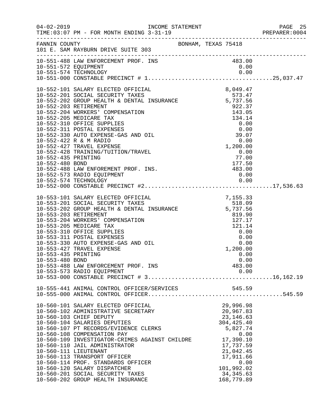|                                        |                                                                                                                                                                                                                                                                                                                                                                                                                                                                                                                                                  |        |                                                                                                                                                  |              | PREPARER: 0004 |
|----------------------------------------|--------------------------------------------------------------------------------------------------------------------------------------------------------------------------------------------------------------------------------------------------------------------------------------------------------------------------------------------------------------------------------------------------------------------------------------------------------------------------------------------------------------------------------------------------|--------|--------------------------------------------------------------------------------------------------------------------------------------------------|--------------|----------------|
|                                        | FANNIN COUNTY BONHAM, TEXAS 75418<br>101 E. SAM RAYBURN DRIVE SUITE 303                                                                                                                                                                                                                                                                                                                                                                                                                                                                          |        |                                                                                                                                                  |              |                |
|                                        | 10-551-488 LAW ENFORCEMENT PROF. INS<br>10-551-572 EQUIPMENT<br>10-551-574 TECHNOLOGY                                                                                                                                                                                                                                                                                                                                                                                                                                                            |        | 483.00<br>0.00                                                                                                                                   |              |                |
|                                        | 10-552-488 LAW ENFOREMENT PROF. INS.<br>10-552-573 RADIO EQUIPMENT                                                                                                                                                                                                                                                                                                                                                                                                                                                                               | 483.00 | 0.00                                                                                                                                             |              |                |
| 10-553-435 PRINTING<br>10-553-480 BOND | 10-553-101 SALARY ELECTED OFFICIAL (7,155.33<br>10-553-201 SOCIAL SECURITY TAXES (518.09)<br>10-553-202 GROUP HEALTH & DENTAL INSURANCE (5,737.56)<br>10-553-203 RETIREMENT<br>10-553-204 WORKERS' COMPENSATION<br>10-553-205 MEDICARE TAX<br>10-553-310 OFFICE SUPPLIES<br>10-553-311 POSTAL EXPENSES<br>10-553-330 AUTO EXPENSE-GAS AND OIL<br>10-553-427 TRAVEL EXPENSE<br>10-553-488 LAW ENFORCEMENT PROF. INS<br>10-553-573 RADIO EQUIPMENT                                                                                                 |        | 819.90<br>127.17<br>121.14<br>$0.00$<br>0.00<br>0.00<br>1 200 00<br>1,200.00<br>0.00<br>483.00                                                   | 0.00<br>0.00 |                |
|                                        | 10-555-441 ANIMAL CONTROL OFFICER/SERVICES                                                                                                                                                                                                                                                                                                                                                                                                                                                                                                       |        |                                                                                                                                                  |              |                |
|                                        | 10-560-101 SALARY ELECTED OFFICIAL<br>10-560-102 ADMINISTRATIVE SECRETARY<br>10-560-103 CHIEF DEPUTY<br>10-560-104 SALARIES DEPUTIES<br>10-560-107 PT RECORDS/EVIDENCE CLERKS<br>10-560-108 COMPENSATION PAY<br>10-560-106 COMPENSATION PAT<br>10-560-109 INVESTIGATOR-CRIMES AGAINST CHILDRE 17,390.10<br>10-560-110 JAIL ADMINISTRATOR<br>10-560-111 LIEUTENANT<br>10-560-113 TRANSPORT OFFICER<br>10-560-114 PROF. STANDARDS OFFICER<br>10-560-120 SALARY DISPATCHER<br>10-560-201 SOCIAL SECURITY TAXES<br>10-560-202 GROUP HEALTH INSURANCE |        | 29,996.98<br>20,967.83<br>23, 146.63<br>304, 425.40<br>5,827.74<br>17,737.59<br>21,042.45<br>17,911.66<br>101,992.02<br>34, 345.63<br>168,779.89 | 0.00<br>0.00 |                |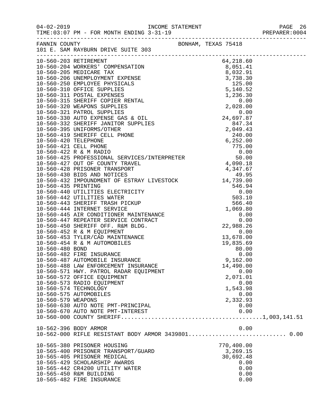|                    | 04-02-2019   INCOME STATEMENT<br>TIME:03:07 PM - FOR MONTH ENDING 3-31-19 |            | PAGE 26<br>PREPARER: 0004 |
|--------------------|---------------------------------------------------------------------------|------------|---------------------------|
|                    | FANNIN COUNTY<br>101 E. SAM RAYBURN DRIVE SUITE 303                       |            |                           |
|                    |                                                                           |            |                           |
|                    |                                                                           |            |                           |
|                    |                                                                           |            |                           |
|                    |                                                                           |            |                           |
|                    |                                                                           |            |                           |
|                    |                                                                           |            |                           |
|                    |                                                                           |            |                           |
|                    |                                                                           |            |                           |
|                    |                                                                           |            |                           |
|                    |                                                                           |            |                           |
|                    |                                                                           |            |                           |
|                    |                                                                           |            |                           |
|                    |                                                                           |            |                           |
|                    |                                                                           |            |                           |
|                    |                                                                           |            |                           |
|                    |                                                                           |            |                           |
|                    |                                                                           |            |                           |
|                    |                                                                           |            |                           |
|                    |                                                                           |            |                           |
|                    |                                                                           |            |                           |
|                    |                                                                           |            |                           |
|                    |                                                                           |            |                           |
|                    |                                                                           |            |                           |
|                    |                                                                           |            |                           |
|                    |                                                                           |            |                           |
|                    |                                                                           |            |                           |
|                    |                                                                           |            |                           |
|                    |                                                                           |            |                           |
|                    |                                                                           |            |                           |
|                    |                                                                           |            |                           |
|                    |                                                                           |            |                           |
|                    |                                                                           |            |                           |
|                    |                                                                           |            |                           |
|                    | 10-560-482 FIRE INSURANCE                                                 | 0.00       |                           |
|                    | 10-560-487 AUTOMOBILE INSURANCE                                           | 9,162.00   |                           |
|                    | 10-560-488 LAW ENFORCEMENT INSURANCE                                      | 14,490.00  |                           |
|                    | 10-560-571 HWY. PATROL RADAR EQUIPMENT                                    | 0.00       |                           |
|                    | 10-560-572 OFFICE EQUIPMENT                                               | 2,071.01   |                           |
|                    | 10-560-573 RADIO EQUIPMENT                                                | 0.00       |                           |
|                    | 10-560-574 TECHNOLOGY                                                     | 1,543.98   |                           |
|                    | 10-560-575 AUTOMOBILES                                                    | 0.00       |                           |
| 10-560-579 WEAPONS |                                                                           | 2,332.93   |                           |
|                    | 10-560-630 AUTO NOTE PMT-PRINCIPAL                                        | 0.00       |                           |
|                    | 10-560-670 AUTO NOTE PMT-INTEREST                                         | 0.00       |                           |
|                    |                                                                           |            |                           |
|                    | 10-562-396 BODY ARMOR                                                     | 0.00       |                           |
|                    |                                                                           |            |                           |
|                    | 10-565-380 PRISONER HOUSING                                               | 770,400.00 |                           |
|                    | 10-565-400 PRISONER TRANSPORT/GUARD                                       | 3,269.15   |                           |
|                    | 10-565-405 PRISONER MEDICAL                                               | 30,692.48  |                           |
|                    | 10-565-429 SCHOLARSHIP AWARDS                                             | 0.00       |                           |
|                    | 10-565-442 CR4200 UTILITY WATER                                           | 0.00       |                           |
|                    | 10-565-450 R&M BUILDING                                                   | 0.00       |                           |
|                    | 10-565-482 FIRE INSURANCE                                                 | 0.00       |                           |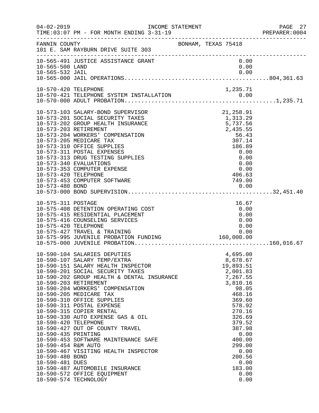| $04 - 02 - 2019$                                                                                         | INCOME STATEMENT<br>TIME: 03:07 PM - FOR MONTH ENDING 3-31-19                                                                                                                                                                                                                                                                                                                                                                                                                                                                                                                                                          |                     |                                                                                                                                                                                     |                                               | PAGE 27<br>PREPARER: 0004 |
|----------------------------------------------------------------------------------------------------------|------------------------------------------------------------------------------------------------------------------------------------------------------------------------------------------------------------------------------------------------------------------------------------------------------------------------------------------------------------------------------------------------------------------------------------------------------------------------------------------------------------------------------------------------------------------------------------------------------------------------|---------------------|-------------------------------------------------------------------------------------------------------------------------------------------------------------------------------------|-----------------------------------------------|---------------------------|
| FANNIN COUNTY                                                                                            | 101 E. SAM RAYBURN DRIVE SUITE 303                                                                                                                                                                                                                                                                                                                                                                                                                                                                                                                                                                                     | BONHAM, TEXAS 75418 |                                                                                                                                                                                     |                                               |                           |
| 10-565-500 LAND                                                                                          | 10-565-491 JUSTICE ASSISTANCE GRANT                                                                                                                                                                                                                                                                                                                                                                                                                                                                                                                                                                                    |                     |                                                                                                                                                                                     | 0.00<br>0.00                                  |                           |
|                                                                                                          |                                                                                                                                                                                                                                                                                                                                                                                                                                                                                                                                                                                                                        |                     |                                                                                                                                                                                     |                                               |                           |
| 10-573-420 TELEPHONE                                                                                     | 10-573-103 SALARY-BOND SUPERVISOR<br>10-573-201 SOCIAL SECURITY TAXES<br>10-573-202 GROUP HEALTH INSURANCE<br>10-573-203 RETIREMENT<br>10-573-204 WORKERS' COMPENSATION<br>10-573-205 MEDICARE TAX<br>10-573-310 OFFICE SUPPLIES<br>10-573-311 POSTAL EXPENSES<br>10-573-313 DRUG TESTING SUPPLIES<br>10-573-340 EVALUATIONS<br>10-573-353 COMPUTER EXPENSE<br>10-573-453 COMPUTER SOFTWARE                                                                                                                                                                                                                            |                     | 21,258.91<br>1,313.29<br>5,737.56<br>2,435.55<br>56.43<br>307.14<br>186.89<br>0.00<br>0.00<br>0.00<br>406.63<br>749.00                                                              | 0.00                                          |                           |
| 10-575-311 POSTAGE<br>10-575-420 TELEPHONE                                                               | 10-575-408 DETENTION OPERATING COST<br>10-575-415 RESIDENTIAL PLACEMENT<br>10-575-416 COUNSELING SERVICES<br>10-575-427 TRAVEL & TRAINING                                                                                                                                                                                                                                                                                                                                                                                                                                                                              |                     | 16.67<br>0.00                                                                                                                                                                       | 0.00<br>0.00<br>0.00<br>0.00                  |                           |
| 10-590-420 TELEPHONE<br>10-590-435 PRINTING<br>10-590-454 R&M AUTO<br>10-590-480 BOND<br>10-590-481 DUES | 10-590-104 SALARIES DEPUTIES<br>10-590-107 SALARY TEMP/EXTRA<br>10-590-151 SALARY HEALTH INSPECTOR<br>10-590-201 SOCIAL SECURITY TAXES<br>10-590-202 GROUP HEALTH & DENTAL INSURANCE<br>10-590-203 RETIREMENT<br>10-590-204 WORKERS' COMPENSATION<br>10-590-205 MEDICARE TAX<br>10-590-310 OFFICE SUPPLIES<br>10-590-311 POSTAL EXPENSE<br>10-590-315 COPIER RENTAL<br>10-590-330 AUTO EXPENSE GAS & OIL<br>10-590-427 OUT OF COUNTY TRAVEL<br>10-590-453 SOFTWARE MAINTENANCE SAFE<br>10-590-467 VISITING HEALTH INSPECTOR<br>10-590-487 AUTOMOBILE INSURANCE<br>10-590-572 OFFICE EQUIPMENT<br>10-590-574 TECHNOLOGY |                     | 4,695.00<br>8,678.67<br>19,893.51<br>2,001.83<br>7,267.55<br>3,810.16<br>468.16<br>369.60<br>578.92<br>270.16<br>326.69<br>379.52<br>387.98<br>400.00<br>299.00<br>200.56<br>183.00 | 98.05<br>0.00<br>0.00<br>0.00<br>0.00<br>0.00 |                           |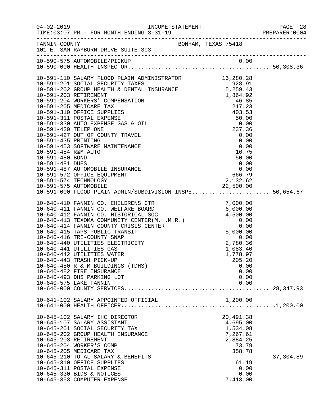|                                                                                  |                                                                                                                                                                                                                                                                                                                                                                                                                                                                                                                            |                                                                                                                   | PREPARER: 0004 |
|----------------------------------------------------------------------------------|----------------------------------------------------------------------------------------------------------------------------------------------------------------------------------------------------------------------------------------------------------------------------------------------------------------------------------------------------------------------------------------------------------------------------------------------------------------------------------------------------------------------------|-------------------------------------------------------------------------------------------------------------------|----------------|
|                                                                                  | FANNIN COUNTY BONHAM, TEXAS 75418<br>101 E. SAM RAYBURN DRIVE SUITE 303                                                                                                                                                                                                                                                                                                                                                                                                                                                    |                                                                                                                   |                |
|                                                                                  | 10-590-575 AUTOMOBILE/PICKUP                                                                                                                                                                                                                                                                                                                                                                                                                                                                                               |                                                                                                                   |                |
| 10-591-435 PRINTING<br>10-591-454 R&M AUTO<br>10-591-480 BOND<br>10-591-481 DUES | 10-591-427 OUT OF COUNTY TRAVEL<br>10-591-453 SOFTWARE MAINTENANCE<br>10-591-487 AUTOMOBILE INSURANCE<br>$10-591-572$ OFFICE EQUIPMENT<br>10-591-574 TECHNOLOGY<br>10-591-575 AUTOMOBILE<br>10-591-000 FLOOD PLAIN ADMIN/SUBDIVISION INSPE50,654.67                                                                                                                                                                                                                                                                        | 0.00<br>0.00<br>0.00<br>16.75<br>50.00<br>$\begin{array}{r} 0.00 \\ 0.00 \\ 666.79 \end{array}$<br>2,132.62       |                |
|                                                                                  | 10-640-410 FANNIN CO. CHILDRENS CTR<br>10-640-411 FANNIN CO. WELFARE BOARD<br>10-640-412 FANNIN CO. HISTORICAL SOC 6,000.00<br>10-640-413 TEXOMA COMMUNITY CENTER(M.H.M.R.) 0.00<br>10-640-414 FANNIN COUNTY CRISIS CENTER 0.00<br>10-64<br>10-640-416 TRI-COUNTY SNAP<br>10-640-440 UTILITIES ELECTRICITY<br>10-640-441 UTILITIES GAS<br>10-640-442 UTILITIES WATER<br>10-640-443 TRASH PICK-UP<br>10-640-450 R & M BUILDINGS (TDHS)<br>10-640-482 FIRE INSURANCE<br>10-640-493 DHS PARKING LOT<br>10-640-575 LAKE FANNIN | 0.00<br>2,780.36<br>1,083.40<br>1,778.97<br>205.20<br>0.00<br>0.00<br>0.00<br>0.00                                |                |
|                                                                                  | 10-641-102 SALARY APPOINTED OFFICIAL                                                                                                                                                                                                                                                                                                                                                                                                                                                                                       | 1,200.00                                                                                                          |                |
| 10-645-203 RETIREMENT                                                            | 10-645-102 SALARY IHC DIRECTOR<br>10-645-107 SALARY ASSISTANT<br>10-645-201 SOCIAL SECURITY TAX<br>10-645-202 GROUP HEALTH INSURANCE<br>10-645-204 WORKER'S COMP<br>10-645-205 MEDICARE TAX<br>10-645-210 TOTAL SALARY & BENEFITS<br>10-645-310 OFFICE SUPPLIES<br>10-645-311 POSTAL EXPENSE<br>10-645-330 BIDS & NOTICES<br>10-645-353 COMPUTER EXPENSE                                                                                                                                                                   | 20,491.38<br>4,695.00<br>1,534.08<br>7,267.61<br>2,884.25<br>73.79<br>358.78<br>61.19<br>0.00<br>0.00<br>7,413.00 | 37,304.89      |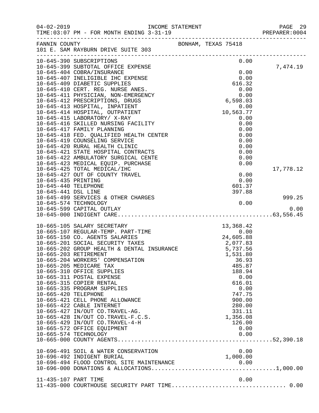| $04 - 02 - 2019$      | TIME: 03:07 PM - FOR MONTH ENDING 3-31-19                                                                        | INCOME STATEMENT              |       |                    |      | PAGE 29<br>PREPARER: 0004 |
|-----------------------|------------------------------------------------------------------------------------------------------------------|-------------------------------|-------|--------------------|------|---------------------------|
|                       | FANNIN COUNTY<br>101 E. SAM RAYBURN DRIVE SUITE 303                                                              | BONHAM, TEXAS 75418           |       |                    |      |                           |
|                       | 10-645-390 SUBSCRIPTIONS                                                                                         |                               |       |                    | 0.00 |                           |
|                       | 10-645-399 SUBTOTAL OFFICE EXPENSE                                                                               |                               |       |                    |      | 7,474.19                  |
|                       | 10-645-404 COBRA/INSURANCE                                                                                       |                               |       | 0.00               |      |                           |
|                       | 10-645-407 INELIGIBLE IHC EXPENSE                                                                                |                               |       | 0.00               |      |                           |
|                       | 10-645-409 DIABETIC SUPPLIES<br>10-645-410 CERT. REG. NURSE ANES.                                                |                               |       | 616.32<br>0.00     |      |                           |
|                       | 10-645-411 PHYSICIAN, NON-EMERGENCY                                                                              |                               |       | $0.00$<br>6,598.03 |      |                           |
|                       | 10-645-412 PRESCRIPTIONS, DRUGS                                                                                  |                               |       |                    |      |                           |
|                       | 10-645-413 HOSPITAL, INPATIENT                                                                                   |                               |       | 0.00               |      |                           |
|                       | 10-645-414 HOSPITAL, OUTPATIENT                                                                                  |                               | 10, 5 | 10,563.77          |      |                           |
|                       | 10-645-415 LABORATORY/ X-RAY                                                                                     |                               |       | 0.00               |      |                           |
|                       | 10-645-416 SKILLED NURSING FACILITY                                                                              |                               |       | 0.00               |      |                           |
|                       | 10-645-417 FAMILY PLANNING                                                                                       |                               |       | 0.00               |      |                           |
|                       | 10-645-418 FED. QUALIFIED HEALTH CENTER                                                                          |                               |       | 0.00               |      |                           |
|                       | 10-645-419 COUNSELING SERVICE                                                                                    |                               |       | 0.00               |      |                           |
|                       | 10-645-420 RURAL HEALTH CLINIC<br>10-645-421 STATE HOSPITAL CONTRACTS                                            |                               |       | 0.00<br>0.00       |      |                           |
|                       | 10-645-422 AMBULATORY SURGICAL CENTE                                                                             |                               |       | 0.00               |      |                           |
|                       | 10-645-423 MEDICAL EQUIP. PURCHASE                                                                               |                               |       | 0.00               |      |                           |
|                       | 10-645-425 TOTAL MEDICAL/IHC                                                                                     |                               |       |                    |      | 17,778.12                 |
|                       | 10-645-427 OUT OF COUNTY TRAVEL                                                                                  |                               |       | 0.00               |      |                           |
| 10-645-435 PRINTING   |                                                                                                                  |                               |       | 0.00               |      |                           |
| 10-645-440 TELEPHONE  |                                                                                                                  |                               |       | 601.37             |      |                           |
| 10-645-441 DSL LINE   |                                                                                                                  |                               |       | 397.88             |      |                           |
|                       | 10-645-499 SERVICES & OTHER CHARGES                                                                              |                               |       |                    |      | 999.25                    |
|                       | 10-645-574 TECHNOLOGY<br>10-645-599 CAPITAL OUTLAY                                                               |                               |       |                    | 0.00 | 0.00                      |
|                       |                                                                                                                  |                               |       |                    |      |                           |
|                       |                                                                                                                  |                               |       |                    |      |                           |
|                       | 10-665-105 SALARY SECRETARY                                                                                      | $13,36$<br>ES $24,60$ $25,07$ |       | 13,368.42          |      |                           |
|                       | 10-665-107 REGULAR-TEMP. PART-TIME                                                                               |                               |       | 0.00               |      |                           |
|                       | 10-665-150 CO. AGENTS SALARIES<br>10-665-201 SOCIAL SECURITY TAXES<br>10-665-202 GROUP HEALTH & DENTAL INSURANCE |                               |       | 24,605.88          |      |                           |
|                       |                                                                                                                  |                               |       | 2,077.83           |      |                           |
|                       |                                                                                                                  |                               |       | 5,737.56           |      |                           |
| 10-665-203 RETIREMENT | 10-665-204 WORKERS' COMPENSATION                                                                                 |                               |       | 1,531.80           |      |                           |
|                       | 10-665-205 MEDICARE TAX                                                                                          |                               |       | 36.93<br>485.87    |      |                           |
|                       | 10-665-310 OFFICE SUPPLIES                                                                                       |                               |       | 188.94             |      |                           |
|                       | 10-665-311 POSTAL EXPENSE                                                                                        |                               |       | 0.00               |      |                           |
|                       | 10-665-315 COPIER RENTAL                                                                                         |                               |       | 616.01             |      |                           |
|                       | 10-665-335 PROGRAM SUPPLIES                                                                                      |                               |       | 0.00               |      |                           |
| 10-665-420 TELEPHONE  |                                                                                                                  |                               |       | 747.75             |      |                           |
|                       | 10-665-421 CELL PHONE ALLOWANCE                                                                                  |                               |       | 900.00             |      |                           |
|                       | 10-665-422 CABLE INTERNET                                                                                        |                               |       | 280.00             |      |                           |
|                       | 10-665-427 IN/OUT CO.TRAVEL-AG.                                                                                  |                               |       | 331.11             |      |                           |
|                       | 10-665-428 IN/OUT CO.TRAVEL-F.C.S.<br>10-665-429 IN/OUT CO.TRAVEL-4-H                                            |                               |       | 1,356.08<br>126.00 |      |                           |
|                       | 10-665-572 OFFICE EQUIPMENT                                                                                      |                               |       | 0.00               |      |                           |
|                       | 10-665-574 TECHNOLOGY                                                                                            |                               |       | 0.00               |      |                           |
|                       |                                                                                                                  |                               |       |                    |      |                           |
|                       |                                                                                                                  |                               |       |                    |      |                           |
|                       | 10-696-491 SOIL & WATER CONSERVATION                                                                             |                               |       | 0.00               |      |                           |
|                       | 10-696-492 INDIGENT BURIAL                                                                                       |                               |       | 1,000.00           |      |                           |
|                       | 10-696-494 FLOOD CONTROL SITE MAINTENANCE                                                                        |                               |       |                    |      |                           |
|                       |                                                                                                                  |                               |       |                    |      |                           |
| 11-435-107 PART TIME  |                                                                                                                  |                               |       | 0.00               |      |                           |
|                       | 11-435-000 COURTHOUSE SECURITY PART TIME 0.00                                                                    |                               |       |                    |      |                           |
|                       |                                                                                                                  |                               |       |                    |      |                           |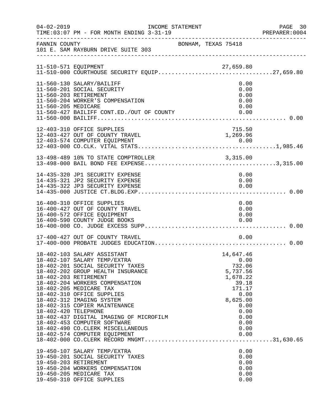| $04 - 02 - 2019$     | INCOME STATEMENT<br>TIME: 03:07 PM - FOR MONTH ENDING 3-31-19                                                                                                                                                                                                                                                                                                                                                                                                             |                                                                                                                                            | PAGE 30<br>PREPARER: 0004 |
|----------------------|---------------------------------------------------------------------------------------------------------------------------------------------------------------------------------------------------------------------------------------------------------------------------------------------------------------------------------------------------------------------------------------------------------------------------------------------------------------------------|--------------------------------------------------------------------------------------------------------------------------------------------|---------------------------|
| FANNIN COUNTY        | 101 E. SAM RAYBURN DRIVE SUITE 303                                                                                                                                                                                                                                                                                                                                                                                                                                        | BONHAM, TEXAS 75418                                                                                                                        |                           |
|                      | 11-510-571 EQUIPMENT<br>11-510-000 COURTHOUSE SECURITY EQUIP27,659.80                                                                                                                                                                                                                                                                                                                                                                                                     |                                                                                                                                            |                           |
| 11-560-205 MEDICARE  | 11-560-130 SALARY/BAILIFF<br>11-560-201 SOCIAL SECURITY<br>11-560-203 RETIREMENT<br>11-560-204 WORKER'S COMPENSATION                                                                                                                                                                                                                                                                                                                                                      | 0.00<br>0.00<br>0.00<br>0.00<br>0.00                                                                                                       |                           |
|                      | 12-403-310 OFFICE SUPPLIES<br>12-403-427 OUT OF COUNTY TRAVEL                                                                                                                                                                                                                                                                                                                                                                                                             | 715.50<br>1,269.96                                                                                                                         |                           |
|                      | 13-498-489 10% TO STATE COMPTROLLER 3,315.00                                                                                                                                                                                                                                                                                                                                                                                                                              |                                                                                                                                            |                           |
|                      | 14-435-320 JP1 SECURITY EXPENSE<br>14-435-321 JP2 SECURITY EXPENSE<br>14-435-322 JP3 SECURITY EXPENSE                                                                                                                                                                                                                                                                                                                                                                     | 0.00<br>0.00<br>0.00                                                                                                                       |                           |
|                      | 16-400-310 OFFICE SUPPLIES<br>16-400-427 OUT OF COUNTY TRAVEL<br>16-400-572 OFFICE EQUIPMENT<br>16-400-590 COUNTY JUDGE BOOKS                                                                                                                                                                                                                                                                                                                                             | 0.00<br>0.00<br>0.00<br>0.00                                                                                                               |                           |
|                      | 17-400-427 OUT OF COUNTY TRAVEL                                                                                                                                                                                                                                                                                                                                                                                                                                           | 0.00                                                                                                                                       |                           |
| 18-402-420 TELEPHONE | 18-402-103 SALARY ASSISTANT<br>18-402-107 SALARY TEMP/EXTRA<br>18-402-201 SOCIAL SECURITY TAXES<br>18-402-202 GROUP HEALTH INSURANCE<br>18-402-203 RETIREMENT<br>18-402-204 WORKERS COMPENSATION<br>18-402-205 MEDICARE TAX<br>18-402-310 OFFICE SUPPLIES<br>18-402-312 IMAGING SYSTEM<br>18-402-315 COPIER MAINTENANCE<br>18-402-437 DIGITAL IMAGING OF MICROFILM<br>18-402-453 COMPUTER SOFTWARE<br>18-402-490 CO. CLERK MISCELLANEOUS<br>18-402-574 COMPUTER EQUIPMENT | 14,647.46<br>0.00<br>732.06<br>5,737.56<br>1,678.22<br>39.18<br>171.17<br>0.00<br>8,625.00<br>0.00<br>0.00<br>0.00<br>0.00<br>0.00<br>0.00 |                           |
|                      | 19-450-107 SALARY TEMP/EXTRA<br>19-450-201 SOCIAL SECURITY TAXES<br>19-450-203 RETIREMENT<br>19-450-204 WORKERS COMPENSATION<br>19-450-205 MEDICARE TAX<br>19-450-310 OFFICE SUPPLIES                                                                                                                                                                                                                                                                                     | 0.00<br>0.00<br>0.00<br>0.00<br>0.00<br>0.00                                                                                               |                           |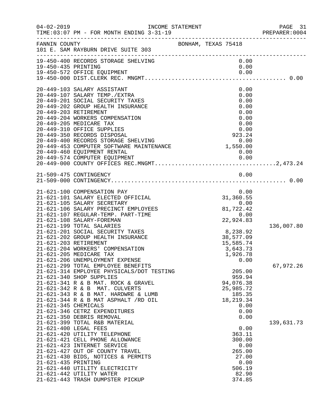| $04 - 02 - 2019$     | INCOME STATEMENT<br>TIME: 03:07 PM - FOR MONTH ENDING 3-31-19                                                                                 |                     |                       | PAGE 31<br>PREPARER: 0004 |
|----------------------|-----------------------------------------------------------------------------------------------------------------------------------------------|---------------------|-----------------------|---------------------------|
| FANNIN COUNTY        | 101 E. SAM RAYBURN DRIVE SUITE 303                                                                                                            | BONHAM, TEXAS 75418 |                       |                           |
| 19-450-435 PRINTING  | 19-450-400 RECORDS STORAGE SHELVING<br>19-450-572 OFFICE EQUIPMENT                                                                            |                     | 0.00<br>0.00<br>0.00  |                           |
|                      | 20-449-103 SALARY ASSISTANT                                                                                                                   |                     | 0.00                  |                           |
|                      | 20-449-107 SALARY TEMP./EXTRA                                                                                                                 |                     | 0.00                  |                           |
|                      | 20-449-201 SOCIAL SECURITY TAXES                                                                                                              |                     | 0.00                  |                           |
|                      | 20-449-202 GROUP HEALTH INSURANCE                                                                                                             |                     | 0.00<br>0.00          |                           |
|                      | 20-449-203 RETIREMENT<br>20-449-204 WORKERS COMPENSATION                                                                                      |                     | 0.00                  |                           |
|                      | 20-449-205 MEDICARE TAX                                                                                                                       |                     | 0.00                  |                           |
|                      | 20-449-310 OFFICE SUPPLIES                                                                                                                    |                     | 0.00                  |                           |
|                      | 20-449-350 RECORDS DISPOSAL<br>20-449-400 RECORDS STORAGE SHELVING<br>20-449-453 COMPUTER SOFTWARE MAINTENANCE<br>20-449-450 FOUTEMENT BENTAL |                     |                       |                           |
|                      |                                                                                                                                               |                     |                       |                           |
|                      | 20-449-460 EQUIPMENT RENTAL                                                                                                                   |                     | 0.00                  |                           |
|                      |                                                                                                                                               |                     |                       |                           |
|                      |                                                                                                                                               |                     |                       |                           |
|                      | 21-509-475 CONTINGENCY                                                                                                                        |                     | 0.00                  |                           |
|                      |                                                                                                                                               |                     |                       |                           |
|                      | 21-621-100 COMPENSATION PAY                                                                                                                   |                     | 0.00                  |                           |
|                      | 21-621-101 SALARY ELECTED OFFICIAL                                                                                                            |                     | 31,360.55             |                           |
|                      | 21-621-105 SALARY SECRETARY                                                                                                                   |                     | 0.00                  |                           |
|                      | 21-621-106 SALARY PRECINCT EMPLOYEES                                                                                                          |                     | 81,722.42             |                           |
|                      | 21-621-107 REGULAR-TEMP. PART-TIME<br>21-621-108 SALARY-FOREMAN                                                                               |                     | 0.00<br>22,924.83     |                           |
|                      | 21-621-199 TOTAL SALARIES                                                                                                                     |                     |                       | 136,007.80                |
|                      | 21-621-201 SOCIAL SECURITY TAXES                                                                                                              |                     | 8,238.92              |                           |
|                      | 21-621-202 GROUP HEALTH INSURANCE                                                                                                             |                     | 38,577.09             |                           |
|                      | 21-621-203 RETIREMENT                                                                                                                         |                     | 15,585.74             |                           |
|                      | 21-621-204 WORKERS' COMPENSATION                                                                                                              |                     | 3,643.73              |                           |
|                      | 21-621-205 MEDICARE TAX<br>21-621-206 UNEMPLOYMENT EXPENSE                                                                                    |                     | 1,926.78<br>0.00      |                           |
|                      | 21-621-299 TOTAL EMPLOYEE BENEFITS                                                                                                            |                     |                       | 67,972.26                 |
|                      | 21-621-314 EMPLOYEE PHYSICALS/DOT TESTING                                                                                                     |                     | 205.00                |                           |
|                      | 21-621-340 SHOP SUPPLIES                                                                                                                      |                     | 959.94                |                           |
|                      | 21-621-341 R & B MAT. ROCK & GRAVEL                                                                                                           |                     | 94,076.38             |                           |
|                      | 21-621-342 R & B MAT. CULVERTS                                                                                                                |                     | 25,985.72             |                           |
|                      | 21-621-343 R & B MAT. HARDWRE & LUMB<br>$21-621-344$ R & B MAT ASPHALT $/RD$ OIL                                                              |                     | 185.35<br>18, 219. 34 |                           |
| 21-621-345 CHEMICALS |                                                                                                                                               |                     | 0.00                  |                           |
|                      | 21-621-346 CETRZ EXPENDITURES                                                                                                                 |                     | 0.00                  |                           |
|                      | 21-621-350 DEBRIS REMOVAL                                                                                                                     |                     | 0.00                  |                           |
|                      | 21-621-399 TOTAL R&B MATERIAL                                                                                                                 |                     |                       | 139,631.73                |
|                      | 21-621-400 LEGAL FEES                                                                                                                         |                     | 0.00                  |                           |
|                      | 21-621-420 UTILITY TELEPHONE                                                                                                                  |                     | 363.11                |                           |
|                      | 21-621-421 CELL PHONE ALLOWANCE<br>21-621-423 INTERNET SERVICE                                                                                |                     | 300.00<br>0.00        |                           |
|                      | 21-621-427 OUT OF COUNTY TRAVEL                                                                                                               |                     | 265.00                |                           |
|                      | 21-621-430 BIDS, NOTICES & PERMITS                                                                                                            |                     | 27.00                 |                           |
| 21-621-435 PRINTING  |                                                                                                                                               |                     | 0.00                  |                           |
|                      | 21-621-440 UTILITY ELECTRICITY                                                                                                                |                     | 506.19                |                           |
|                      | 21-621-442 UTILITY WATER                                                                                                                      |                     | 82.90                 |                           |
|                      | 21-621-443 TRASH DUMPSTER PICKUP                                                                                                              |                     | 374.85                |                           |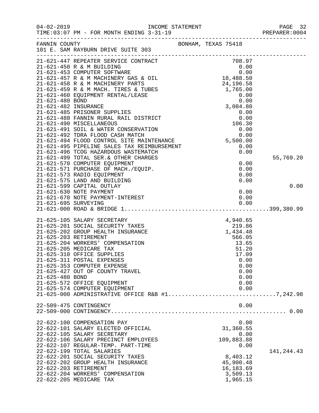| 106.30<br>106.30<br>21-021-492 TDRA FLOOD CASH MATCH 0.00<br>21-621-494 FLOOD CONTROL SITE MAINTENANCE 5,500.00<br>21-621-495 PIPELINE SALES TAX REIMBURSEMENT 5,500.00<br>21-621-496 TCOG HAZARDOUS WASTEMATCH 0.00<br>21-621-499 TOTAL S<br>55,769.20<br>21-621-570 COMPUTER EQUIPMENT<br>0.00<br>21-621-571 PURCHASE OF MACH./EQUIP.<br>0.00<br>0.00<br>21-621-573 RADIO EQUIPMENT<br>0.00<br>21-621-575 LAND AND BUILDING<br>21-621-599 CAPITAL OUTLAY<br>0.00<br>21-621-630 NOTE PAYMENT<br>0.00<br>21-621-630 NOTE PAYMENT<br>21-621-670 NOTE PAYMENT-INTEREST<br>0.00<br>21-625-105 SALARY SECRETARY<br>$\begin{array}{r} 4\,,\, 9\,4\,0\,. \ 6\,5\ 2\,1\,9\,. \ 8\,6\ 1\,,\, 4\,3\,4\,. \ 4\,8 \end{array}$<br>21-625-201 SOCIAL SECURITY TAXES<br>21-625-202 GROUP HEALTH INSURANCE<br>21-625-203 RETIREMENT<br>566.05<br>21-625-204 WORKERS' COMPENSATION<br>13.65<br>21-625-205 MEDICARE TAX<br>51.20<br>21-625-310 OFFICE SUPPLIES<br>17.09<br>21-625-311 POSTAL EXPENSES<br>0.00<br>0.00<br>21-625-353 COMPUTER EXPENSE<br>21-625-427 OUT OF COUNTY TRAVEL<br>0.00<br>21-625-480 BOND<br>0.00<br>0.00<br>21-625-572 OFFICE EQUIPMENT<br>21-625-574 COMPUTER EQUIPMENT<br>0.00<br>21-625-000 ADMINISTRATIVE OFFICE R&B #17,242.98<br>0.00<br>22-509-475 CONTINGENCY<br>22-622-100 COMPENSATION PAY<br>0.00<br>31,360.55<br>22-622-101 SALARY ELECTED OFFICIAL<br>22-622-105 SALARY SECRETARY<br>0.00<br>109,883.88<br>22-622-106 SALARY PRECINCT EMPLOYEES<br>22-622-107 REGULAR-TEMP. PART-TIME<br>0.00<br>22-622-199 TOTAL SALARIES<br>141, 244. 43<br>22-622-201 SOCIAL SECURITY TAXES<br>8,403.12<br>45,900.48<br>22-622-202 GROUP HEALTH INSURANCE<br>16, 183.69<br>22-622-203 RETIREMENT<br>3,509.13<br>22-622-204 WORKERS' COMPENSATION<br>1,965.15<br>22-622-205 MEDICARE TAX | $04 - 02 - 2019$ | INCOME STATEMENT<br>3-31-19<br>TIME: 03:07 PM - FOR MONTH ENDING 3-31-19 |  |  | PAGE 32<br>PREPARER: 0004 |
|---------------------------------------------------------------------------------------------------------------------------------------------------------------------------------------------------------------------------------------------------------------------------------------------------------------------------------------------------------------------------------------------------------------------------------------------------------------------------------------------------------------------------------------------------------------------------------------------------------------------------------------------------------------------------------------------------------------------------------------------------------------------------------------------------------------------------------------------------------------------------------------------------------------------------------------------------------------------------------------------------------------------------------------------------------------------------------------------------------------------------------------------------------------------------------------------------------------------------------------------------------------------------------------------------------------------------------------------------------------------------------------------------------------------------------------------------------------------------------------------------------------------------------------------------------------------------------------------------------------------------------------------------------------------------------------------------------------------------------------------------------------------------------------------------|------------------|--------------------------------------------------------------------------|--|--|---------------------------|
|                                                                                                                                                                                                                                                                                                                                                                                                                                                                                                                                                                                                                                                                                                                                                                                                                                                                                                                                                                                                                                                                                                                                                                                                                                                                                                                                                                                                                                                                                                                                                                                                                                                                                                                                                                                                   |                  |                                                                          |  |  |                           |
|                                                                                                                                                                                                                                                                                                                                                                                                                                                                                                                                                                                                                                                                                                                                                                                                                                                                                                                                                                                                                                                                                                                                                                                                                                                                                                                                                                                                                                                                                                                                                                                                                                                                                                                                                                                                   |                  |                                                                          |  |  |                           |
|                                                                                                                                                                                                                                                                                                                                                                                                                                                                                                                                                                                                                                                                                                                                                                                                                                                                                                                                                                                                                                                                                                                                                                                                                                                                                                                                                                                                                                                                                                                                                                                                                                                                                                                                                                                                   |                  |                                                                          |  |  |                           |
|                                                                                                                                                                                                                                                                                                                                                                                                                                                                                                                                                                                                                                                                                                                                                                                                                                                                                                                                                                                                                                                                                                                                                                                                                                                                                                                                                                                                                                                                                                                                                                                                                                                                                                                                                                                                   |                  |                                                                          |  |  |                           |
|                                                                                                                                                                                                                                                                                                                                                                                                                                                                                                                                                                                                                                                                                                                                                                                                                                                                                                                                                                                                                                                                                                                                                                                                                                                                                                                                                                                                                                                                                                                                                                                                                                                                                                                                                                                                   |                  |                                                                          |  |  |                           |
|                                                                                                                                                                                                                                                                                                                                                                                                                                                                                                                                                                                                                                                                                                                                                                                                                                                                                                                                                                                                                                                                                                                                                                                                                                                                                                                                                                                                                                                                                                                                                                                                                                                                                                                                                                                                   |                  |                                                                          |  |  |                           |
|                                                                                                                                                                                                                                                                                                                                                                                                                                                                                                                                                                                                                                                                                                                                                                                                                                                                                                                                                                                                                                                                                                                                                                                                                                                                                                                                                                                                                                                                                                                                                                                                                                                                                                                                                                                                   |                  |                                                                          |  |  |                           |
|                                                                                                                                                                                                                                                                                                                                                                                                                                                                                                                                                                                                                                                                                                                                                                                                                                                                                                                                                                                                                                                                                                                                                                                                                                                                                                                                                                                                                                                                                                                                                                                                                                                                                                                                                                                                   |                  |                                                                          |  |  |                           |
|                                                                                                                                                                                                                                                                                                                                                                                                                                                                                                                                                                                                                                                                                                                                                                                                                                                                                                                                                                                                                                                                                                                                                                                                                                                                                                                                                                                                                                                                                                                                                                                                                                                                                                                                                                                                   |                  |                                                                          |  |  |                           |
|                                                                                                                                                                                                                                                                                                                                                                                                                                                                                                                                                                                                                                                                                                                                                                                                                                                                                                                                                                                                                                                                                                                                                                                                                                                                                                                                                                                                                                                                                                                                                                                                                                                                                                                                                                                                   |                  |                                                                          |  |  |                           |
|                                                                                                                                                                                                                                                                                                                                                                                                                                                                                                                                                                                                                                                                                                                                                                                                                                                                                                                                                                                                                                                                                                                                                                                                                                                                                                                                                                                                                                                                                                                                                                                                                                                                                                                                                                                                   |                  |                                                                          |  |  |                           |
|                                                                                                                                                                                                                                                                                                                                                                                                                                                                                                                                                                                                                                                                                                                                                                                                                                                                                                                                                                                                                                                                                                                                                                                                                                                                                                                                                                                                                                                                                                                                                                                                                                                                                                                                                                                                   |                  |                                                                          |  |  |                           |
|                                                                                                                                                                                                                                                                                                                                                                                                                                                                                                                                                                                                                                                                                                                                                                                                                                                                                                                                                                                                                                                                                                                                                                                                                                                                                                                                                                                                                                                                                                                                                                                                                                                                                                                                                                                                   |                  |                                                                          |  |  |                           |
|                                                                                                                                                                                                                                                                                                                                                                                                                                                                                                                                                                                                                                                                                                                                                                                                                                                                                                                                                                                                                                                                                                                                                                                                                                                                                                                                                                                                                                                                                                                                                                                                                                                                                                                                                                                                   |                  |                                                                          |  |  |                           |
|                                                                                                                                                                                                                                                                                                                                                                                                                                                                                                                                                                                                                                                                                                                                                                                                                                                                                                                                                                                                                                                                                                                                                                                                                                                                                                                                                                                                                                                                                                                                                                                                                                                                                                                                                                                                   |                  |                                                                          |  |  |                           |
|                                                                                                                                                                                                                                                                                                                                                                                                                                                                                                                                                                                                                                                                                                                                                                                                                                                                                                                                                                                                                                                                                                                                                                                                                                                                                                                                                                                                                                                                                                                                                                                                                                                                                                                                                                                                   |                  |                                                                          |  |  |                           |
|                                                                                                                                                                                                                                                                                                                                                                                                                                                                                                                                                                                                                                                                                                                                                                                                                                                                                                                                                                                                                                                                                                                                                                                                                                                                                                                                                                                                                                                                                                                                                                                                                                                                                                                                                                                                   |                  |                                                                          |  |  |                           |
|                                                                                                                                                                                                                                                                                                                                                                                                                                                                                                                                                                                                                                                                                                                                                                                                                                                                                                                                                                                                                                                                                                                                                                                                                                                                                                                                                                                                                                                                                                                                                                                                                                                                                                                                                                                                   |                  |                                                                          |  |  |                           |
|                                                                                                                                                                                                                                                                                                                                                                                                                                                                                                                                                                                                                                                                                                                                                                                                                                                                                                                                                                                                                                                                                                                                                                                                                                                                                                                                                                                                                                                                                                                                                                                                                                                                                                                                                                                                   |                  |                                                                          |  |  |                           |
|                                                                                                                                                                                                                                                                                                                                                                                                                                                                                                                                                                                                                                                                                                                                                                                                                                                                                                                                                                                                                                                                                                                                                                                                                                                                                                                                                                                                                                                                                                                                                                                                                                                                                                                                                                                                   |                  |                                                                          |  |  |                           |
|                                                                                                                                                                                                                                                                                                                                                                                                                                                                                                                                                                                                                                                                                                                                                                                                                                                                                                                                                                                                                                                                                                                                                                                                                                                                                                                                                                                                                                                                                                                                                                                                                                                                                                                                                                                                   |                  |                                                                          |  |  |                           |
|                                                                                                                                                                                                                                                                                                                                                                                                                                                                                                                                                                                                                                                                                                                                                                                                                                                                                                                                                                                                                                                                                                                                                                                                                                                                                                                                                                                                                                                                                                                                                                                                                                                                                                                                                                                                   |                  |                                                                          |  |  |                           |
|                                                                                                                                                                                                                                                                                                                                                                                                                                                                                                                                                                                                                                                                                                                                                                                                                                                                                                                                                                                                                                                                                                                                                                                                                                                                                                                                                                                                                                                                                                                                                                                                                                                                                                                                                                                                   |                  |                                                                          |  |  |                           |
|                                                                                                                                                                                                                                                                                                                                                                                                                                                                                                                                                                                                                                                                                                                                                                                                                                                                                                                                                                                                                                                                                                                                                                                                                                                                                                                                                                                                                                                                                                                                                                                                                                                                                                                                                                                                   |                  |                                                                          |  |  |                           |
|                                                                                                                                                                                                                                                                                                                                                                                                                                                                                                                                                                                                                                                                                                                                                                                                                                                                                                                                                                                                                                                                                                                                                                                                                                                                                                                                                                                                                                                                                                                                                                                                                                                                                                                                                                                                   |                  |                                                                          |  |  |                           |
|                                                                                                                                                                                                                                                                                                                                                                                                                                                                                                                                                                                                                                                                                                                                                                                                                                                                                                                                                                                                                                                                                                                                                                                                                                                                                                                                                                                                                                                                                                                                                                                                                                                                                                                                                                                                   |                  |                                                                          |  |  |                           |
|                                                                                                                                                                                                                                                                                                                                                                                                                                                                                                                                                                                                                                                                                                                                                                                                                                                                                                                                                                                                                                                                                                                                                                                                                                                                                                                                                                                                                                                                                                                                                                                                                                                                                                                                                                                                   |                  |                                                                          |  |  |                           |
|                                                                                                                                                                                                                                                                                                                                                                                                                                                                                                                                                                                                                                                                                                                                                                                                                                                                                                                                                                                                                                                                                                                                                                                                                                                                                                                                                                                                                                                                                                                                                                                                                                                                                                                                                                                                   |                  |                                                                          |  |  |                           |
|                                                                                                                                                                                                                                                                                                                                                                                                                                                                                                                                                                                                                                                                                                                                                                                                                                                                                                                                                                                                                                                                                                                                                                                                                                                                                                                                                                                                                                                                                                                                                                                                                                                                                                                                                                                                   |                  |                                                                          |  |  |                           |
|                                                                                                                                                                                                                                                                                                                                                                                                                                                                                                                                                                                                                                                                                                                                                                                                                                                                                                                                                                                                                                                                                                                                                                                                                                                                                                                                                                                                                                                                                                                                                                                                                                                                                                                                                                                                   |                  |                                                                          |  |  |                           |
|                                                                                                                                                                                                                                                                                                                                                                                                                                                                                                                                                                                                                                                                                                                                                                                                                                                                                                                                                                                                                                                                                                                                                                                                                                                                                                                                                                                                                                                                                                                                                                                                                                                                                                                                                                                                   |                  |                                                                          |  |  |                           |
|                                                                                                                                                                                                                                                                                                                                                                                                                                                                                                                                                                                                                                                                                                                                                                                                                                                                                                                                                                                                                                                                                                                                                                                                                                                                                                                                                                                                                                                                                                                                                                                                                                                                                                                                                                                                   |                  |                                                                          |  |  |                           |
|                                                                                                                                                                                                                                                                                                                                                                                                                                                                                                                                                                                                                                                                                                                                                                                                                                                                                                                                                                                                                                                                                                                                                                                                                                                                                                                                                                                                                                                                                                                                                                                                                                                                                                                                                                                                   |                  |                                                                          |  |  |                           |
|                                                                                                                                                                                                                                                                                                                                                                                                                                                                                                                                                                                                                                                                                                                                                                                                                                                                                                                                                                                                                                                                                                                                                                                                                                                                                                                                                                                                                                                                                                                                                                                                                                                                                                                                                                                                   |                  |                                                                          |  |  |                           |
|                                                                                                                                                                                                                                                                                                                                                                                                                                                                                                                                                                                                                                                                                                                                                                                                                                                                                                                                                                                                                                                                                                                                                                                                                                                                                                                                                                                                                                                                                                                                                                                                                                                                                                                                                                                                   |                  |                                                                          |  |  |                           |
|                                                                                                                                                                                                                                                                                                                                                                                                                                                                                                                                                                                                                                                                                                                                                                                                                                                                                                                                                                                                                                                                                                                                                                                                                                                                                                                                                                                                                                                                                                                                                                                                                                                                                                                                                                                                   |                  |                                                                          |  |  |                           |
|                                                                                                                                                                                                                                                                                                                                                                                                                                                                                                                                                                                                                                                                                                                                                                                                                                                                                                                                                                                                                                                                                                                                                                                                                                                                                                                                                                                                                                                                                                                                                                                                                                                                                                                                                                                                   |                  |                                                                          |  |  |                           |
|                                                                                                                                                                                                                                                                                                                                                                                                                                                                                                                                                                                                                                                                                                                                                                                                                                                                                                                                                                                                                                                                                                                                                                                                                                                                                                                                                                                                                                                                                                                                                                                                                                                                                                                                                                                                   |                  |                                                                          |  |  |                           |
|                                                                                                                                                                                                                                                                                                                                                                                                                                                                                                                                                                                                                                                                                                                                                                                                                                                                                                                                                                                                                                                                                                                                                                                                                                                                                                                                                                                                                                                                                                                                                                                                                                                                                                                                                                                                   |                  |                                                                          |  |  |                           |
|                                                                                                                                                                                                                                                                                                                                                                                                                                                                                                                                                                                                                                                                                                                                                                                                                                                                                                                                                                                                                                                                                                                                                                                                                                                                                                                                                                                                                                                                                                                                                                                                                                                                                                                                                                                                   |                  |                                                                          |  |  |                           |
|                                                                                                                                                                                                                                                                                                                                                                                                                                                                                                                                                                                                                                                                                                                                                                                                                                                                                                                                                                                                                                                                                                                                                                                                                                                                                                                                                                                                                                                                                                                                                                                                                                                                                                                                                                                                   |                  |                                                                          |  |  |                           |
|                                                                                                                                                                                                                                                                                                                                                                                                                                                                                                                                                                                                                                                                                                                                                                                                                                                                                                                                                                                                                                                                                                                                                                                                                                                                                                                                                                                                                                                                                                                                                                                                                                                                                                                                                                                                   |                  |                                                                          |  |  |                           |
|                                                                                                                                                                                                                                                                                                                                                                                                                                                                                                                                                                                                                                                                                                                                                                                                                                                                                                                                                                                                                                                                                                                                                                                                                                                                                                                                                                                                                                                                                                                                                                                                                                                                                                                                                                                                   |                  |                                                                          |  |  |                           |
|                                                                                                                                                                                                                                                                                                                                                                                                                                                                                                                                                                                                                                                                                                                                                                                                                                                                                                                                                                                                                                                                                                                                                                                                                                                                                                                                                                                                                                                                                                                                                                                                                                                                                                                                                                                                   |                  |                                                                          |  |  |                           |
|                                                                                                                                                                                                                                                                                                                                                                                                                                                                                                                                                                                                                                                                                                                                                                                                                                                                                                                                                                                                                                                                                                                                                                                                                                                                                                                                                                                                                                                                                                                                                                                                                                                                                                                                                                                                   |                  |                                                                          |  |  |                           |
|                                                                                                                                                                                                                                                                                                                                                                                                                                                                                                                                                                                                                                                                                                                                                                                                                                                                                                                                                                                                                                                                                                                                                                                                                                                                                                                                                                                                                                                                                                                                                                                                                                                                                                                                                                                                   |                  |                                                                          |  |  |                           |
|                                                                                                                                                                                                                                                                                                                                                                                                                                                                                                                                                                                                                                                                                                                                                                                                                                                                                                                                                                                                                                                                                                                                                                                                                                                                                                                                                                                                                                                                                                                                                                                                                                                                                                                                                                                                   |                  |                                                                          |  |  |                           |
|                                                                                                                                                                                                                                                                                                                                                                                                                                                                                                                                                                                                                                                                                                                                                                                                                                                                                                                                                                                                                                                                                                                                                                                                                                                                                                                                                                                                                                                                                                                                                                                                                                                                                                                                                                                                   |                  |                                                                          |  |  |                           |
|                                                                                                                                                                                                                                                                                                                                                                                                                                                                                                                                                                                                                                                                                                                                                                                                                                                                                                                                                                                                                                                                                                                                                                                                                                                                                                                                                                                                                                                                                                                                                                                                                                                                                                                                                                                                   |                  |                                                                          |  |  |                           |
|                                                                                                                                                                                                                                                                                                                                                                                                                                                                                                                                                                                                                                                                                                                                                                                                                                                                                                                                                                                                                                                                                                                                                                                                                                                                                                                                                                                                                                                                                                                                                                                                                                                                                                                                                                                                   |                  |                                                                          |  |  |                           |
|                                                                                                                                                                                                                                                                                                                                                                                                                                                                                                                                                                                                                                                                                                                                                                                                                                                                                                                                                                                                                                                                                                                                                                                                                                                                                                                                                                                                                                                                                                                                                                                                                                                                                                                                                                                                   |                  |                                                                          |  |  |                           |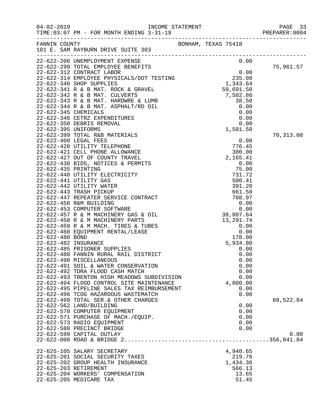|                                                                                                                                                                                                                                             |                    | PAGE 33<br>PREPARER: 0004 |
|---------------------------------------------------------------------------------------------------------------------------------------------------------------------------------------------------------------------------------------------|--------------------|---------------------------|
|                                                                                                                                                                                                                                             |                    |                           |
| 101 E. SAM KALDONAL CONTRACT DEPTITES<br>22-622-299 TOTAL EMPLOYMENT EXPENSE<br>22-622-299 TOTAL EMPLOYMENT EXPENSE<br>22-622-312 CONTRACT LABOR<br>22-622-314 EMPLOYMENT EXPENSE<br>235.00<br>22-622-342 R & B MAT. ROCK & GRAVEL<br>235.0 |                    |                           |
|                                                                                                                                                                                                                                             |                    | 75,961.57                 |
|                                                                                                                                                                                                                                             |                    |                           |
|                                                                                                                                                                                                                                             |                    |                           |
|                                                                                                                                                                                                                                             |                    |                           |
|                                                                                                                                                                                                                                             |                    |                           |
|                                                                                                                                                                                                                                             |                    |                           |
|                                                                                                                                                                                                                                             |                    |                           |
|                                                                                                                                                                                                                                             |                    |                           |
|                                                                                                                                                                                                                                             |                    |                           |
|                                                                                                                                                                                                                                             |                    |                           |
|                                                                                                                                                                                                                                             |                    |                           |
| 22-622-399 TOTAL R&B MATERIALS                                                                                                                                                                                                              |                    | 70,313.00                 |
|                                                                                                                                                                                                                                             | 0.00               |                           |
|                                                                                                                                                                                                                                             | 776.45             |                           |
|                                                                                                                                                                                                                                             | 300.00<br>2,165.41 |                           |
|                                                                                                                                                                                                                                             | 0.00               |                           |
|                                                                                                                                                                                                                                             | 75.00              |                           |
|                                                                                                                                                                                                                                             | 731.72             |                           |
|                                                                                                                                                                                                                                             | 500.41             |                           |
|                                                                                                                                                                                                                                             | 391.20             |                           |
|                                                                                                                                                                                                                                             | 661.50             |                           |
|                                                                                                                                                                                                                                             |                    |                           |
| 22-622-420 UTILITY TELEPHONE<br>22-622-421 CELL PHONE ALLOWANCE<br>22-622-427 OUT OF COUNTY TRAVEL<br>22-622-430 BIDS, NOTICES & PERMITS<br>22-622-430 BIDS, NOTICES & PERMITS<br>22-622-441 UTILITY ELECTRICITY<br>22-622-441 UTILITY GAS  |                    |                           |
|                                                                                                                                                                                                                                             |                    |                           |
|                                                                                                                                                                                                                                             |                    |                           |
|                                                                                                                                                                                                                                             |                    |                           |
|                                                                                                                                                                                                                                             |                    |                           |
|                                                                                                                                                                                                                                             |                    |                           |
|                                                                                                                                                                                                                                             |                    |                           |
|                                                                                                                                                                                                                                             |                    |                           |
|                                                                                                                                                                                                                                             |                    |                           |
|                                                                                                                                                                                                                                             |                    |                           |
|                                                                                                                                                                                                                                             |                    |                           |
|                                                                                                                                                                                                                                             |                    |                           |
| 22-622-493 TRENTON HIGH MEADOWS SUBDIVISION                                                                                                                                                                                                 | 0.00               |                           |
| 22-622-494 FLOOD CONTROL SITE MAINTENANCE                                                                                                                                                                                                   | 4,000.00           |                           |
| 22-622-495 PIPELINE SALES TAX REIMBURSEMENT                                                                                                                                                                                                 | 0.00               |                           |
| 22-622-496 TCOG HAZARDOUS WASTEMATCH                                                                                                                                                                                                        | 0.00               |                           |
| 22-622-499 TOTAL SER. & OTHER CHARGES                                                                                                                                                                                                       |                    | 68,522.84                 |
| 22-622-562 LAND/BUILDING<br>22-622-570 COMPUTER EQUIPMENT                                                                                                                                                                                   | 0.00<br>0.00       |                           |
| 22-622-571 PURCHASE OF MACH./EQUIP.                                                                                                                                                                                                         | 0.00               |                           |
| 22-622-573 RADIO EQUIPMENT                                                                                                                                                                                                                  | 0.00               |                           |
| 22-622-580 PRECINCT BRIDGE                                                                                                                                                                                                                  | 0.00               |                           |
| 22-622-599 CAPITAL OUTLAY                                                                                                                                                                                                                   |                    | 0.00                      |
|                                                                                                                                                                                                                                             |                    |                           |
|                                                                                                                                                                                                                                             |                    |                           |
| 22-625-105 SALARY SECRETARY                                                                                                                                                                                                                 | 4,940.65           |                           |
| 22-625-201 SOCIAL SECURITY TAXES                                                                                                                                                                                                            | 219.76             |                           |
| 22-625-202 GROUP HEALTH INSURANCE<br>22-625-203 RETIREMENT                                                                                                                                                                                  | 1,434.36<br>566.13 |                           |
| 22-625-204 WORKERS' COMPENSATION                                                                                                                                                                                                            | 13.65              |                           |
| 22-625-205 MEDICARE TAX                                                                                                                                                                                                                     | 51.45              |                           |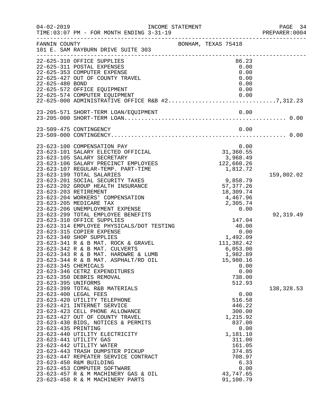| $04 - 02 - 2019$    | INCOME STATEMENT<br>TIME: 03:07 PM - FOR MONTH ENDING 3-31-19                    |                                      | PAGE 34<br>PREPARER: 0004 |
|---------------------|----------------------------------------------------------------------------------|--------------------------------------|---------------------------|
| FANNIN COUNTY       | 101 E. SAM RAYBURN DRIVE SUITE 303                                               | BONHAM, TEXAS 75418                  |                           |
|                     | 22-625-310 OFFICE SUPPLIES                                                       | 86.23                                |                           |
|                     | 22-625-311 POSTAL EXPENSES                                                       | 0.00                                 |                           |
|                     | 22-625-353 COMPUTER EXPENSE                                                      | 0.00                                 |                           |
| 22-625-480 BOND     | 22-625-427 OUT OF COUNTY TRAVEL                                                  | 0.00<br>0.00                         |                           |
|                     | 22-625-572 OFFICE EQUIPMENT                                                      | 0.00                                 |                           |
|                     | 22-625-574 COMPUTER EQUIPMENT                                                    | 0.00                                 |                           |
|                     | 22-625-574 COMPUTER EQUIPMENT<br>22-625-000 ADMINISTRATIVE OFFICE R&B #27,312.23 |                                      |                           |
|                     |                                                                                  | 0.00                                 |                           |
|                     |                                                                                  |                                      |                           |
|                     | 23-509-475 CONTINGENCY                                                           | 0.00                                 |                           |
|                     |                                                                                  |                                      |                           |
|                     | 23-623-100 COMPENSATION PAY                                                      | 0.00                                 |                           |
|                     | 23-623-101 SALARY ELECTED OFFICIAL<br>23-623-105 SALARY SECRETARY                | 31, 360.55                           |                           |
|                     | 23-623-106 SALARY PRECINCT EMPLOYEES                                             | 3,968.49<br>122,660.26               |                           |
|                     | 23-623-107 REGULAR-TEMP. PART-TIME                                               | 1,812.72                             |                           |
|                     | 23-623-199 TOTAL SALARIES                                                        |                                      | 159,802.02                |
|                     | 23-623-201 SOCIAL SECURITY TAXES                                                 | 9,858.79                             |                           |
|                     | 23-623-202 GROUP HEALTH INSURANCE                                                | 57, 377.26                           |                           |
|                     | 23-623-203 RETIREMENT                                                            | 18,309.74                            |                           |
|                     | 23-623-204 WORKERS' COMPENSATION                                                 | 4,467.96                             |                           |
|                     | 23-623-205 MEDICARE TAX                                                          | 2,305.74                             |                           |
|                     | 23-623-206 UNEMPLOYMENT EXPENSE                                                  | 0.00                                 |                           |
|                     | 23-623-299 TOTAL EMPLOYEE BENEFITS<br>23-623-310 OFFICE SUPPLIES                 |                                      | 92, 319.49                |
|                     | 23-623-314 EMPLOYEE PHYSICALS/DOT TESTING                                        | 147.04<br>40.00                      |                           |
|                     | 23-623-315 COPIER EXPENSE                                                        |                                      |                           |
|                     | 23-623-340 SHOP SUPPLIES                                                         | $0.00$<br>$1,492.09$<br>$111,382.42$ |                           |
|                     | 23-623-341 R & B MAT. ROCK & GRAVEL                                              |                                      |                           |
|                     | 23-623-342 R & B MAT. CULVERTS                                                   | 6,053.00                             |                           |
|                     | 23-623-343 R & B MAT. HARDWRE & LUMB                                             | 1,982.89                             |                           |
|                     | 23-623-344 R & B MAT. ASPHALT/RD OIL                                             | 15,980.16                            |                           |
|                     | 23-623-345 CHEMICALS                                                             | 0.00                                 |                           |
|                     | 23-623-346 CETRZ EXPENDITURES                                                    | 0.00                                 |                           |
|                     | 23-623-350 DEBRIS REMOVAL                                                        | 738.00                               |                           |
| 23-623-395 UNIFORMS | 23-623-399 TOTAL R&B MATERIALS                                                   | 512.93                               | 138,328.53                |
|                     | 23-623-400 LEGAL FEES                                                            | 0.00                                 |                           |
|                     | 23-623-420 UTILITY TELEPHONE                                                     | 516.58                               |                           |
|                     | 23-623-421 INTERNET SERVICE                                                      | 446.22                               |                           |
|                     | 23-623-423 CELL PHONE ALLOWANCE                                                  | 300.00                               |                           |
|                     | 23-623-427 OUT OF COUNTY TRAVEL                                                  | 1,215.92                             |                           |
|                     | 23-623-430 BIDS, NOTICES & PERMITS                                               | 837.00                               |                           |
| 23-623-435 PRINTING |                                                                                  | 0.00                                 |                           |
|                     | 23-623-440 UTILITY ELECTRICITY                                                   | 1,181.10                             |                           |
|                     | 23-623-441 UTILITY GAS                                                           | 311.00                               |                           |
|                     | 23-623-442 UTILITY WATER                                                         | 161.05                               |                           |
|                     | 23-623-443 TRASH DUMPSTER PICKUP                                                 | 374.85                               |                           |
|                     | 23-623-447 REPEATER SERVICE CONTRACT<br>23-623-450 R&M BUILDING                  | 708.97<br>6.33                       |                           |
|                     | 23-623-453 COMPUTER SOFTWARE                                                     | 0.00                                 |                           |
|                     | 23-623-457 R & M MACHINERY GAS & OIL                                             | 43,747.65                            |                           |
|                     | 23-623-458 R & M MACHINERY PARTS                                                 | 91,100.79                            |                           |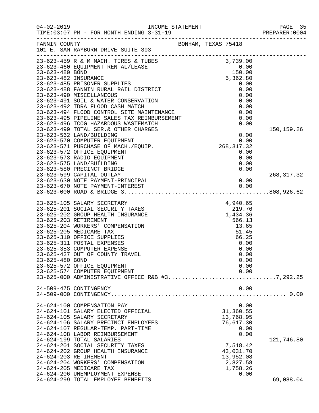| $04 - 02 - 2019$ | TIME: 03:07 PM - FOR MONTH ENDING 3-31-19<br>-------------------------------                                                                       |                                      | PAGE 35<br>PREPARER: 0004 |
|------------------|----------------------------------------------------------------------------------------------------------------------------------------------------|--------------------------------------|---------------------------|
| FANNIN COUNTY    | 101 E. SAM RAYBURN DRIVE SUITE 303                                                                                                                 | BONHAM, TEXAS 75418                  |                           |
|                  | 23-623-459 R & M MACH. TIRES & TUBES<br>23-623-460 EQUIPMENT RENTAL/LEASE 3,739.00<br>23-623-480 BOND<br>23-623-482 INSURANCE 5,362.80<br>5,362.80 |                                      |                           |
|                  |                                                                                                                                                    |                                      |                           |
|                  |                                                                                                                                                    |                                      |                           |
|                  | 23-623-485 PRISONER SUPPLIES                                                                                                                       | 0.00                                 |                           |
|                  | 23-623-488 FANNIN RURAL RAIL DISTRICT                                                                                                              | 0.00                                 |                           |
|                  | 23-623-490 MISCELLANEOUS                                                                                                                           | 0.00                                 |                           |
|                  | 23-623-491 SOIL & WATER CONSERVATION                                                                                                               | 0.00                                 |                           |
|                  | 23-623-492 TDRA FLOOD CASH MATCH                                                                                                                   | 0.00                                 |                           |
|                  | 23-623-494 FLOOD CONTROL SITE MAINTENANCE                                                                                                          | 0.00                                 |                           |
|                  | 23-623-495 PIPELINE SALES TAX REIMBURSEMENT                                                                                                        | 0.00                                 |                           |
|                  | 23-623-496 TCOG HAZARDOUS WASTEMATCH                                                                                                               | 0.00                                 |                           |
|                  | 23-623-499 TOTAL SER. & OTHER CHARGES                                                                                                              |                                      | 150,159.26                |
|                  | 23-623-562 LAND/BUILDING                                                                                                                           | 0.00<br>$0.00$<br>0.00<br>268,317.32 |                           |
|                  | 23-623-570 COMPUTER EQUIPMENT<br>23-623-571 PURCHASE OF MACH./EQUIP.                                                                               |                                      |                           |
|                  | 23-623-572 OFFICE EQUIPMENT                                                                                                                        | 0.00                                 |                           |
|                  | 23-623-573 RADIO EQUIPMENT                                                                                                                         | 0.00                                 |                           |
|                  | 23-623-575 LAND/BUILDING                                                                                                                           | 0.00                                 |                           |
|                  | 23-623-580 PRECINCT BRIDGE                                                                                                                         | 0.00                                 |                           |
|                  | 23-623-599 CAPITAL OUTLAY                                                                                                                          |                                      | 268, 317.32               |
|                  | 23-623-630 NOTE PAYMENT-PRINCIPAL                                                                                                                  | 0.00                                 |                           |
|                  |                                                                                                                                                    |                                      |                           |
|                  |                                                                                                                                                    |                                      |                           |
|                  | 23-625-105 SALARY SECRETARY                                                                                                                        | 4,940.65                             |                           |
|                  | 23-625-201 SOCIAL SECURITY TAXES                                                                                                                   |                                      |                           |
|                  | 23-625-202 GROUP HEALTH INSURANCE                                                                                                                  |                                      |                           |
|                  | 23-625-203 RETIREMENT                                                                                                                              | $1,434.36$<br>566.13<br>566.13       |                           |
|                  | 23-625-204 WORKERS' COMPENSATION                                                                                                                   | 13.65                                |                           |
|                  | 23-625-205 MEDICARE TAX                                                                                                                            | 51.45                                |                           |
|                  | 23-625-310 OFFICE SUPPLIES                                                                                                                         | 66.25                                |                           |
|                  | 23-625-311 POSTAL EXPENSES                                                                                                                         | 0.00                                 |                           |
|                  | 23-625-353 COMPUTER EXPENSE                                                                                                                        | 0.00                                 |                           |
|                  | 23-625-427 OUT OF COUNTY TRAVEL                                                                                                                    | 0.00                                 |                           |
| 23-625-480 BOND  |                                                                                                                                                    | 0.00                                 |                           |
|                  | 23-625-572 OFFICE EQUIPMENT                                                                                                                        | 0.00                                 |                           |
|                  | 23-625-574 COMPUTER EQUIPMENT<br>23-625-000 ADMINISTRATIVE OFFICE R&B #37,292.25                                                                   | 0.00                                 |                           |
|                  |                                                                                                                                                    |                                      |                           |
|                  | 24-509-475 CONTINGENCY                                                                                                                             | 0.00                                 |                           |
|                  |                                                                                                                                                    |                                      |                           |
|                  | 24-624-100 COMPENSATION PAY                                                                                                                        | 0.00                                 |                           |
|                  | 24-624-101 SALARY ELECTED OFFICIAL                                                                                                                 | 31,360.55                            |                           |
|                  | 24-624-105 SALARY SECRETARY                                                                                                                        | 13,768.95                            |                           |
|                  | 24-624-106 SALARY PRECINCT EMPLOYEES                                                                                                               | 76,617.30                            |                           |
|                  | 24-624-107 REGULAR-TEMP. PART-TIME                                                                                                                 | 0.00                                 |                           |
|                  | 24-624-108 LABOR REIMBURSEMENT                                                                                                                     | 0.00                                 |                           |
|                  | 24-624-199 TOTAL SALARIES                                                                                                                          |                                      | 121,746.80                |
|                  | 24-624-201 SOCIAL SECURITY TAXES                                                                                                                   | 7,518.42                             |                           |
|                  | 24-624-202 GROUP HEALTH INSURANCE                                                                                                                  | 43,031.70                            |                           |
|                  | 24-624-203 RETIREMENT                                                                                                                              | 13,952.08                            |                           |
|                  | 24-624-204 WORKERS' COMPENSATION                                                                                                                   | 2,827.58                             |                           |
|                  | 24-624-205 MEDICARE TAX                                                                                                                            | 1,758.26                             |                           |
|                  | 24-624-206 UNEMPLOYMENT EXPENSE                                                                                                                    | 0.00                                 |                           |
|                  | 24-624-299 TOTAL EMPLOYEE BENEFITS                                                                                                                 |                                      | 69,088.04                 |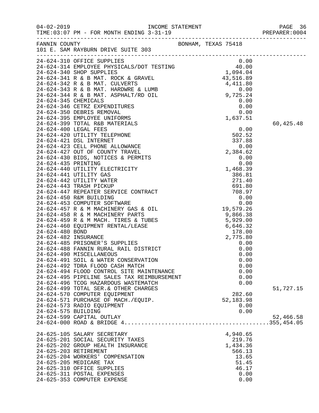| $04 - 02 - 2019$      | TIME: 03:07 PM - FOR MONTH ENDING 3-31-19                                                                                                                                                                                                  |                     |           |
|-----------------------|--------------------------------------------------------------------------------------------------------------------------------------------------------------------------------------------------------------------------------------------|---------------------|-----------|
|                       | FANNIN COUNTY<br>101 E. SAM RAYBURN DRIVE SUITE 303                                                                                                                                                                                        | BONHAM, TEXAS 75418 |           |
|                       | 24-624-344 EMPLOYEE DIPPLIES<br>24-624-310 OFFICE SUPPLIES<br>24-624-314 EMPLOYEE PHYSICALS/DOT TESTING<br>24-624-344 EMPLOYEE PHYSICALS/DOT TESTING<br>24-624-341 R & B MAT. ROCK & GRAVEL<br>24-624-343 R & B MAT. CULVERTS<br>24-624-34 |                     |           |
|                       |                                                                                                                                                                                                                                            |                     |           |
|                       |                                                                                                                                                                                                                                            |                     |           |
|                       |                                                                                                                                                                                                                                            |                     |           |
|                       |                                                                                                                                                                                                                                            |                     |           |
|                       |                                                                                                                                                                                                                                            |                     |           |
|                       |                                                                                                                                                                                                                                            |                     |           |
|                       |                                                                                                                                                                                                                                            |                     |           |
|                       |                                                                                                                                                                                                                                            |                     |           |
|                       |                                                                                                                                                                                                                                            |                     |           |
|                       |                                                                                                                                                                                                                                            |                     | 60,425.48 |
|                       |                                                                                                                                                                                                                                            |                     |           |
|                       |                                                                                                                                                                                                                                            |                     |           |
|                       |                                                                                                                                                                                                                                            |                     |           |
|                       |                                                                                                                                                                                                                                            |                     |           |
|                       |                                                                                                                                                                                                                                            |                     |           |
|                       |                                                                                                                                                                                                                                            |                     |           |
|                       |                                                                                                                                                                                                                                            |                     |           |
|                       |                                                                                                                                                                                                                                            |                     |           |
|                       |                                                                                                                                                                                                                                            |                     |           |
|                       |                                                                                                                                                                                                                                            |                     |           |
|                       |                                                                                                                                                                                                                                            |                     |           |
|                       |                                                                                                                                                                                                                                            |                     |           |
|                       |                                                                                                                                                                                                                                            |                     |           |
|                       |                                                                                                                                                                                                                                            |                     |           |
|                       |                                                                                                                                                                                                                                            |                     |           |
|                       |                                                                                                                                                                                                                                            |                     |           |
|                       |                                                                                                                                                                                                                                            |                     |           |
|                       |                                                                                                                                                                                                                                            |                     |           |
|                       |                                                                                                                                                                                                                                            |                     |           |
|                       |                                                                                                                                                                                                                                            |                     |           |
|                       | 24-624-490 MISCELLANEOUS                                                                                                                                                                                                                   | 0.00                |           |
|                       | 24-624-491 SOIL & WATER CONSERVATION<br>24-624-492 TDRA FLOOD CASH MATCH                                                                                                                                                                   | 0.00<br>0.00        |           |
|                       | 24-624-494 FLOOD CONTROL SITE MAINTENANCE                                                                                                                                                                                                  | 0.00                |           |
|                       | 24-624-495 PIPELINE SALES TAX REIMBURSEMENT                                                                                                                                                                                                | 0.00                |           |
|                       | 24-624-496 TCOG HAZARDOUS WASTEMATCH                                                                                                                                                                                                       | 0.00                |           |
|                       | 24-624-499 TOTAL SER. & OTHER CHARGES                                                                                                                                                                                                      |                     | 51,727.15 |
|                       | 24-624-570 COMPUTER EQUIPMENT                                                                                                                                                                                                              | 282.60              |           |
|                       | 24-624-571 PURCHASE OF MACH./EQUIP.                                                                                                                                                                                                        | 52,183.98           |           |
|                       | 24-624-573 RADIO EQUIPMENT                                                                                                                                                                                                                 | 0.00                |           |
| 24-624-575 BUILDING   |                                                                                                                                                                                                                                            | 0.00                |           |
|                       | 24-624-599 CAPITAL OUTLAY                                                                                                                                                                                                                  |                     | 52,466.58 |
|                       |                                                                                                                                                                                                                                            |                     |           |
|                       | 24-625-105 SALARY SECRETARY                                                                                                                                                                                                                | 4,940.65            |           |
|                       | 24-625-201 SOCIAL SECURITY TAXES                                                                                                                                                                                                           | 219.76              |           |
|                       | 24-625-202 GROUP HEALTH INSURANCE                                                                                                                                                                                                          | 1,434.36            |           |
| 24-625-203 RETIREMENT |                                                                                                                                                                                                                                            | 566.13              |           |
|                       | 24-625-204 WORKERS' COMPENSATION                                                                                                                                                                                                           | 13.65               |           |
|                       | 24-625-205 MEDICARE TAX                                                                                                                                                                                                                    | 51.45               |           |
|                       | 24-625-310 OFFICE SUPPLIES<br>24-625-311 POSTAL EXPENSES                                                                                                                                                                                   | 46.17<br>0.00       |           |
|                       | 24-625-353 COMPUTER EXPENSE                                                                                                                                                                                                                | 0.00                |           |
|                       |                                                                                                                                                                                                                                            |                     |           |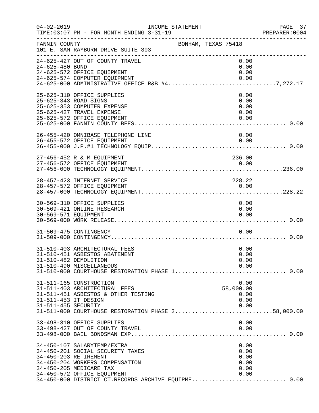| $04 - 02 - 2019$                            | TIME: 03:07 PM - FOR MONTH ENDING 3-31-19                                                                                                                                                                                                    | INCOME STATEMENT |                     |                                              | PAGE 37<br>PREPARER:0004 |
|---------------------------------------------|----------------------------------------------------------------------------------------------------------------------------------------------------------------------------------------------------------------------------------------------|------------------|---------------------|----------------------------------------------|--------------------------|
| FANNIN COUNTY                               | 101 E. SAM RAYBURN DRIVE SUITE 303                                                                                                                                                                                                           |                  | BONHAM, TEXAS 75418 |                                              |                          |
| 24-625-480 BOND                             | 24-625-427 OUT OF COUNTY TRAVEL<br>24-625-572 OFFICE EQUIPMENT<br>24-625-574 COMPUTER EQUIPMENT<br>24-625-000 ADMINISTRATIVE OFFICE R&B #47,272.17                                                                                           |                  |                     | 0.00<br>0.00<br>0.00<br>0.00                 |                          |
| 25-625-343 ROAD SIGNS                       | 25-625-310 OFFICE SUPPLIES<br>25-625-353 COMPUTER EXPENSE<br>25-625-427 TRAVEL EXPENSE<br>25-625-572 OFFICE EQUIPMENT                                                                                                                        |                  |                     | 0.00<br>0.00<br>0.00<br>0.00<br>0.00         |                          |
|                                             | 26-455-420 OMNIBASE TELEPHONE LINE<br>26-455-572 OFFICE EQUIPMENT                                                                                                                                                                            |                  |                     | 0.00<br>0.00                                 |                          |
|                                             | 27-456-452 R & M EQUIPMENT                                                                                                                                                                                                                   |                  |                     | 236.00                                       |                          |
|                                             | 28-457-423 INTERNET SERVICE<br>28-457-572 OFFICE EQUIPMENT                                                                                                                                                                                   |                  |                     | 228.22<br>0.00                               |                          |
| 30-569-571 EQUIPMENT                        | 30-569-310 OFFICE SUPPLIES<br>30-569-421 ONLINE RESEARCH                                                                                                                                                                                     |                  |                     | 0.00<br>0.00<br>0.00                         |                          |
|                                             | 31-509-475 CONTINGENCY                                                                                                                                                                                                                       |                  |                     | 0.00                                         |                          |
|                                             | 31-510-403 ARCHITECTURAL FEES<br>31-510-451 ASBESTOS ABATEMENT<br>31-510-482 DEMOLITION<br>31-510-490 MISCELLANEOUS                                                                                                                          |                  |                     | 0.00<br>0.00<br>0.00<br>0.00                 |                          |
| 31-511-453 IT DESIGN<br>31-511-455 SECURITY | 31-511-165 CONSTRUCTION<br>31-511-403 ARCHITECTURAL FEES<br>31-511-451 ASBESTOS & OTHER TESTING<br>31-511-000 COURTHOUSE RESTORATION PHASE 258,000.00                                                                                        |                  |                     | 0.00<br>58,000.00<br>0.00<br>0.00<br>0.00    |                          |
|                                             | 33-498-310 OFFICE SUPPLIES<br>33-498-427 OUT OF COUNTY TRAVEL                                                                                                                                                                                |                  |                     | 0.00<br>0.00                                 |                          |
|                                             | 34-450-107 SALARYTEMP/EXTRA<br>34-450-201 SOCIAL SECURITY TAXES<br>34-450-203 RETIREMENT<br>34-450-204 WORKERS COMPENSATION<br>34-450-205 MEDICARE TAX<br>34-450-572 OFFICE EQUIPMENT<br>34-450-000 DISTRICT CT.RECORDS ARCHIVE EQUIPME 0.00 |                  |                     | 0.00<br>0.00<br>0.00<br>0.00<br>0.00<br>0.00 |                          |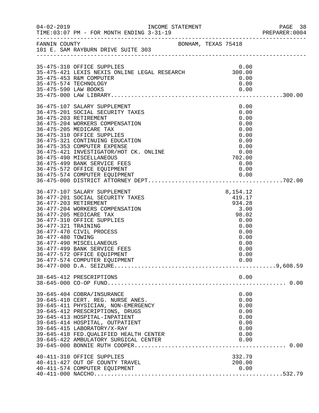|                                          |                                                                                                                                                                                                                                                                                                                                                                                                                               |                                                                                                               | PAGE 38<br>PREPARER: 0004 |
|------------------------------------------|-------------------------------------------------------------------------------------------------------------------------------------------------------------------------------------------------------------------------------------------------------------------------------------------------------------------------------------------------------------------------------------------------------------------------------|---------------------------------------------------------------------------------------------------------------|---------------------------|
|                                          | FANNIN COUNTY<br>101 E. SAM RAYBURN DRIVE SUITE 303                                                                                                                                                                                                                                                                                                                                                                           |                                                                                                               |                           |
|                                          | 35-475-310 OFFICE SUPPLIES<br>35-475-310 OFFICE SUFFILES<br>35-475-421 LEXIS NEXIS ONLINE LEGAL RESEARCH 300.00<br>35-475-453 R&M COMPUTER<br>35-475-574 TECHNOLOGY                                                                                                                                                                                                                                                           | 0.00<br>0.00<br>0.00                                                                                          |                           |
|                                          | 36-475-107 SALARY SUPPLEMENT<br>36-475-201 SOCIAL SECURITY TAXES<br>36-475-203 RETIREMENT<br>36-475-204 WORKERS COMPENSATION<br>36-475-205 MEDICARE TAX<br>36-475-310 OFFICE SUPPLIES<br>36-475-321 CONTINUING EDUCATION<br>36-475-353 COMPUTER EXPENSE<br>36-475-421 INVESTIGATOR/HOT CK. ONLINE<br>36-475-490 MISCELLANEOUS<br>36-475-499 BANK SERVICE FEES<br>36-475-572 OFFICE EQUIPMENT<br>36-475-574 COMPUTER EQUIPMENT | 0.00<br>0.00<br>0.00<br>0.00<br>0.00<br>0.00<br>0.00<br>0.00<br>0.00<br>702.00<br>0.00<br>0.00                |                           |
| 36-477-321 TRAINING<br>36-477-480 TOWING | 36-477-107 SALARY SUPPLEMENT<br>36-477-201 SOCIAL SECURITY TAXES<br>36-477-203 RETIREMENT<br>36-477-204 WORKERS COMPENSATION<br>36-477-205 MEDICARE TAX<br>36-477-310 OFFICE SUPPLIES<br>36-477-470 CIVIL PROCESS<br>36-477-490 MISCELLANEOUS<br>36-477-499 BANK SERVICE FEES<br>36-477-572 OFFICE EQUIPMENT<br>36-477-574 COMPUTER EQUIPMENT                                                                                 | 8,154.12<br>419.17<br>934.28<br>3.00<br>98.02<br>0.00<br>0.00<br>0.00<br>0.00<br>0.00<br>0.00<br>0.00<br>0.00 |                           |
|                                          | 38-645-412 PRESCRIPTIONS                                                                                                                                                                                                                                                                                                                                                                                                      | 0.00                                                                                                          |                           |
|                                          | 39-645-404 COBRA/INSURANCE<br>39-645-410 CERT. REG. NURSE ANES.<br>39-645-411 PHYSICIAN, NON-EMERGENCY<br>39-645-412 PRESCRIPTIONS, DRUGS<br>39-645-413 HOSPITAL-INPATIENT<br>39-645-414 HOSPITAL, OUTPATIENT<br>39-645-415 LABORATORY/X-RAY<br>39-645-418 FED. QUALIFIED HEALTH CENTER<br>39-645-422 AMBULATORY SURGICAL CENTER                                                                                              | 0.00<br>0.00<br>0.00<br>0.00<br>0.00<br>0.00<br>0.00<br>0.00<br>0.00                                          |                           |
|                                          | 40-411-310 OFFICE SUPPLIES<br>40-411-427 OUT OF COUNTY TRAVEL<br>40-411-574 COMPUTER EQUIPMENT                                                                                                                                                                                                                                                                                                                                | 332.79<br>200.00<br>0.00                                                                                      |                           |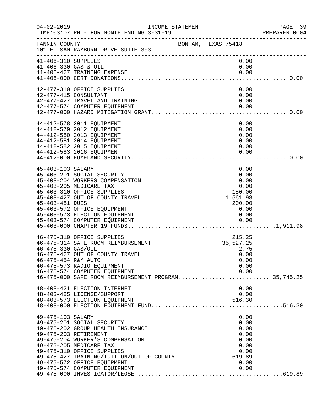| $04 - 02 - 2019$                            | TIME: 03:07 PM - FOR MONTH ENDING 3-31-19<br>-------------------------------                                                                                                                                                                                              | INCOME STATEMENT |                     |                                                                                | PAGE 39<br>PREPARER: 0004 |
|---------------------------------------------|---------------------------------------------------------------------------------------------------------------------------------------------------------------------------------------------------------------------------------------------------------------------------|------------------|---------------------|--------------------------------------------------------------------------------|---------------------------|
| FANNIN COUNTY                               | 101 E. SAM RAYBURN DRIVE SUITE 303                                                                                                                                                                                                                                        |                  | BONHAM, TEXAS 75418 |                                                                                |                           |
| 41-406-310 SUPPLIES<br>41-406-330 GAS & OIL | 41-406-427 TRAINING EXPENSE                                                                                                                                                                                                                                               |                  |                     | 0.00<br>0.00<br>0.00                                                           |                           |
| 42-477-415 CONSULTANT                       | 42-477-310 OFFICE SUPPLIES<br>42-477-427 TRAVEL AND TRAINING<br>42-477-574 COMPUTER EQUIPMENT                                                                                                                                                                             |                  |                     | 0.00<br>0.00<br>0.00<br>0.00                                                   |                           |
|                                             | 44-412-578 2011 EQUIPMENT<br>44-412-579 2012 EQUIPMENT<br>44-412-580 2013 EQUIPMENT<br>44-412-581 2014 EQUIPMENT<br>44-412-582 2015 EQUIPMENT<br>44-412-583 2016 EQUIPMENT                                                                                                |                  |                     | 0.00<br>0.00<br>0.00<br>0.00<br>0.00<br>0.00                                   |                           |
| 45-403-103 SALARY<br>45-403-481 DUES        | 45-403-201 SOCIAL SECURITY<br>45-403-204 WORKERS COMPENSATION<br>45-403-205 MEDICARE TAX<br>45-403-310 OFFICE SUPPLIES<br>45-403-427 OUT OF COUNTY TRAVEL<br>45-403-572 OFFICE EQUIPMENT<br>45-403-573 ELECTION EQUIPMENT                                                 |                  |                     | 0.00<br>0.00<br>0.00<br>0.00<br>150.00<br>1,561.98<br>200.00<br>0.00<br>0.00   |                           |
| 46-475-330 GAS/OIL<br>46-475-454 R&M AUTO   | 46-475-310 OFFICE SUPPLIES<br>46-475-314 SAFE ROOM REIMBURSEMENT<br>46-475-427 OUT OF COUNTY TRAVEL<br>46-475-573 RADIO EQUIPMENT<br>46-475-574 COMPUTER EQUIPMENT<br>40-475-000 SAFE ROOM REIMBURSEMENT PROGRAM35,745.25                                                 |                  |                     | 215.25<br>35,527.25<br>2.75<br>0.00<br>0.00<br>0.00<br>0.00                    |                           |
|                                             | 48-403-421 ELECTION INTERNET<br>48-403-485 LICENSE/SUPPORT<br>48-403-573 ELECTION EQUIPMENT                                                                                                                                                                               |                  |                     | 0.00<br>0.00<br>516.30                                                         |                           |
| 49-475-103 SALARY<br>49-475-203 RETIREMENT  | 49-475-201 SOCIAL SECURITY<br>49-475-202 GROUP HEALTH INSURANCE<br>49-475-204 WORKER'S COMPENSATION<br>49-475-205 MEDICARE TAX<br>49-475-310 OFFICE SUPPLIES<br>49-475-427 TRAINING/TUITION/OUT OF COUNTY<br>49-475-572 OFFICE EQUIPMENT<br>49-475-574 COMPUTER EQUIPMENT |                  |                     | 0.00<br>0.00<br>0.00<br>0.00<br>0.00<br>0.00<br>0.00<br>619.89<br>0.00<br>0.00 |                           |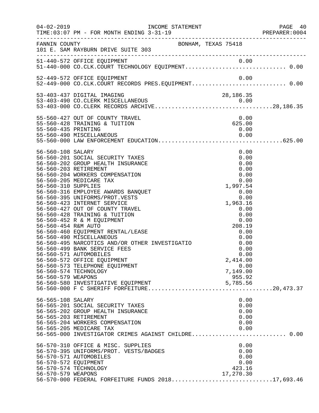|                                                                                                                |                                                                                                                                                                                                                                                                                                                                                                                                                                                                                                                                                                                                                                                           |                                                                                                                                                                                                                      | PAGE 40<br>PREPARER: 0004 |
|----------------------------------------------------------------------------------------------------------------|-----------------------------------------------------------------------------------------------------------------------------------------------------------------------------------------------------------------------------------------------------------------------------------------------------------------------------------------------------------------------------------------------------------------------------------------------------------------------------------------------------------------------------------------------------------------------------------------------------------------------------------------------------------|----------------------------------------------------------------------------------------------------------------------------------------------------------------------------------------------------------------------|---------------------------|
| FANNIN COUNTY                                                                                                  | BONHAM, TEXAS 75418<br>101 E. SAM RAYBURN DRIVE SUITE 303                                                                                                                                                                                                                                                                                                                                                                                                                                                                                                                                                                                                 |                                                                                                                                                                                                                      |                           |
|                                                                                                                | 51-440-572 OFFICE EQUIPMENT<br>51-440-000 CO.CLK.COURT TECHNOLOGY EQUIPMENT0.00                                                                                                                                                                                                                                                                                                                                                                                                                                                                                                                                                                           |                                                                                                                                                                                                                      |                           |
|                                                                                                                | 52-449-572 OFFICE EQUIPMENT                                                                                                                                                                                                                                                                                                                                                                                                                                                                                                                                                                                                                               | 0.00                                                                                                                                                                                                                 |                           |
|                                                                                                                |                                                                                                                                                                                                                                                                                                                                                                                                                                                                                                                                                                                                                                                           |                                                                                                                                                                                                                      |                           |
| 55-560-435 PRINTING                                                                                            | 55-560-427 OUT OF COUNTY TRAVEL<br>55-560-428 TRAINING & TUITION                                                                                                                                                                                                                                                                                                                                                                                                                                                                                                                                                                                          | 0.00<br>625.00<br>0.00                                                                                                                                                                                               |                           |
| 56-560-108 SALARY<br>56-560-203 RETIREMENT<br>56-560-310 SUPPLIES<br>56-560-454 R&M AUTO<br>56-560-579 WEAPONS | 56-560-201 SOCIAL SECURITY TAXES<br>56-560-202 GROUP HEALTH INSURANCE<br>56-560-204 WORKERS COMPENSATION<br>56-560-205 MEDICARE TAX<br>56-560-316 EMPLOYEE AWARDS BANQUET<br>56-560-395 UNIFORMS/PROT.VESTS<br>56-560-423 INTERNET SERVICE<br>56-560-427 OUT OF COUNTY TRAVEL<br>56-560-428 TRAINING & TUITION<br>56-560-452 R & M EQUIPMENT<br>56-560-460 EQUIPMENT RENTAL/LEASE<br>56-560-490 MISCELLANEOUS<br>56-560-495 NARCOTICS AND/OR OTHER INVESTIGATIO<br>56-560-499 BANK SERVICE FEES<br>56-560-571 AUTOMOBILES<br>56-560-572 OFFICE EQUIPMENT<br>56-560-573 TELEPHONE EQUIPMENT<br>56-560-574 TECHNOLOGY<br>56-560-580 INVESTIGATIVE EQUIPMENT | 0.00<br>0.00<br>0.00<br>0.00<br>0.00<br>0.00<br>1,997.54<br>0.00<br>0.00<br>1,963.16<br>0.00<br>0.00<br>0.00<br>208.19<br>0.00<br>0.00<br>0.00<br>0.00<br>0.00<br>2,414.00<br>0.00<br>7,149.00<br>955.92<br>5,785.56 |                           |
| 56-565-108 SALARY<br>56-565-203 RETIREMENT                                                                     | 56-565-201 SOCIAL SECURITY TAXES<br>56-565-202 GROUP HEALTH INSURANCE<br>56-565-204 WORKERS COMPENSATION<br>56-565-205 MEDICARE TAX<br>56-565-000 INVESTIGATOR CRIMES AGAINST CHILDRE 0.00<br>56-570-310 OFFICE & MISC. SUPPLIES<br>56-570-395 UNIFORMS/PROT. VESTS/BADGES<br>56-570-571 AUTOMOBILES                                                                                                                                                                                                                                                                                                                                                      | 0.00<br>0.00<br>0.00<br>0.00<br>0.00<br>0.00<br>0.00<br>0.00<br>0.00                                                                                                                                                 |                           |
| 56-570-572 EQUIPMENT<br>56-570-574 TECHNOLOGY<br>56-570-579 WEAPONS                                            | 56-570-000 FEDERAL FORFEITURE FUNDS 201817,693.46                                                                                                                                                                                                                                                                                                                                                                                                                                                                                                                                                                                                         | 0.00<br>423.16<br>17,270.30                                                                                                                                                                                          |                           |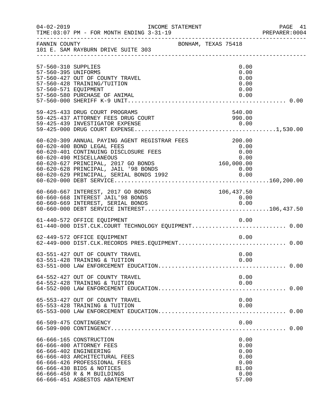| $04 - 02 - 2019$                                                   | INCOME STATEMENT<br>TIME: 03:07 PM - FOR MONTH ENDING 3-31-19                                                                                                                                                                                                                                                      |                                                                       | PAGE 41<br>PREPARER: 0004 |
|--------------------------------------------------------------------|--------------------------------------------------------------------------------------------------------------------------------------------------------------------------------------------------------------------------------------------------------------------------------------------------------------------|-----------------------------------------------------------------------|---------------------------|
| FANNIN COUNTY                                                      | 101 E. SAM RAYBURN DRIVE SUITE 303                                                                                                                                                                                                                                                                                 | BONHAM, TEXAS 75418                                                   |                           |
| 57-560-310 SUPPLIES<br>57-560-395 UNIFORMS<br>57-560-571 EQUIPMENT | 57-560-427 OUT OF COUNTY TRAVEL<br>57-560-428 TRAINING/TUITION<br>57-560-580 PURCHASE OF ANIMAL                                                                                                                                                                                                                    | 0.00<br>0.00<br>0.00<br>0.00<br>0.00<br>0.00                          |                           |
|                                                                    | 59-425-433 DRUG COURT PROGRAMS<br>59-425-437 ATTORNEY FEES DRUG COURT                                                                                                                                                                                                                                              | 540.00<br>990.00                                                      |                           |
|                                                                    | 60-620-309 ANNUAL PAYING AGENT REGISTRAR FEES<br>60-620-400 BOND LEGAL FEES<br>60-620-401 CONTINUING DISCLOSURE FEES<br>60-620-490 MISCELLANEOUS<br>60-620-627 PRINCIPAL, 2017 GO BONDS<br>60-620-628 PRINCIPAL, JAIL '98 BONDS<br>60-620-628 PRINCIPAL, JAIL '98 BONDS<br>60-620-629 PRINCIPAL, SERIAL BONDS 1992 | 200.00<br>0.00<br>0.00<br>$0.00\ 0.00$ 160,000.00<br>$0.00$<br>$0.00$ |                           |
|                                                                    | 60-660-667 INTEREST, 2017 GO BONDS<br>60-660-668 INTEREST JAIL'98 BONDS                                                                                                                                                                                                                                            | 106,437.50<br>0.00                                                    |                           |
|                                                                    | 61-440-572 OFFICE EQUIPMENT<br>61-440-000 DIST.CLK.COURT TECHNOLOGY EQUIPMENT 0.00                                                                                                                                                                                                                                 | 0.00                                                                  |                           |
|                                                                    | 62-449-572 OFFICE EQUIPMENT                                                                                                                                                                                                                                                                                        | 0.00                                                                  |                           |
|                                                                    | 63-551-427 OUT OF COUNTY TRAVEL<br>63-551-428 TRAINING & TUITION                                                                                                                                                                                                                                                   | 0.00<br>0.00                                                          |                           |
|                                                                    | 64-552-427 OUT OF COUNTY TRAVEL<br>64-552-428 TRAINING & TUITION                                                                                                                                                                                                                                                   | 0.00<br>0.00                                                          |                           |
|                                                                    | 65-553-427 OUT OF COUNTY TRAVEL<br>65-553-428 TRAINING & TUITION                                                                                                                                                                                                                                                   | 0.00<br>0.00                                                          |                           |
|                                                                    | 66-509-475 CONTINGENCY                                                                                                                                                                                                                                                                                             | 0.00                                                                  |                           |
|                                                                    | 66-666-165 CONSTRUCTION<br>66-666-400 ATTORNEY FEES<br>66-666-402 ENGINEERING<br>66-666-403 ARCHITECTURAL FEES<br>66-666-426 PROFESSIONAL FEES<br>66-666-430 BIDS & NOTICES<br>66-666-450 R & M BUILDINGS<br>66-666-451 ASBESTOS ABATEMENT                                                                         | 0.00<br>0.00<br>0.00<br>0.00<br>0.00<br>81.00<br>0.00<br>57.00        |                           |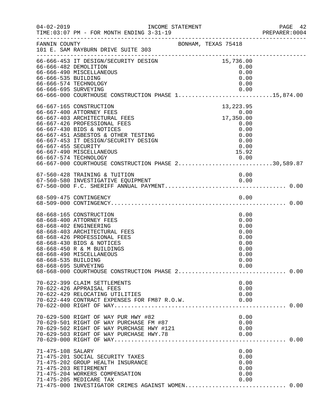| $04 - 02 - 2019$                            | TIME: 03:07 PM - FOR MONTH ENDING 3-31-19                                                                                                                                                                                                                                                                                        |                                                                                   | PAGE 42<br>PREPARER:0004 |
|---------------------------------------------|----------------------------------------------------------------------------------------------------------------------------------------------------------------------------------------------------------------------------------------------------------------------------------------------------------------------------------|-----------------------------------------------------------------------------------|--------------------------|
| FANNIN COUNTY                               | -----------------------------------<br>101 E. SAM RAYBURN DRIVE SUITE 303                                                                                                                                                                                                                                                        | BONHAM, TEXAS 75418                                                               |                          |
| 66-666-535 BUILDING                         | 66-666-453 IT DESIGN/SECURITY DESIGN<br>66-666-482 DEMOLITION<br>66-666-490 MISCELLANEOUS<br>66-666-574 TECHNOLOGY                                                                                                                                                                                                               | 15,736.00<br>0.00<br>0.00<br>0.00<br>0.00                                         |                          |
| 66-667-455 SECURITY                         | 66-667-165 CONSTRUCTION<br>66-667-400 ATTORNEY FEES<br>66-667-403 ARCHITECTURAL FEES<br>66-667-426 PROFESSIONAL FEES<br>66-667-430 BIDS & NOTICES<br>66-667-451 ASBESTOS & OTHER TESTING<br>66-667-453 IT DESIGN/SECURITY DESIGN<br>66-667-490 MISCELLANEOUS<br>0.00 0.00<br>66-667-000 COURTHOUSE CONSTRUCTION PHASE 230,589.87 | 13, 223.95<br>$0.00$<br>17,350.00<br>$17,350.06$<br>0.00<br>0.00<br>0.00<br>15.92 |                          |
|                                             | 67-560-428 TRAINING & TUITION                                                                                                                                                                                                                                                                                                    | 0.00                                                                              |                          |
|                                             |                                                                                                                                                                                                                                                                                                                                  |                                                                                   |                          |
| 68-668-535 BUILDING<br>68-668-695 SURVEYING | 68-668-165 CONSTRUCTION<br>68-668-400 ATTORNEY FEES<br>68-668-402 ENGINEERING<br>68-668-403 ARCHITECTURAL FEES<br>68-668-426 PROFESSIONAL FEES<br>68-668-430 BIDS & NOTICES<br>68-668-450 R & M BUILDINGS<br>68-668-490 MISCELLANEOUS<br>68-668-000 COURTHOUSE CONSTRUCTION PHASE 2 0.00                                         | 0.00<br>0.00<br>0.00<br>0.00<br>0.00<br>0.00<br>0.00<br>0.00<br>0.00<br>0.00      |                          |
|                                             | 70-622-399 CLAIM SETTLEMENTS<br>70-622-426 APPRAISAL FEES<br>70-622-429 RELOCATING UTILITIES<br>70-622-449 CONTRACT EXPENSES FOR FM87 R.O.W.                                                                                                                                                                                     | 0.00<br>0.00<br>0.00<br>0.00                                                      |                          |
|                                             | 70-629-500 RIGHT OF WAY PUR HWY #82<br>70-629-501 RIGHT OF WAY PURCHASE FM #87<br>70-629-502 RIGHT OF WAY PURCHASE HWY #121                                                                                                                                                                                                      | 0.00<br>0.00<br>0.00                                                              |                          |
| 71-475-108 SALARY                           | 71-475-201 SOCIAL SECURITY TAXES<br>71-475-202 GROUP HEALTH INSURANCE<br>71-475-203 RETIREMENT<br>71-475-204 WORKERS COMPENSATION<br>71-475-205 MEDICARE TAX<br>71-475-000 INVESTIGATOR CRIMES AGAINST WOMEN 0.00                                                                                                                | 0.00<br>0.00<br>0.00<br>0.00<br>0.00<br>0.00                                      |                          |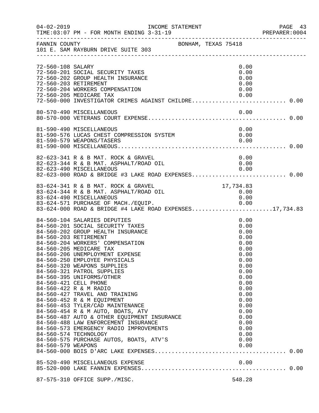| $04 - 02 - 2019$   | INCOME STATEMENT<br>TIME: 03:07 PM - FOR MONTH ENDING 3-31-19                                                                                                                                                                                                                                                                                                                                                                                                                                                                                                                                                                                                                                                                                                 |                                                                                                                                                                                      | PAGE 43<br>PREPARER: 0004 |
|--------------------|---------------------------------------------------------------------------------------------------------------------------------------------------------------------------------------------------------------------------------------------------------------------------------------------------------------------------------------------------------------------------------------------------------------------------------------------------------------------------------------------------------------------------------------------------------------------------------------------------------------------------------------------------------------------------------------------------------------------------------------------------------------|--------------------------------------------------------------------------------------------------------------------------------------------------------------------------------------|---------------------------|
| FANNIN COUNTY      | BONHAM, TEXAS 75418<br>101 E. SAM RAYBURN DRIVE SUITE 303                                                                                                                                                                                                                                                                                                                                                                                                                                                                                                                                                                                                                                                                                                     |                                                                                                                                                                                      |                           |
| 72-560-108 SALARY  | 72-560-201 SOCIAL SECURITY TAXES<br>72-560-202 GROUP HEALTH INSURANCE<br>72-560-203 RETIREMENT                                                                                                                                                                                                                                                                                                                                                                                                                                                                                                                                                                                                                                                                | 0.00<br>0.00<br>0.00<br>0.00                                                                                                                                                         |                           |
|                    | 72-560-204 WORKERS COMPENSATION<br>72-560-205 MEDICARE TAX<br>72-560-000 INVESTIGATOR CRIMES AGAINST CHILDRE 0.00                                                                                                                                                                                                                                                                                                                                                                                                                                                                                                                                                                                                                                             | 0.00<br>0.00                                                                                                                                                                         |                           |
|                    | 80-570-490 MISCELLANEOUS                                                                                                                                                                                                                                                                                                                                                                                                                                                                                                                                                                                                                                                                                                                                      | 0.00                                                                                                                                                                                 |                           |
|                    | 81-590-490 MISCELLANEOUS<br>81-590-576 LUCAS CHEST COMPRESSION SYSTEM<br>81-590-579 WEAPONS/TASERS                                                                                                                                                                                                                                                                                                                                                                                                                                                                                                                                                                                                                                                            | 0.00<br>0.00<br>0.00                                                                                                                                                                 |                           |
|                    | 82-623-341 R & B MAT. ROCK & GRAVEL<br>82-623-344 R & B MAT. ASPHALT/ROAD OIL<br>82-623-490 MISCELLANEOUS 0.00<br>82-623-000 ROAD & BRIDGE #3 LAKE ROAD EXPENSES 0.00                                                                                                                                                                                                                                                                                                                                                                                                                                                                                                                                                                                         | 0.00<br>0.00                                                                                                                                                                         |                           |
|                    | 83-624-341 R & B MAT. ROCK & GRAVEL<br>83-624-344 R & B MAT. ASPHALT/ROAD OIL<br>83-624-490 MISCELLANEOUS<br>83-624-571 PURCHASE OF MACH./EQUIP. 0.00<br>83-624-000 ROAD & BRIDGE #4 LAKE ROAD EXPENSES17,734.83                                                                                                                                                                                                                                                                                                                                                                                                                                                                                                                                              | 17,734.83<br>0.00<br>0.00                                                                                                                                                            |                           |
| 84-560-579 WEAPONS | 84-560-104 SALARIES DEPUTIES<br>84-560-201 SOCIAL SECURITY TAXES<br>84-560-202 GROUP HEALTH INSURANCE<br>84-560-203 RETIREMENT<br>84-560-204 WORKERS' COMPENSATION<br>84-560-205 MEDICARE TAX<br>84-560-206 UNEMPLOYMENT EXPENSE<br>84-560-250 EMPLOYEE PHYSICALS<br>84-560-320 WEAPONS SUPPLIES<br>84-560-321 PATROL SUPPLIES<br>84-560-395 UNIFORMS/OTHER<br>84-560-421 CELL PHONE<br>84-560-422 R & M RADIO<br>84-560-427 TRAVEL AND TRAINING<br>84-560-452 R & M EQUIPMENT<br>84-560-453 TYLER/CAD MAINTENANCE<br>84-560-454 R & M AUTO, BOATS, ATV<br>84-560-487 AUTO & OTHER EQUIPMENT INSURANCE<br>84-560-488 LAW ENFORCEMENT INSURANCE<br>84-560-573 EMERGENCY RADIO IMPROVEMENTS<br>84-560-574 TECHNOLOGY<br>84-560-575 PURCHASE AUTOS, BOATS, ATV'S | 0.00<br>0.00<br>0.00<br>0.00<br>0.00<br>0.00<br>0.00<br>0.00<br>0.00<br>0.00<br>0.00<br>0.00<br>0.00<br>0.00<br>0.00<br>0.00<br>0.00<br>0.00<br>0.00<br>0.00<br>0.00<br>0.00<br>0.00 |                           |
|                    |                                                                                                                                                                                                                                                                                                                                                                                                                                                                                                                                                                                                                                                                                                                                                               |                                                                                                                                                                                      |                           |
|                    | 87-575-310 OFFICE SUPP./MISC.                                                                                                                                                                                                                                                                                                                                                                                                                                                                                                                                                                                                                                                                                                                                 | 548.28                                                                                                                                                                               |                           |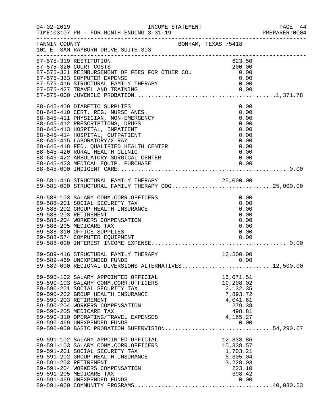| $04 - 02 - 2019$ | TIME: 03:07 PM - FOR MONTH ENDING 3-31-19<br>------------------------------------                                                                                                                                                          |                                                                         | PAGE 44<br>PREPARER:0004 |
|------------------|--------------------------------------------------------------------------------------------------------------------------------------------------------------------------------------------------------------------------------------------|-------------------------------------------------------------------------|--------------------------|
| FANNIN COUNTY    | BONHAM, TEXAS 75418<br>101 E. SAM RAYBURN DRIVE SUITE 303                                                                                                                                                                                  |                                                                         |                          |
|                  | 87-575-319 RESTITUTION                                                                                                                                                                                                                     | 623.50                                                                  |                          |
|                  |                                                                                                                                                                                                                                            | 200.00<br>0.00                                                          |                          |
|                  | 87-575-321 REIMBURSEMENT OF FEES FOR OTHER COU<br>87-575-321 REIMBURSEMENT OF FEES FOR OTHER COU<br>87-575-353 COMPUTER EXPENSE                                                                                                            | 0.00                                                                    |                          |
|                  |                                                                                                                                                                                                                                            |                                                                         |                          |
|                  |                                                                                                                                                                                                                                            |                                                                         |                          |
|                  |                                                                                                                                                                                                                                            |                                                                         |                          |
|                  | 88-645-409 DIABETIC SUPPLIES                                                                                                                                                                                                               | 0.00                                                                    |                          |
|                  | 88-645-410 CERT. REG. NURSE ANES.                                                                                                                                                                                                          | 0.00                                                                    |                          |
|                  | 88-645-411 PHYSICIAN, NON-EMERGENCY                                                                                                                                                                                                        | 0.00                                                                    |                          |
|                  | 88-645-412 PRESCRIPTIONS, DRUGS                                                                                                                                                                                                            | 0.00                                                                    |                          |
|                  | 88-645-413 HOSPITAL, INPATIENT                                                                                                                                                                                                             | 0.00                                                                    |                          |
|                  | 88-645-414 HOSPITAL, OUTPATIENT                                                                                                                                                                                                            | 0.00                                                                    |                          |
|                  | 88-645-415 LABORATORY/X-RAY                                                                                                                                                                                                                | 0.00                                                                    |                          |
|                  | 88-645-418 FED. QUALIFIED HEALTH CENTER                                                                                                                                                                                                    | 0.00                                                                    |                          |
|                  | 88-645-420 RURAL HEALTH CLINIC                                                                                                                                                                                                             | 0.00                                                                    |                          |
|                  |                                                                                                                                                                                                                                            |                                                                         |                          |
|                  |                                                                                                                                                                                                                                            |                                                                         |                          |
|                  |                                                                                                                                                                                                                                            |                                                                         |                          |
|                  |                                                                                                                                                                                                                                            |                                                                         |                          |
|                  | 89-581-416 STRUCTURAL FAMILY THERAPY 25,000.00<br>89-581-000 STRUCTURAL FAMILY THERAPY OOG25,000.00                                                                                                                                        |                                                                         |                          |
|                  | 89-588-103 SALARY COMM.CORR.OFFICERS                                                                                                                                                                                                       | 0.00                                                                    |                          |
|                  | 89-588-201 SOCIAL SECURITY TAX                                                                                                                                                                                                             | 0.00                                                                    |                          |
|                  | 89-588-202 GROUP HEALTH INSURANCE                                                                                                                                                                                                          | 0.00                                                                    |                          |
|                  | 89-588-203 RETIREMENT                                                                                                                                                                                                                      | 0.00                                                                    |                          |
|                  | 89-588-204 WORKERS COMPENSATION                                                                                                                                                                                                            | 0.00                                                                    |                          |
|                  | 89-588-205 MEDICARE TAX                                                                                                                                                                                                                    | 0.00                                                                    |                          |
|                  | 89-588-310 OFFICE SUPPLIES                                                                                                                                                                                                                 | 0.00                                                                    |                          |
|                  |                                                                                                                                                                                                                                            |                                                                         |                          |
|                  |                                                                                                                                                                                                                                            |                                                                         |                          |
|                  | 89-589-416 STRUCTURAL FAMILY THERAPY                                                                                                                                                                                                       | 12,500.00                                                               |                          |
|                  | 89-589-469 UNEXPENDED FUNDS<br>89-589-469 UNEXPENDED FUNDS 0.00<br>89-589-000 REGIONAL DIVERSIONS ALTERNATIVES12,500.00                                                                                                                    |                                                                         |                          |
|                  |                                                                                                                                                                                                                                            |                                                                         |                          |
|                  | 89-590-102 SALARY APPOINTED OFFICIAL<br>89-590-103 SALARY COMM.CORR.OFFICERS<br>89-590-201 SOCIAL SECURITY TAX<br>89-590-202 GROUP HEALTH INSURANCE<br>89-590-203 RETIREMENT<br>89-590-204 WORKERS COMPENSATION<br>89-590-205 MEDICARE TAX | 16,071.51                                                               |                          |
|                  |                                                                                                                                                                                                                                            | 19,208.02                                                               |                          |
|                  |                                                                                                                                                                                                                                            | 2,132.35                                                                |                          |
|                  |                                                                                                                                                                                                                                            | 7,893.72                                                                |                          |
|                  |                                                                                                                                                                                                                                            | 4,041.61                                                                |                          |
|                  |                                                                                                                                                                                                                                            | 279.38                                                                  |                          |
|                  | 89-590-205 MEDICARE TAX<br>89-590-205 MEDICARE TAX<br>89-590-310 OPERATING/TRAVEL EXPENSES 4,165.27<br>89-590-460 INTENDENTED FINDS                                                                                                        | 498.81                                                                  |                          |
|                  |                                                                                                                                                                                                                                            |                                                                         |                          |
|                  | 89-590-469 UNEXPENDED FUNDS<br>89-590-000 BASIC PROBATION SUPERVISION54,290.67                                                                                                                                                             |                                                                         |                          |
|                  |                                                                                                                                                                                                                                            |                                                                         |                          |
|                  | 89-591-102 SALARY APPOINTED OFFICIAL                                                                                                                                                                                                       |                                                                         |                          |
|                  | 89-591-103 SALARY COMM.CORR.OFFICERS                                                                                                                                                                                                       | AL<br>RS<br>15, 338.57<br>1, 703.21<br>6, 305.04<br>3, 228.03<br>223.10 |                          |
|                  | 89-591-201 SOCIAL SECURITY TAX                                                                                                                                                                                                             |                                                                         |                          |
|                  | 89-591-202 GROUP HEALTH INSURANCE                                                                                                                                                                                                          |                                                                         |                          |
|                  | 89-591-203 RETIREMENT                                                                                                                                                                                                                      |                                                                         |                          |
|                  | 89-591-204 WORKERS COMPENSATION                                                                                                                                                                                                            | 223.10                                                                  |                          |
|                  | 89-591-205 MEDICARE TAX                                                                                                                                                                                                                    | 398.42                                                                  |                          |
|                  | 89-591-469 UNEXPENDED FUNDS                                                                                                                                                                                                                | 0.00                                                                    |                          |
|                  |                                                                                                                                                                                                                                            |                                                                         |                          |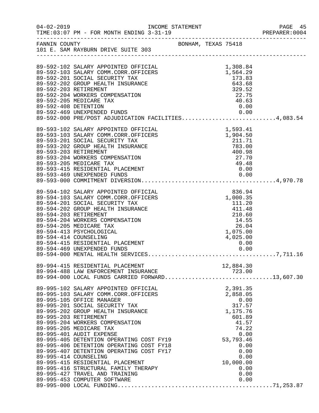|                      |                                                                                                                                                                                                                                                                                                                                                                                                                                                                                                                                                                                                                |  |                                                                                                                                                                  | PREPARER: 0004 |
|----------------------|----------------------------------------------------------------------------------------------------------------------------------------------------------------------------------------------------------------------------------------------------------------------------------------------------------------------------------------------------------------------------------------------------------------------------------------------------------------------------------------------------------------------------------------------------------------------------------------------------------------|--|------------------------------------------------------------------------------------------------------------------------------------------------------------------|----------------|
|                      | FANNIN COUNTY<br>101 E. SAM RAYBURN DRIVE SUITE 303                                                                                                                                                                                                                                                                                                                                                                                                                                                                                                                                                            |  |                                                                                                                                                                  |                |
| 89-592-408 DETENTION | 89-592-102 SALARY APPOINTED OFFICIAL<br>89-592-103 SALARY COMM.CORR.OFFICERS<br>89-592-201 SOCIAL SECURITY TAX<br>89-592-202 GROUP HEALTH INSURANCE<br>89-592-203 RETIREMENT<br>89-592-204 WORKERS COMPENSATION<br>89-592-205 MEDICARE TAX<br>89-592-469 UNEXPENDED FUNDS<br>89-592-000 PRE/POST ADJUDICATION FACILITIES4,083.54                                                                                                                                                                                                                                                                               |  | 1,308.84<br>1,564.29<br>173.83<br>643.68<br>329.52<br>22.75<br>40.63<br>0.00                                                                                     |                |
|                      | 89-593-102 SALARY APPOINTED OFFICIAL<br>89-593-103 SALARY COMM.CORR.OFFICERS<br>89-593-201 SOCIAL SECURITY TAX<br>89-593-202 GROUP HEALTH INSURANCE<br>89-593-203 RETIREMENT<br>89-593-204 WORKERS COMPENSATION<br>89-593-205 MEDICARE TAX                                                                                                                                                                                                                                                                                                                                                                     |  | 1,593.41<br>1,904.50<br>211.71<br>783.00<br>400.98<br>27.70<br>49.48<br>49.48                                                                                    |                |
|                      | 89-594-102 SALARY APPOINTED OFFICIAL<br>89-594-103 SALARY COMM.CORR.OFFICERS<br>89-594-201 SOCIAL SECURITY TAX<br>89-594-202 GROUP HEALTH INSURANCE<br>89-594-203 RETIREMENT<br>89-594-204 WORKERS COMPENSATION<br>89-594-205 MEDICARE TAX<br>89-594-413 PSYCHOLOGICAL<br>89-594-414 COUNSELING                                                                                                                                                                                                                                                                                                                |  | $836.94$<br>$1,000.35$<br>$\begin{array}{r} 111.48 \\ 411.48 \\ 210.60 \\ 14.55 \\ 26.04 \\ \end{array}$<br>1,075.00<br>4,025.00                                 |                |
|                      | 89-994-415 RESIDENTIAL PLACEMENT<br>89-994-488 LAW ENFORCEMENT INSURANCE<br>89-994-000 LOCAL FUNDS CARRIED FORWARD13,607.30                                                                                                                                                                                                                                                                                                                                                                                                                                                                                    |  | 12,884.30                                                                                                                                                        |                |
|                      | 89-995-102 SALARY APPOINTED OFFICIAL<br>89-995-103 SALARY COMM.CORR.OFFICERS<br>89-995-105 OFFICE MANAGER<br>89-995-201 SOCIAL SECURITY TAX<br>89-995-202 GROUP HEALTH INSURANCE<br>89-995-203 RETIREMENT<br>89-995-204 WORKERS COMPENSATION<br>89-995-205 MEDICARE TAX<br>89-995-401 AUDIT EXPENSE<br>89-995-405 DETENTION OPERATING COST FY19<br>89-995-406 DETENTION OPERATING COST FY18<br>89-995-407 DETENTION OPERATING COST FY17<br>89-995-414 COUNSELING<br>89-995-415 RESIDENTIAL PLACEMENT<br>89-995-416 STRUCTURAL FAMILY THERAPY<br>89-995-427 TRAVEL AND TRAINING<br>89-995-453 COMPUTER SOFTWARE |  | 2,391.35<br>2,858.05<br>0.00<br>317.57<br>1,175.76<br>601.89<br>41.57<br>74.22<br>0.00<br>53,793.46<br>0.00<br>0.00<br>0.00<br>10,000.00<br>0.00<br>0.00<br>0.00 |                |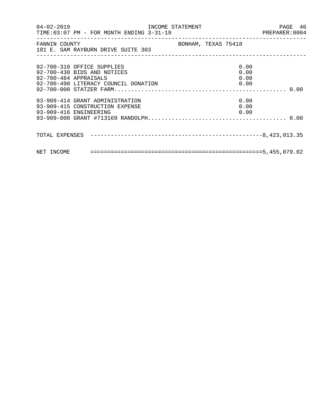|                                                                                              | 04-02-2019   INCOME STATEMENT   PAGE   46<br>TIME:03:07 PM - FOR MONTH ENDING   3-31-19   PREPARER:0004 | PAGE 46 |
|----------------------------------------------------------------------------------------------|---------------------------------------------------------------------------------------------------------|---------|
| FANNIN COUNTY<br>101 E. SAM RAYBURN DRIVE SUITE 303                                          | BONHAM, TEXAS 75418                                                                                     |         |
| 92-700-310 OFFICE SUPPLIES<br>92-700-430 BIDS AND NOTICES<br>92-700-484 APPRAISALS           | 0.00<br>0.00<br>0.00                                                                                    |         |
| 93-909-414 GRANT ADMINISTRATION<br>93-909-415 CONSTRUCTION EXPENSE<br>93-909-416 ENGINEERING | 0.00<br>0.00<br>0.00                                                                                    |         |
|                                                                                              |                                                                                                         |         |
|                                                                                              |                                                                                                         |         |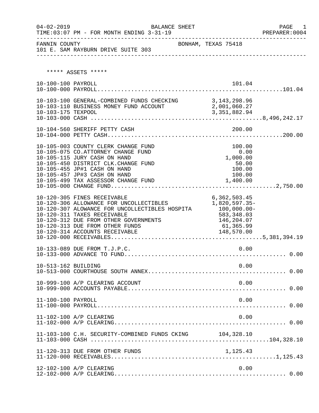| $04 - 02 - 2019$    | BALANCE SHEET<br>TIME: 03:07 PM - FOR MONTH ENDING 3-31-19                                                                                                                                                                                                            |                                                                                                        | PAGE 1<br>PREPARER:0004 |
|---------------------|-----------------------------------------------------------------------------------------------------------------------------------------------------------------------------------------------------------------------------------------------------------------------|--------------------------------------------------------------------------------------------------------|-------------------------|
| FANNIN COUNTY       | 101 E. SAM RAYBURN DRIVE SUITE 303                                                                                                                                                                                                                                    | BONHAM, TEXAS 75418                                                                                    |                         |
|                     | ***** ASSETS *****                                                                                                                                                                                                                                                    |                                                                                                        |                         |
| 10-100-100 PAYROLL  |                                                                                                                                                                                                                                                                       | 101.04                                                                                                 |                         |
|                     | 10-103-100 GENERAL-COMBINED FUNDS CHECKING 3, 143, 298.96<br>10-103-110 BUSINESS MONEY FUND ACCOUNT 2,001,060.27                                                                                                                                                      |                                                                                                        |                         |
|                     |                                                                                                                                                                                                                                                                       |                                                                                                        |                         |
|                     | 10-105-003 COUNTY CLERK CHANGE FUND<br>10-105-075 CO.ATTORNEY CHANGE FUND<br>10-105-115 JURY CASH ON HAND<br>10-105-450 DISTRICT CLK.CHANGE FUND<br>10-105-455 JP#1 CASH ON HAND<br>10-105-457 JP#3 CASH ON HAND                                                      | 100.00<br>0.00<br>1,000.00<br>50.00<br>100.00<br>100.00                                                |                         |
|                     | 10-120-305 FINES RECEIVABLE<br>10-120-306 ALLOWANCE FOR UNCOLLECTIBLES<br>10-120-307 ALOWANCE FOR UNCOLLECTIBLES HOSPITA<br>10-120-311 TAXES RECEIVABLE<br>10-120-312 DUE FROM OTHER GOVERNMENTS<br>10-120-313 DUE FROM OTHER FUNDS<br>10-120-314 ACCOUNTS RECEIVABLE | 6,362,503.45<br>1,820,597.35-<br>$100,000.00 -$<br>583,348.03<br>146,204.07<br>61,365.99<br>148,570.00 |                         |
|                     | 10-133-089 DUE FROM T.J.P.C.                                                                                                                                                                                                                                          | 0.00                                                                                                   |                         |
| 10-513-162 BUILDING |                                                                                                                                                                                                                                                                       | 0.00                                                                                                   |                         |
|                     | 10-999-100 A/P CLEARING ACCOUNT                                                                                                                                                                                                                                       | 0.00                                                                                                   |                         |
| 11-100-100 PAYROLL  |                                                                                                                                                                                                                                                                       | 0.00                                                                                                   |                         |
|                     | 11-102-100 A/P CLEARING                                                                                                                                                                                                                                               | 0.00                                                                                                   |                         |
|                     | 11-103-100 C.H. SECURITY-COMBINED FUNDS CKING 104,328.10                                                                                                                                                                                                              |                                                                                                        |                         |
|                     | 11-120-313 DUE FROM OTHER FUNDS                                                                                                                                                                                                                                       | 1,125.43                                                                                               |                         |
|                     | 12-102-100 A/P CLEARING                                                                                                                                                                                                                                               | 0.00                                                                                                   |                         |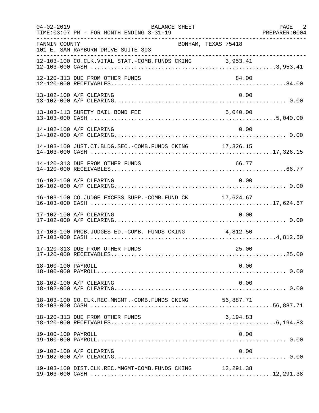| $04 - 02 - 2019$   | BALANCE SHEET<br>TIME: 03:07 PM - FOR MONTH ENDING 3-31-19 |                     | PAGE 2<br>PREPARER: 0004 |
|--------------------|------------------------------------------------------------|---------------------|--------------------------|
| FANNIN COUNTY      | 101 E. SAM RAYBURN DRIVE SUITE 303                         | BONHAM, TEXAS 75418 |                          |
|                    | 12-103-100 CO.CLK.VITAL STAT.-COMB.FUNDS CKING 3,953.41    |                     |                          |
|                    | 12-120-313 DUE FROM OTHER FUNDS                            | 84.00               |                          |
|                    | 13-102-100 A/P CLEARING                                    | 0.00                |                          |
|                    | 13-103-113 SURETY BAIL BOND FEE                            | 5,040.00            |                          |
|                    | 14-102-100 A/P CLEARING                                    | 0.00                |                          |
|                    | 14-103-100 JUST.CT.BLDG.SEC.-COMB.FUNDS CKING 17,326.15    |                     |                          |
|                    | 14-120-313 DUE FROM OTHER FUNDS                            | 66.77               |                          |
|                    | 16-102-100 A/P CLEARING                                    | 0.00                |                          |
|                    | 16-103-100 CO.JUDGE EXCESS SUPP.-COMB.FUND CK 17,624.67    |                     |                          |
|                    | 17-102-100 A/P CLEARING                                    | 0.00                |                          |
|                    | 17-103-100 PROB.JUDGES ED.-COMB. FUNDS CKING 4,812.50      |                     |                          |
|                    | 17-120-313 DUE FROM OTHER FUNDS                            | 25.00               |                          |
| 18-100-100 PAYROLL |                                                            | 0.00                |                          |
|                    | 18-102-100 A/P CLEARING                                    | 0.00                |                          |
|                    | 18-103-100 CO.CLK.REC.MNGMT.-COMB.FUNDS CKING              | 56,887.71           |                          |
|                    | 18-120-313 DUE FROM OTHER FUNDS                            | 6,194.83            |                          |
| 19-100-100 PAYROLL |                                                            | 0.00                |                          |
|                    | 19-102-100 A/P CLEARING                                    | 0.00                |                          |
|                    | 19-103-100 DIST.CLK.REC.MNGMT-COMB.FUNDS CKING 12,291.38   |                     |                          |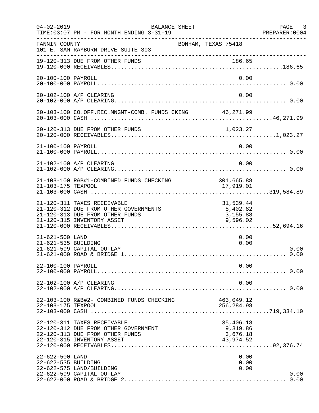| $04 - 02 - 2019$                       | BALANCE SHEET<br>TIME: 03:07 PM - FOR MONTH ENDING 3-31-19<br>. _ _ _ _ _ _ _ _ _ _ _ _ _ _ _ _ _                                     |                                                | PAGE 3<br>PREPARER: 0004 |
|----------------------------------------|---------------------------------------------------------------------------------------------------------------------------------------|------------------------------------------------|--------------------------|
| FANNIN COUNTY                          | BONHAM, TEXAS 75418<br>101 E. SAM RAYBURN DRIVE SUITE 303                                                                             |                                                |                          |
|                                        | 19-120-313 DUE FROM OTHER FUNDS                                                                                                       | 186.65                                         |                          |
| 20-100-100 PAYROLL                     |                                                                                                                                       | 0.00                                           |                          |
|                                        | 20-102-100 A/P CLEARING                                                                                                               | 0.00                                           |                          |
|                                        | 20-103-100 CO.OFF.REC.MNGMT-COMB. FUNDS CKING 46,271.99                                                                               |                                                |                          |
|                                        |                                                                                                                                       |                                                |                          |
| 21-100-100 PAYROLL                     |                                                                                                                                       | 0.00                                           |                          |
|                                        | 21-102-100 A/P CLEARING                                                                                                               | 0.00                                           |                          |
| 21-103-175 TEXPOOL                     | 21-103-100 R&B#1-COMBINED FUNDS CHECKING                                                                                              | 301,665.88<br>17,919.01                        |                          |
|                                        | 21-120-311 TAXES RECEIVABLE<br>21-120-312 DUE FROM OTHER GOVERNMENTS<br>21-120-313 DUE FROM OTHER FUNDS<br>21-120-315 INVENTORY ASSET | 31,539.44<br>8,402.82<br>3,155.88<br>9,596.02  |                          |
| 21-621-500 LAND<br>21-621-535 BUILDING | 21-621-599 CAPITAL OUTLAY                                                                                                             | 0.00<br>0.00                                   | 0.00<br>0.00             |
| 22-100-100 PAYROLL                     |                                                                                                                                       | 0.00                                           |                          |
|                                        | 22-102-100 A/P CLEARING                                                                                                               | 0.00                                           |                          |
| 22-103-175 TEXPOOL                     | 22-103-100 R&B#2- COMBINED FUNDS CHECKING                                                                                             | 463,049.12<br>256,284.98                       |                          |
|                                        | 22-120-311 TAXES RECEIVABLE<br>22-120-312 DUE FROM OTHER GOVERNMENT<br>22-120-313 DUE FROM OTHER FUNDS<br>22-120-315 INVENTORY ASSET  | 35,406.18<br>9,319.86<br>3,676.18<br>43,974.52 |                          |
| 22-622-500 LAND<br>22-622-535 BUILDING | 22-622-575 LAND/BUILDING<br>22-622-599 CAPITAL OUTLAY                                                                                 | 0.00<br>0.00<br>0.00                           | 0.00                     |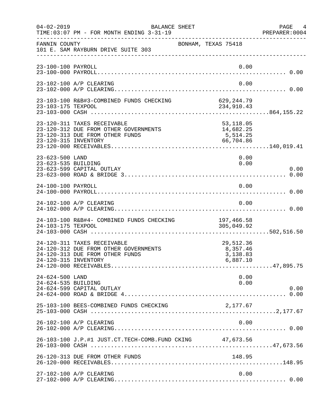| $04 - 02 - 2019$                       | BALANCE SHEET<br>TIME: 03:07 PM - FOR MONTH ENDING 3-31-19                                              |                                                 | PAGE 4<br>PREPARER:0004 |
|----------------------------------------|---------------------------------------------------------------------------------------------------------|-------------------------------------------------|-------------------------|
| FANNIN COUNTY                          | 101 E. SAM RAYBURN DRIVE SUITE 303                                                                      | BONHAM, TEXAS 75418                             |                         |
| 23-100-100 PAYROLL                     |                                                                                                         |                                                 | 0.00                    |
|                                        | 23-102-100 A/P CLEARING                                                                                 |                                                 | 0.00                    |
|                                        |                                                                                                         |                                                 |                         |
| 23-120-315 INVENTORY                   | 23-120-311 TAXES RECEIVABLE<br>23-120-312 DUE FROM OTHER GOVERNMENTS<br>23-120-313 DUE FROM OTHER FUNDS | 53,118.05<br>14,682.25<br>5,514.25<br>66,704.86 |                         |
| 23-623-500 LAND<br>23-623-535 BUILDING | 23-623-599 CAPITAL OUTLAY                                                                               |                                                 | 0.00<br>0.00<br>0.00    |
| 24-100-100 PAYROLL                     |                                                                                                         |                                                 | 0.00                    |
|                                        | 24-102-100 A/P CLEARING                                                                                 |                                                 | 0.00                    |
| 24-103-175 TEXPOOL                     | 24-103-100 R&B#4- COMBINED FUNDS CHECKING                                                               | 197,466.58<br>305,049.92                        |                         |
| 24-120-315 INVENTORY                   | 24-120-311 TAXES RECEIVABLE<br>24-120-312 DUE FROM OTHER GOVERNMENTS<br>24-120-313 DUE FROM OTHER FUNDS | 29,512.36<br>8,357.46<br>3,138.83<br>6,887.10   |                         |
| 24-624-500 LAND<br>24-624-535 BUILDING | 24-624-599 CAPITAL OUTLAY                                                                               |                                                 | 0.00<br>0.00<br>0.00    |
|                                        | 25-103-100 BEES-COMBINED FUNDS CHECKING                                                                 | 2,177.67                                        |                         |
|                                        | 26-102-100 A/P CLEARING                                                                                 |                                                 | 0.00                    |
|                                        | 26-103-100 J.P.#1 JUST.CT.TECH-COMB.FUND CKING 47,673.56                                                |                                                 |                         |
|                                        | 26-120-313 DUE FROM OTHER FUNDS                                                                         | 148.95                                          |                         |
|                                        | 27-102-100 A/P CLEARING                                                                                 |                                                 | 0.00                    |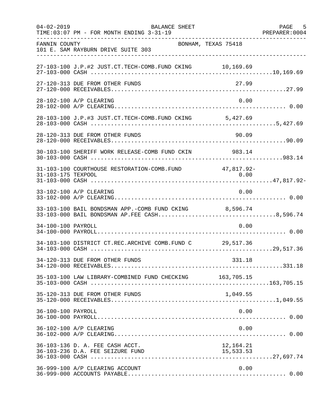| $04 - 02 - 2019$   | <b>BALANCE SHEET</b><br>TIME: 03:07 PM - FOR MONTH ENDING 3-31-19                                      |                          | PAGE<br>5<br>PREPARER: 0004 |
|--------------------|--------------------------------------------------------------------------------------------------------|--------------------------|-----------------------------|
| FANNIN COUNTY      | BONHAM, TEXAS 75418<br>101 E. SAM RAYBURN DRIVE SUITE 303                                              |                          |                             |
|                    | 27-103-100 J.P.#2 JUST.CT.TECH-COMB.FUND CKING 10,169.69                                               |                          |                             |
|                    | 27-120-313 DUE FROM OTHER FUNDS                                                                        | 27.99                    |                             |
|                    | 28-102-100 A/P CLEARING                                                                                | 0.00                     |                             |
|                    | 28-103-100 J.P.#3 JUST.CT.TECH-COMB.FUND CKING 5,427.69                                                |                          |                             |
|                    | 28-120-313 DUE FROM OTHER FUNDS                                                                        | 90.09                    |                             |
|                    | 30-103-100 SHERIFF WORK RELEASE-COMB FUND CKIN 983.14                                                  |                          |                             |
| 31-103-175 TEXPOOL | 31-103-100 COURTHOUSE RESTORATION-COMB. FUND 47,817.92-                                                | 0.00                     |                             |
|                    | 33-102-100 A/P CLEARING                                                                                | 0.00                     |                             |
|                    | 33-103-100 BAIL BONDSMAN APP.-COMB FUND CKING 8,596.74<br>33-103-000 BAIL BONDSMAN AP.FEE CASH8,596.74 |                          |                             |
| 34-100-100 PAYROLL |                                                                                                        | 0.00                     |                             |
|                    | 34-103-100 DISTRICT CT.REC.ARCHIVE COMB.FUND C 29,517.36                                               |                          |                             |
|                    | 34-120-313 DUE FROM OTHER FUNDS                                                                        | 331.18                   |                             |
|                    | 35-103-100 LAW LIBRARY-COMBINED FUND CHECKING 163,705.15                                               |                          |                             |
|                    | 35-120-313 DUE FROM OTHER FUNDS                                                                        | 1,049.55                 |                             |
| 36-100-100 PAYROLL |                                                                                                        | 0.00                     |                             |
|                    | 36-102-100 A/P CLEARING                                                                                | 0.00                     |                             |
|                    | 36-103-136 D. A. FEE CASH ACCT.                                                                        | $12,107.21$<br>15,533.53 |                             |
|                    | 36-999-100 A/P CLEARING ACCOUNT                                                                        | 0.00                     |                             |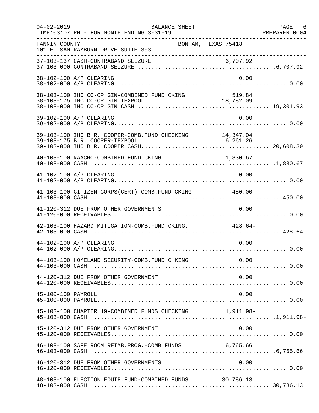| $04 - 02 - 2019$   | BALANCE SHEET                                                                               |           | PAGE 6 |
|--------------------|---------------------------------------------------------------------------------------------|-----------|--------|
| FANNIN COUNTY      | BONHAM, TEXAS 75418<br>101 E. SAM RAYBURN DRIVE SUITE 303                                   |           |        |
|                    |                                                                                             |           |        |
|                    | 38-102-100 A/P CLEARING                                                                     | 0.00      |        |
|                    |                                                                                             |           |        |
|                    | 39-102-100 A/P CLEARING                                                                     | 0.00      |        |
|                    | 39-103-100 IHC B.R. COOPER-COMB. FUND CHECKING 14, 347.04<br>39-103-175 B.R. COOPER-TEXPOOL | 6, 261.26 |        |
|                    | 40-103-100 NAACHO-COMBINED FUND CKING                                                       | 1,830.67  |        |
|                    | 41-102-100 A/P CLEARING                                                                     | 0.00      |        |
|                    | 41-103-100 CITIZEN CORPS(CERT)-COMB. FUND CKING 450.00                                      |           |        |
|                    | 41-120-312 DUE FROM OTHER GOVERNMENTS                                                       | 0.00      |        |
|                    | 42-103-100 HAZARD MITIGATION-COMB. FUND CKING. 428.64-                                      |           |        |
|                    | 44-102-100 A/P CLEARING                                                                     | 0.00      |        |
|                    | 44-103-100 HOMELAND SECURITY-COMB.FUND CHKING 0.00                                          |           |        |
|                    | 44-120-312 DUE FROM OTHER GOVERNMENT                                                        | 0.00      |        |
| 45-100-100 PAYROLL |                                                                                             | 0.00      |        |
|                    | 45-103-100 CHAPTER 19-COMBINED FUNDS CHECKING 1,911.98-                                     |           |        |
|                    | 45-120-312 DUE FROM OTHER GOVERNMENT                                                        | 0.00      |        |
|                    | 46-103-100 SAFE ROOM REIMB. PROG. - COMB. FUNDS 6,765.66                                    |           |        |
|                    | 46-120-312 DUE FROM OTHER GOVERNMENTS                                                       | 0.00      |        |
|                    | 48-103-100 ELECTION EQUIP. FUND-COMBINED FUNDS 30,786.13                                    |           |        |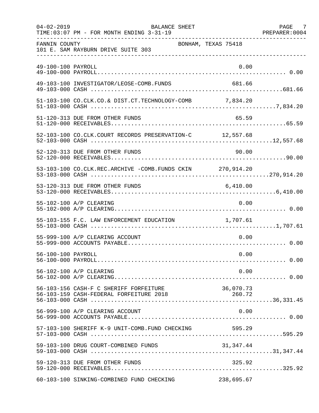| $04 - 02 - 2019$   | <b>BALANCE SHEET</b><br>TIME: 03:07 PM - FOR MONTH ENDING 3-31-19 |                     | PAGE 7 |
|--------------------|-------------------------------------------------------------------|---------------------|--------|
| FANNIN COUNTY      | 101 E. SAM RAYBURN DRIVE SUITE 303                                | BONHAM, TEXAS 75418 |        |
| 49-100-100 PAYROLL |                                                                   | 0.00                |        |
|                    | 49-103-100 INVESTIGATOR/LEOSE-COMB.FUNDS                          | 681.66              |        |
|                    | 51-103-100 CO.CLK.CO.& DIST.CT.TECHNOLOGY-COMB 7,834.20           |                     |        |
|                    | 51-120-313 DUE FROM OTHER FUNDS                                   | 65.59               |        |
|                    | 52-103-100 CO.CLK.COURT RECORDS PRESERVATION-C 12,557.68          |                     |        |
|                    | 52-120-313 DUE FROM OTHER FUNDS                                   | 90.00               |        |
|                    | 53-103-100 CO.CLK.REC.ARCHIVE -COMB.FUNDS CKIN 270,914.20         |                     |        |
|                    | 53-120-313 DUE FROM OTHER FUNDS                                   | 6,410.00            |        |
|                    | 55-102-100 A/P CLEARING                                           | 0.00                |        |
|                    | 55-103-155 F.C. LAW ENFORCEMENT EDUCATION 1,707.61                |                     |        |
|                    | 55-999-100 A/P CLEARING ACCOUNT                                   | 0.00                |        |
| 56-100-100 PAYROLL |                                                                   | 0.00                |        |
|                    | 56-102-100 A/P CLEARING                                           | 0.00                |        |
|                    | 56-103-156 CASH-F C SHERIFF FORFEITURE                            | 36,070.73           |        |
|                    | 56-999-100 A/P CLEARING ACCOUNT                                   | 0.00                |        |
|                    | 57-103-100 SHERIFF K-9 UNIT-COMB.FUND CHECKING                    | 595.29              |        |
|                    | 59-103-100 DRUG COURT-COMBINED FUNDS                              | 31,347.44           |        |
|                    | 59-120-313 DUE FROM OTHER FUNDS                                   | 325.92              |        |
|                    | 60-103-100 SINKING-COMBINED FUND CHECKING                         | 238,695.67          |        |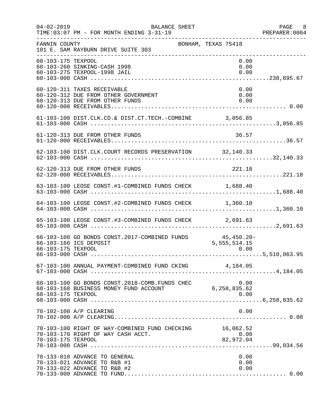| $04 - 02 - 2019$   | BALANCE SHEET<br>TIME: 03:07 PM - FOR MONTH ENDING 3-31-19                                             |                                | PAGE 8<br>PREPARER: 0004 |
|--------------------|--------------------------------------------------------------------------------------------------------|--------------------------------|--------------------------|
| FANNIN COUNTY      | BONHAM, TEXAS 75418<br>101 E. SAM RAYBURN DRIVE SUITE 303                                              |                                |                          |
| 60-103-175 TEXPOOL | 60-103-260 SINKING-CASH 1998<br>60-103-275 TEXPOOL-1998 JAIL                                           | 0.00<br>0.00<br>0.00           |                          |
|                    | 60-120-311 TAXES RECEIVABLE<br>60-120-312 DUE FROM OTHER GOVERNMENT<br>60-120-313 DUE FROM OTHER FUNDS | 0.00<br>0.00<br>0.00           |                          |
|                    | 61-103-100 DIST.CLK.CO.& DIST.CT.TECH.-COMBINE 3,056.85                                                |                                |                          |
|                    |                                                                                                        |                                |                          |
|                    | 62-103-100 DIST.CLK.COURT RECORDS PRESERVATION 32,140.33                                               |                                |                          |
|                    | 62-120-313 DUE FROM OTHER FUNDS                                                                        | 221.18                         |                          |
|                    | 63-103-100 LEOSE CONST.#1-COMBINED FUNDS CHECK 1,688.40                                                |                                |                          |
|                    | 64-103-100 LEOSE CONST.#2-COMBINED FUNDS CHECK 1,360.10                                                |                                |                          |
|                    | 65-103-100 LEOSE CONST.#3-COMBINED FUNDS CHECK 2,691.63                                                |                                |                          |
| 66-103-175 TEXPOOL | 66-103-100 GO BONDS CONST. 2017-COMBINED FUNDS 45,450.20-<br>66-103-166 ICS DEPOSIT                    | 5,555,514.15<br>0.00           |                          |
|                    | 67-103-100 ANNUAL PAYMENT-COMBINED FUND CKING 4,184.05                                                 |                                |                          |
| 68-103-175 TEXPOOL | 0.00 68-103-100 GO BONDS CONST.2018-COMB.FUNDS CHEC<br>6,258,835.62 6.258                              | 0.00                           |                          |
|                    | 70-102-100 A/P CLEARING                                                                                | 0.00                           |                          |
| 70-103-175 TEXPOOL | 70-103-100 RIGHT OF WAY-COMBINED FUND CHECKING<br>70-103-170 RIGHT OF WAY CASH ACCT.                   | 16,062.52<br>0.00<br>82,972.04 |                          |
|                    | 70-133-010 ADVANCE TO GENERAL<br>70-133-021 ADVANCE TO R&B #1<br>70-133-022 ADVANCE TO R&B #2          | 0.00<br>0.00<br>0.00           |                          |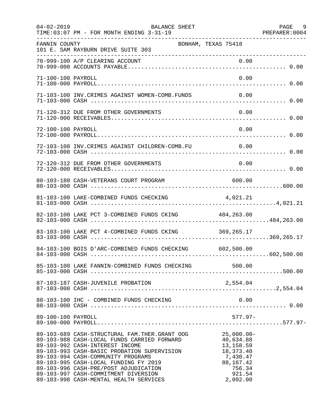| $04 - 02 - 2019$   | BALANCE SHEET<br>TIME: 03:07 PM - FOR MONTH ENDING 3-31-19                                                                                                                                                                                                                                                                                                                                 |                                                                                                                 | PAGE 9<br>PREPARER: 0004 |
|--------------------|--------------------------------------------------------------------------------------------------------------------------------------------------------------------------------------------------------------------------------------------------------------------------------------------------------------------------------------------------------------------------------------------|-----------------------------------------------------------------------------------------------------------------|--------------------------|
| FANNIN COUNTY      | BONHAM, TEXAS 75418<br>101 E. SAM RAYBURN DRIVE SUITE 303                                                                                                                                                                                                                                                                                                                                  |                                                                                                                 |                          |
|                    |                                                                                                                                                                                                                                                                                                                                                                                            |                                                                                                                 |                          |
| 71-100-100 PAYROLL |                                                                                                                                                                                                                                                                                                                                                                                            | 0.00                                                                                                            |                          |
|                    | 71-103-100 INV. CRIMES AGAINST WOMEN-COMB. FUNDS                                                                                                                                                                                                                                                                                                                                           | 0.00                                                                                                            |                          |
|                    | 71-120-312 DUE FROM OTHER GOVERNMENTS                                                                                                                                                                                                                                                                                                                                                      | 0.00                                                                                                            |                          |
| 72-100-100 PAYROLL |                                                                                                                                                                                                                                                                                                                                                                                            | 0.00                                                                                                            |                          |
|                    | 72-103-100 INV.CRIMES AGAINST CHILDREN-COMB.FU 0.00                                                                                                                                                                                                                                                                                                                                        |                                                                                                                 |                          |
|                    | 72-120-312 DUE FROM OTHER GOVERNMENTS                                                                                                                                                                                                                                                                                                                                                      | 0.00                                                                                                            |                          |
|                    | 80-103-180 CASH-VETERANS COURT PROGRAM                                                                                                                                                                                                                                                                                                                                                     | 600.00                                                                                                          |                          |
|                    | 81-103-100 LAKE-COMBINED FUNDS CHECKING                                                                                                                                                                                                                                                                                                                                                    | 4,021.21                                                                                                        |                          |
|                    | 82-103-100 LAKE PCT 3-COMBINED FUNDS CKING 484,263.00                                                                                                                                                                                                                                                                                                                                      |                                                                                                                 |                          |
|                    | 83-103-100 LAKE PCT 4-COMBINED FUNDS CKING 369,265.17                                                                                                                                                                                                                                                                                                                                      |                                                                                                                 |                          |
|                    | 84-103-100 BOIS D'ARC-COMBINED FUNDS CHECKING 602,500.00                                                                                                                                                                                                                                                                                                                                   |                                                                                                                 |                          |
|                    | 85-103-100 LAKE FANNIN-COMBINED FUNDS CHECKING 500.00                                                                                                                                                                                                                                                                                                                                      |                                                                                                                 |                          |
|                    | 87-103-187 CASH-JUVENILE PROBATION                                                                                                                                                                                                                                                                                                                                                         | 2,554.04                                                                                                        |                          |
|                    |                                                                                                                                                                                                                                                                                                                                                                                            |                                                                                                                 |                          |
| 89-100-100 PAYROLL |                                                                                                                                                                                                                                                                                                                                                                                            | $577.97 -$                                                                                                      |                          |
|                    | 89-103-689 CASH-STRUCTURAL FAM. THER. GRANT OOG<br>89-103-988 CASH-LOCAL FUNDS CARRIED FORWARD<br>89-103-992 CASH-INTEREST INCOME<br>89-103-993 CASH-BASIC PROBATION SUPERVISION<br>89-103-994 CASH-COMMUNITY PROGRAMS<br>89-103-995 CASH-LOCAL FUNDING FY 2019<br>89-103-996 CASH-PRE/POST ADJUDICATION<br>89-103-997 CASH-COMMITMENT DIVERSION<br>89-103-998 CASH-MENTAL HEALTH SERVICES | $25,000.00 -$<br>40,634.88<br>13,158.59<br>18, 373. 40<br>7,430.47<br>88,167.42<br>756.34<br>921.54<br>2,092.00 |                          |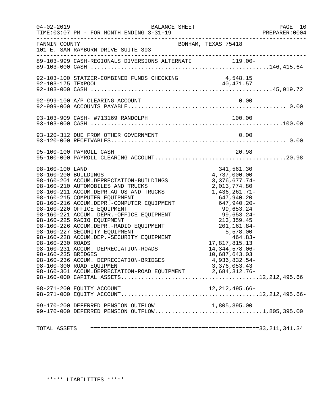|                                                                                   | $04 - 02 - 2019$<br>BALANCE SHEET<br>TIME: 03:07 PM - FOR MONTH ENDING 3-31-19                                                                                                                                                                                                                                                                                                                                                                                                                                                                                                                                                                     |                                                                                                                                                                                                                                                                                                         | PAGE 10<br>PREPARER:0004 |
|-----------------------------------------------------------------------------------|----------------------------------------------------------------------------------------------------------------------------------------------------------------------------------------------------------------------------------------------------------------------------------------------------------------------------------------------------------------------------------------------------------------------------------------------------------------------------------------------------------------------------------------------------------------------------------------------------------------------------------------------------|---------------------------------------------------------------------------------------------------------------------------------------------------------------------------------------------------------------------------------------------------------------------------------------------------------|--------------------------|
| FANNIN COUNTY                                                                     | 101 E. SAM RAYBURN DRIVE SUITE 303                                                                                                                                                                                                                                                                                                                                                                                                                                                                                                                                                                                                                 | BONHAM, TEXAS 75418                                                                                                                                                                                                                                                                                     |                          |
|                                                                                   |                                                                                                                                                                                                                                                                                                                                                                                                                                                                                                                                                                                                                                                    |                                                                                                                                                                                                                                                                                                         |                          |
|                                                                                   | 92-103-100 STATZER-COMBINED FUNDS CHECKING                                                                                                                                                                                                                                                                                                                                                                                                                                                                                                                                                                                                         | 4,548.15                                                                                                                                                                                                                                                                                                |                          |
|                                                                                   | 92-999-100 A/P CLEARING ACCOUNT                                                                                                                                                                                                                                                                                                                                                                                                                                                                                                                                                                                                                    | 0.00                                                                                                                                                                                                                                                                                                    |                          |
|                                                                                   |                                                                                                                                                                                                                                                                                                                                                                                                                                                                                                                                                                                                                                                    |                                                                                                                                                                                                                                                                                                         |                          |
|                                                                                   | 93-120-312 DUE FROM OTHER GOVERNMENT                                                                                                                                                                                                                                                                                                                                                                                                                                                                                                                                                                                                               | 0.00                                                                                                                                                                                                                                                                                                    |                          |
|                                                                                   | 95-100-100 PAYROLL CASH                                                                                                                                                                                                                                                                                                                                                                                                                                                                                                                                                                                                                            | 20.98                                                                                                                                                                                                                                                                                                   |                          |
| 98-160-100 LAND<br>98-160-200 BUILDINGS<br>98-160-230 ROADS<br>98-160-235 BRIDGES | 98-160-201 ACCUM.DEPRECIATION-BUILDINGS<br>98-160-210 AUTOMOBILES AND TRUCKS<br>98-160-211 ACCUM.DEPR.AUTOS AND TRUCKS<br>98-160-215 COMPUTER EQUIPMENT<br>98-160-215 COMPUTER EQUIPMENT<br>98-160-216 ACCUM.DEPR.-COMPUTER EQUIPMENT<br>98-160-220 OFFICE EQUIPMENT<br>98-160-221 ACCUM. DEPR.-OFFICE EQUIPMENT<br>98-160-225 RADIO EQUIPMENT<br>98-160-226 ACCUM.DEPR.-RADIO EQUIPMENT<br>98-160-227 SECURITY EQUIPMENT<br>98-160-228 ACCUM.DEP.-SECURITY EQUIPMENT<br>98-160-231 ACCUM. DEPRECIATION-ROADS<br>98-160-236 ACCUM. DEPRECIATION-BRIDGES<br>98-160-300 ROAD EQUIPMENT<br>98-160-301 ACCUM.DEPRECIATION-ROAD EQUIPMENT 2,684,312.76- | 341,561.30<br>4,737,000.00<br>3,376,677.74-<br>2,013,774.80<br>1,436,261.71-<br>647,940.20<br>$647,940.20 -$<br>99,653.24<br>99,653.24-<br>213, 359.45<br>$213,359.43$<br>201, 161.84-<br>5, 578.00<br>464.83-<br>17,817,815.13<br>14, 344, 578.06-<br>10,687,643.03<br>4,936,832.54-<br>3, 376, 053.43 |                          |
|                                                                                   |                                                                                                                                                                                                                                                                                                                                                                                                                                                                                                                                                                                                                                                    |                                                                                                                                                                                                                                                                                                         |                          |
|                                                                                   | 99-170-200 DEFERRED PENSION OUTFLOW<br>99-170-000 DEFERRED PENSION OUTFLOW1,805,395.00                                                                                                                                                                                                                                                                                                                                                                                                                                                                                                                                                             | 1,805,395.00                                                                                                                                                                                                                                                                                            |                          |
|                                                                                   |                                                                                                                                                                                                                                                                                                                                                                                                                                                                                                                                                                                                                                                    |                                                                                                                                                                                                                                                                                                         |                          |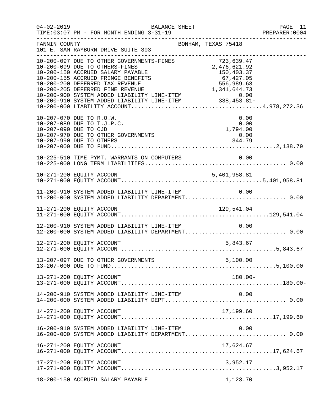| $04 - 02 - 2019$ | BALANCE SHEET                                                                                                                                                                                                                            | PAGE 11<br>PREPARER:0004 |
|------------------|------------------------------------------------------------------------------------------------------------------------------------------------------------------------------------------------------------------------------------------|--------------------------|
| FANNIN COUNTY    | BONHAM, TEXAS 75418<br>101 E. SAM RAYBURN DRIVE SUITE 303                                                                                                                                                                                | _______________________  |
|                  | 10-200-097 DUE TO OTHER GOVERNMENTS-FINES<br>10-200-097 DUE TO OTHER GOVERNMENTS-FINES<br>10-200-150 ACCRUED SALARY PAYABLE<br>10-200-155 ACCRUED FRINGE BENEFITS<br>10-200-155 ACCRUED FRINGE BENEFITS<br>10-200-200 DEFERRED TAX REVEN |                          |
|                  | 0.00<br>10-207-070 DUE TO R.O.W.<br>10-207-089 DUE TO T.J.P.C.<br>0.00<br>0.00<br>1,794.00<br>10-207-090 DUE TO CJD<br>10-207-970 DUE TO OTHER GOVERNMENTS<br>0.00<br>344.79<br>10-207-990 DUE TO OTHERS                                 |                          |
|                  | 10-225-510 TIME PYMT. WARRANTS ON COMPUTERS<br>0.00                                                                                                                                                                                      |                          |
|                  |                                                                                                                                                                                                                                          |                          |
|                  | 11-200-910 SYSTEM ADDED LIABILITY LINE-ITEM $0.00$<br>11-200-000 SYSTEM ADDED LIABILITY DEPARTMENT0.00                                                                                                                                   |                          |
|                  |                                                                                                                                                                                                                                          |                          |
|                  | 12-200-910 SYSTEM ADDED LIABILITY LINE-ITEM<br>0.00<br>12-200-000 SYSTEM ADDED LIABILITY DEPARTMENT 0.00                                                                                                                                 |                          |
|                  | 12-271-200 EQUITY ACCOUNT<br>5,843.67                                                                                                                                                                                                    |                          |
|                  |                                                                                                                                                                                                                                          |                          |
|                  | 13-271-200 EQUITY ACCOUNT<br>$180.00 -$                                                                                                                                                                                                  |                          |
|                  | 14-200-910 SYSTEM ADDED LIABILITY LINE-ITEM<br>0.00                                                                                                                                                                                      |                          |
|                  | 14-271-200 EQUITY ACCOUNT<br>17,199.60                                                                                                                                                                                                   |                          |
|                  | 16-200-910 SYSTEM ADDED LIABILITY LINE-ITEM<br>0.00<br>16-200-000 SYSTEM ADDED LIABILITY DEPARTMENT 0.00                                                                                                                                 |                          |
|                  | 16-271-200 EQUITY ACCOUNT<br>17,624.67                                                                                                                                                                                                   |                          |
|                  |                                                                                                                                                                                                                                          |                          |
|                  | 18-200-150 ACCRUED SALARY PAYABLE<br>1,123.70                                                                                                                                                                                            |                          |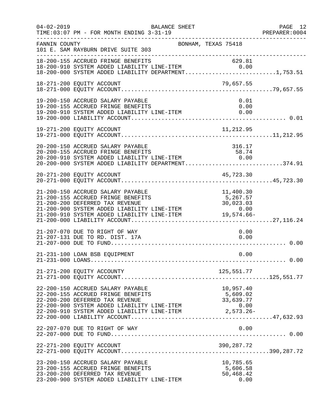| $04 - 02 - 2019$ | BALANCE SHEET<br>TIME: 03:07 PM - FOR MONTH ENDING 3-31-19                                                                                                                                                                                                              |                                                            | PAGE 12<br>PREPARER: 0004 |
|------------------|-------------------------------------------------------------------------------------------------------------------------------------------------------------------------------------------------------------------------------------------------------------------------|------------------------------------------------------------|---------------------------|
| FANNIN COUNTY    | BONHAM, TEXAS 75418<br>101 E. SAM RAYBURN DRIVE SUITE 303                                                                                                                                                                                                               |                                                            |                           |
|                  | 18-200-155 ACCRUED FRINGE BENEFITS<br>18-200-155 ACCRUED FRINGE BENEFITS 629.81<br>18-200-910 SYSTEM ADDED LIABILITY LINE-ITEM 0.00<br>18-200-000 SYSTEM ADDED LIABILITY DEPARTMENT1,753.51                                                                             | 629.81                                                     |                           |
|                  | 18-271-200 EQUITY ACCOUNT                                                                                                                                                                                                                                               | 79,657.55                                                  |                           |
|                  | 19-200-150 ACCRUED SALARY PAYABLE<br>19-200-155 ACCRUED FRINGE BENEFITS<br>19-200-910 SYSTEM ADDED LIABILITY LINE-ITEM 0.00                                                                                                                                             | 0.00                                                       | 0.01                      |
|                  | 19-271-200 EQUITY ACCOUNT                                                                                                                                                                                                                                               | 11,212.95                                                  |                           |
|                  | 20-200-150 ACCRUED SALARY PAYABLE<br>$20-200-155$ ACCRUED FRINGE BENEFITS 58.74<br>$20-200-910$ SYSTEM ADDED LIABILITY LINE-ITEM $0.00$<br>$20-200-000$ SYSTEM ADDED ITABILITY LINE-ITEM<br>$20-200-000$ SYSTEM ADDED LIABILITY DEPARTMENT374.91                        | 316.17                                                     |                           |
|                  | 45,723.30<br>20-271-200 EQUITY ACCOUNT                                                                                                                                                                                                                                  |                                                            |                           |
|                  | 21-200-150 ACCRUED SALARY PAYABLE<br>21-200-155 ACCRUED FRINGE BENEFITS<br>21-200-200 DEFERRED TAX REVENUE<br>21-200-900 SYSTEM ADDED LIABILITY LINE-ITEM<br>0.00 0 0 5YSTEM ADDED LIABILITY LINE-ITEM 0 0.00<br>21-200-910 SYSTEM ADDED LIABILITY LINE-ITEM 19,574.66- | 11,400.30<br>5,267.57<br>30,023.03                         |                           |
|                  | 21-207-070 DUE TO RIGHT OF WAY<br>21-207-131 DUE TO RD. DIST. 17A                                                                                                                                                                                                       | 0.00                                                       | 0.00                      |
|                  | 21-231-100 LOAN BSB EQUIPMENT                                                                                                                                                                                                                                           |                                                            | 0.00                      |
|                  | 21-271-200 EQUITY ACCOUNTY                                                                                                                                                                                                                                              | 125,551.77                                                 |                           |
|                  | 22-200-150 ACCRUED SALARY PAYABLE<br>22-200-155 ACCRUED FRINGE BENEFITS<br>22-200-200 DEFERRED TAX REVENUE<br>22-200-900 SYSTEM ADDED LIABILITY LINE-ITEM<br>22-200-910 SYSTEM ADDED LIABILITY LINE-ITEM                                                                | 10,957.40<br>5,609.02<br>33,639.77<br>0.00<br>$2,573.26 -$ |                           |
|                  | 22-207-070 DUE TO RIGHT OF WAY                                                                                                                                                                                                                                          |                                                            | 0.00                      |
|                  | 22-271-200 EQUITY ACCOUNT                                                                                                                                                                                                                                               | 390,287.72                                                 |                           |
|                  | 23-200-150 ACCRUED SALARY PAYABLE<br>23-200-155 ACCRUED FRINGE BENEFITS<br>23-200-200 DEFERRED TAX REVENUE<br>23-200-900 SYSTEM ADDED LIABILITY LINE-ITEM                                                                                                               | 10,785.65<br>5,606.58<br>50,468.42                         | 0.00                      |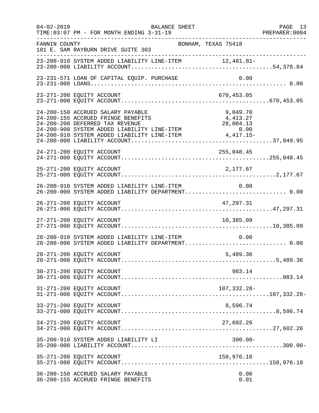| $04 - 02 - 2019$ | BALANCE SHEET<br>TIME: 03:07 PM - FOR MONTH ENDING 3-31-19                                               | PAGE 13<br>PREPARER:0004 |
|------------------|----------------------------------------------------------------------------------------------------------|--------------------------|
| FANNIN COUNTY    | BONHAM, TEXAS 75418<br>101 E. SAM RAYBURN DRIVE SUITE 303                                                |                          |
|                  | 23-200-910 SYSTEM ADDED LIABILITY LINE-ITEM 12,481.81-                                                   |                          |
|                  | 23-231-571 LOAN OF CAPITAL EQUIP. PURCHASE<br>0.00                                                       |                          |
|                  | 23-271-200 EQUITY ACCOUNT<br>670,453.05                                                                  |                          |
|                  | 24-200-150 ACCRUED SALARY PAYABLE<br>9,049.70<br>24-200-155 ACCRUED FRINGE BENEFITS<br>4,413.27          |                          |
|                  |                                                                                                          |                          |
|                  | 25-271-200 EQUITY ACCOUNT<br>2,177.67                                                                    |                          |
|                  | 26-200-910 SYSTEM ADDED LIABILITY LINE-ITEM 0.00<br>26-200-000 SYSTEM ADDED LIABILITY DEPARTMENT 0.00    |                          |
|                  | 26-271-200 EQUITY ACCOUNT<br>47,297.31                                                                   |                          |
|                  | 27-271-200 EQUITY ACCOUNT<br>10,385.09                                                                   |                          |
|                  | 28-200-910 SYSTEM ADDED LIABILITY LINE-ITEM<br>0.00<br>28-200-000 SYSTEM ADDED LIABILITY DEPARTMENT 0.00 |                          |
|                  | 28-271-200 EQUITY ACCOUNT<br>5,489.36                                                                    |                          |
|                  | 30-271-200 EQUITY ACCOUNT<br>983.14                                                                      |                          |
|                  | 31-271-200 EQUITY ACCOUNT<br>107,332.28-                                                                 |                          |
|                  | 33-271-200 EQUITY ACCOUNT<br>8,596.74                                                                    |                          |
|                  | 27,602.26<br>34-271-200 EQUITY ACCOUNT                                                                   |                          |
|                  | $300.00 -$<br>35-200-910 SYSTEM ADDED LIABILITY LI                                                       |                          |
|                  | 35-271-200 EQUITY ACCOUNT<br>158,976.18                                                                  |                          |
|                  | 36-200-150 ACCRUED SALARY PAYABLE<br>0.00<br>36-200-155 ACCRUED FRINGE BENEFITS<br>0.01                  |                          |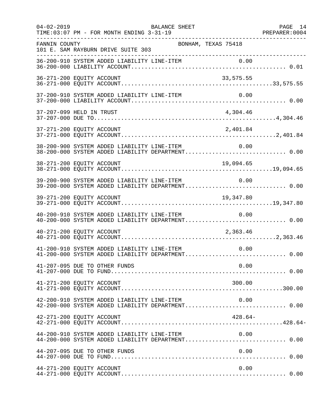| $04 - 02 - 2019$ | TIME: 03:07 PM - FOR MONTH ENDING 3-31-19                                                             | BALANCE SHEET       |           | PAGE 14<br>PREPARER: 0004 |
|------------------|-------------------------------------------------------------------------------------------------------|---------------------|-----------|---------------------------|
| FANNIN COUNTY    | 101 E. SAM RAYBURN DRIVE SUITE 303                                                                    | BONHAM, TEXAS 75418 |           |                           |
|                  |                                                                                                       |                     |           |                           |
|                  | 36-271-200 EQUITY ACCOUNT                                                                             |                     | 33,575.55 |                           |
|                  | 37-200-910 SYSTEM ADDED LIABILITY LINE-ITEM                                                           |                     | 0.00      |                           |
|                  | 37-207-099 HELD IN TRUST                                                                              |                     | 4,304.46  |                           |
|                  | 37-271-200 EQUITY ACCOUNT                                                                             |                     | 2,401.84  |                           |
|                  | 38-200-900 SYSTEM ADDED LIABILITY LINE-ITEM 0.00<br>38-200-000 SYSTEM ADDED LIABILITY DEPARTMENT 0.00 |                     |           |                           |
|                  | 38-271-200 EQUITY ACCOUNT                                                                             |                     | 19,094.65 |                           |
|                  | 39-200-900 SYSTEM ADDED LIABILITY LINE-ITEM<br>39-200-000 SYSTEM ADDED LIABILITY DEPARTMENT 0.00      |                     | 0.00      |                           |
|                  | 39-271-200 EQUITY ACCOUNT                                                                             |                     | 19,347.80 |                           |
|                  | 40-200-910 SYSTEM ADDED LIABILITY LINE-ITEM<br>40-200-000 SYSTEM ADDED LIABILITY DEPARTMENT 0.00      |                     | 0.00      |                           |
|                  | 40-271-200 EQUITY ACCOUNT                                                                             |                     | 2,363.46  |                           |
|                  | 41-200-910 SYSTEM ADDED LIABILITY LINE-ITEM<br>41-200-000 SYSTEM ADDED LIABILITY DEPARTMENT 0.00      |                     | 0.00      |                           |
|                  | 41-207-095 DUE TO OTHER FUNDS                                                                         |                     | 0.00      |                           |
|                  | 41-271-200 EQUITY ACCOUNT                                                                             |                     | 300.00    |                           |
|                  | 42-200-910 SYSTEM ADDED LIABILITY LINE-ITEM                                                           |                     | 0.00      |                           |
|                  | 42-271-200 EQUITY ACCOUNT                                                                             |                     | $428.64-$ |                           |
|                  | 44-200-910 SYSTEM ADDED LIABILITY LINE-ITEM<br>44-200-000 SYSTEM ADDED LIABILITY DEPARTMENT 0.00      |                     | 0.00      |                           |
|                  | 44-207-095 DUE TO OTHER FUNDS                                                                         |                     | 0.00      |                           |
|                  | 44-271-200 EQUITY ACCOUNT                                                                             |                     | 0.00      |                           |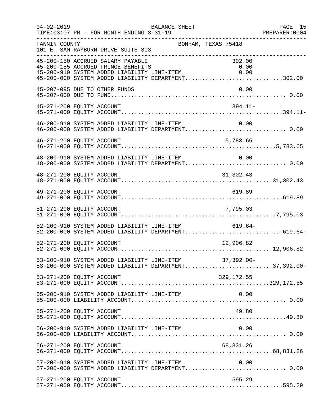| $04 - 02 - 2019$ | TIME: 03:07 PM - FOR MONTH ENDING 3-31-19                               | BALANCE SHEET                                                                                                            | PAGE 15 |
|------------------|-------------------------------------------------------------------------|--------------------------------------------------------------------------------------------------------------------------|---------|
| FANNIN COUNTY    | 101 E. SAM RAYBURN DRIVE SUITE 303                                      | BONHAM, TEXAS 75418                                                                                                      |         |
|                  | 45-200-150 ACCRUED SALARY PAYABLE<br>45-200-155 ACCRUED FRINGE BENEFITS | 302.00<br>0.00<br>45-200-910 SYSTEM ADDED LIABILITY LINE-ITEM 0.00<br>45-200-000 SYSTEM ADDED LIABILITY DEPARTMENT302.00 |         |
|                  | 45-207-095 DUE TO OTHER FUNDS                                           | 0.00                                                                                                                     |         |
|                  | 45-271-200 EQUITY ACCOUNT                                               | $394.11-$                                                                                                                |         |
|                  |                                                                         | $46-200-910$ SYSTEM ADDED LIABILITY LINE-ITEM $0.00$<br>$46-200-000$ SYSTEM ADDED LIABILITY DEPARTMENT0.00               |         |
|                  | 46-271-200 EQUITY ACCOUNT                                               | 5,783.65                                                                                                                 |         |
|                  | 48-200-910 SYSTEM ADDED LIABILITY LINE-ITEM                             | 0.00<br>48-200-000 SYSTEM ADDED LIABILITY DEPARTMENT 0.00                                                                |         |
|                  | 48-271-200 EQUITY ACCOUNT                                               | 31,302.43                                                                                                                |         |
|                  |                                                                         |                                                                                                                          |         |
|                  |                                                                         |                                                                                                                          |         |
|                  |                                                                         | 52-200-910 SYSTEM ADDED LIABILITY LINE-ITEM 619.64-<br>52-200-000 SYSTEM ADDED LIABILITY DEPARTMENT619.64-               |         |
|                  | 52-271-200 EQUITY ACCOUNT                                               | 12,906.82                                                                                                                |         |
|                  |                                                                         | 53-200-910 SYSTEM ADDED LIABILITY LINE-ITEM 37,392.00-<br>53-200-000 SYSTEM ADDED LIABILITY DEPARTMENT37,392.00-         |         |
|                  | 53-271-200 EQUITY ACCOUNT                                               | 329,172.55                                                                                                               |         |
|                  | 55-200-910 SYSTEM ADDED LIABILITY LINE-ITEM                             | 0.00                                                                                                                     |         |
|                  | 55-271-200 EQUITY ACCOUNT                                               | 49.80                                                                                                                    |         |
|                  |                                                                         | 56-200-910 SYSTEM ADDED LIABILITY LINE-ITEM<br>0.00                                                                      |         |
|                  | 56-271-200 EQUITY ACCOUNT                                               | 68,831.26                                                                                                                |         |
|                  | 57-200-910 SYSTEM ADDED LIABILITY LINE-ITEM                             | 0.00                                                                                                                     |         |
|                  | 57-271-200 EQUITY ACCOUNT                                               | 595.29                                                                                                                   |         |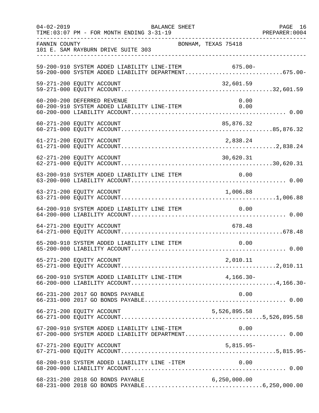| $04 - 02 - 2019$ | TIME: 03:07 PM - FOR MONTH ENDING 3-31-19                                                                  | BALANCE SHEET       |                | PAGE 16<br>PREPARER: 0004 |
|------------------|------------------------------------------------------------------------------------------------------------|---------------------|----------------|---------------------------|
| FANNIN COUNTY    | 101 E. SAM RAYBURN DRIVE SUITE 303                                                                         | BONHAM, TEXAS 75418 |                |                           |
|                  | 59-200-910 SYSTEM ADDED LIABILITY LINE-ITEM 675.00-<br>59-200-000 SYSTEM ADDED LIABILITY DEPARTMENT675.00- |                     |                |                           |
|                  | 59-271-200 EQUITY ACCOUNT                                                                                  |                     | 32,601.59      |                           |
|                  | 60-200-200 DEFERRED REVENUE<br>60-200-910 SYSTEM ADDED LIABILITY LINE-ITEM                                 |                     | 0.00<br>0.00   |                           |
|                  | 60-271-200 EQUITY ACCOUNT                                                                                  |                     | 85,876.32      |                           |
|                  | 61-271-200 EQUITY ACCOUNT                                                                                  |                     | 2,838.24       |                           |
|                  | 62-271-200 EQUITY ACCOUNT                                                                                  |                     | 30,620.31      |                           |
|                  | 63-200-910 SYSTEM ADDED LIABILITY LINE ITEM 0.00                                                           |                     |                |                           |
|                  | 63-271-200 EQUITY ACCOUNT                                                                                  |                     | 1,006.88       |                           |
|                  | 64-200-910 SYSTEM ADDED LIABILITY LINE ITEM                                                                |                     | 0.00           |                           |
|                  | 64-271-200 EQUITY ACCOUNT                                                                                  |                     | 678.48         |                           |
|                  | 65-200-910 SYSTEM ADDED LIABILITY LINE ITEM                                                                |                     | 0.00           |                           |
|                  |                                                                                                            |                     |                |                           |
|                  |                                                                                                            |                     |                |                           |
|                  | 66-231-200 2017 GO BONDS PAYABLE                                                                           |                     | 0.00           |                           |
|                  | 66-271-200 EQUITY ACCOUNT                                                                                  |                     | 5,526,895.58   |                           |
|                  | 67-200-910 SYSTEM ADDED LIABILITY LINE-ITEM 0.00<br>67-200-000 SYSTEM ADDED LIABILITY DEPARTMENT 0.00      |                     |                |                           |
|                  | 67-271-200 EQUITY ACCOUNT                                                                                  |                     | $5,815.95-$    |                           |
|                  | 68-200-910 SYSTEM ADDED LIABILITY LINE -ITEM                                                               |                     | 0.00           |                           |
|                  | 68-231-200 2018 GO BONDS PAYABLE                                                                           |                     | 6, 250, 000.00 |                           |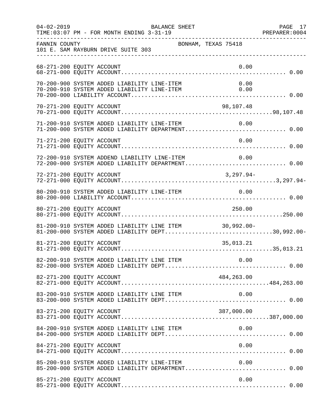| $04 - 02 - 2019$          | BALANCE SHEET                                                                                              |                     | PAGE 17 |
|---------------------------|------------------------------------------------------------------------------------------------------------|---------------------|---------|
| FANNIN COUNTY             | 101 E. SAM RAYBURN DRIVE SUITE 303<br>-----------------------------                                        | BONHAM, TEXAS 75418 |         |
| 68-271-200 EQUITY ACCOUNT |                                                                                                            | 0.00                |         |
|                           | 70-200-900 SYSTEM ADDED LIABILITY LINE-ITEM<br>70-200-910 SYSTEM ADDED LIABILITY LINE-ITEM                 | 0.00<br>0.00        |         |
| 70-271-200 EQUITY ACCOUNT |                                                                                                            | 98,107.48           |         |
|                           | 71-200-910 SYSTEM ADDED LIABILITY LINE-ITEM 0.00<br>71-200-000 SYSTEM ADDED LIABILITY DEPARTMENT 0.00      | 0.00                |         |
| 71-271-200 EQUITY ACCOUNT |                                                                                                            | 0.00                |         |
|                           | 72-200-910 SYSTEM ADDEND LIABILITY LINE-ITEM<br>72-200-000 SYSTEM ADDED LIABILITY DEPARTMENT 0.00          | 0.00                |         |
| 72-271-200 EQUITY ACCOUNT |                                                                                                            | $3,297.94-$         |         |
|                           |                                                                                                            |                     |         |
| 80-271-200 EQUITY ACCOUNT |                                                                                                            | 250.00              |         |
|                           | 81-200-910 SYSTEM ADDED LIABILITY LINE ITEM 30,992.00-<br>81-200-000 SYSTEM ADDED LIABILITY DEPT30,992.00- |                     |         |
| 81-271-200 EQUITY ACCOUNT |                                                                                                            | 35,013.21           |         |
|                           |                                                                                                            |                     |         |
| 82-271-200 EQUITY ACCOUNT |                                                                                                            | 484,263.00          |         |
|                           | 83-200-910 SYSTEM ADDED LIABILITY LINE ITEM                                                                | 0.00                |         |
| 83-271-200 EQUITY ACCOUNT |                                                                                                            | 387,000.00          |         |
|                           | 84-200-910 SYSTEM ADDED LIABILITY LINE ITEM                                                                | 0.00                |         |
| 84-271-200 EQUITY ACCOUNT |                                                                                                            | 0.00                |         |
|                           | 85-200-910 SYSTEM ADDED LIABILITY LINE-ITEM                                                                | 0.00                |         |
| 85-271-200 EQUITY ACCOUNT |                                                                                                            | 0.00                |         |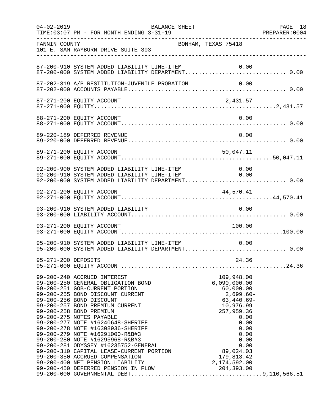| $04 - 02 - 2019$ | BALANCE SHEET<br>TIME: 03:07 PM - FOR MONTH ENDING 3-31-19                                                                                                                                                                                                                                                                                                                                                                                                                                           |                                                                                                         | PAGE 18 |
|------------------|------------------------------------------------------------------------------------------------------------------------------------------------------------------------------------------------------------------------------------------------------------------------------------------------------------------------------------------------------------------------------------------------------------------------------------------------------------------------------------------------------|---------------------------------------------------------------------------------------------------------|---------|
| FANNIN COUNTY    | BONHAM, TEXAS 75418<br>101 E. SAM RAYBURN DRIVE SUITE 303                                                                                                                                                                                                                                                                                                                                                                                                                                            |                                                                                                         |         |
|                  | 87-200-910 SYSTEM ADDED LIABILITY LINE-ITEM                                                                                                                                                                                                                                                                                                                                                                                                                                                          | 0.00                                                                                                    |         |
|                  |                                                                                                                                                                                                                                                                                                                                                                                                                                                                                                      |                                                                                                         |         |
|                  |                                                                                                                                                                                                                                                                                                                                                                                                                                                                                                      |                                                                                                         |         |
|                  | 88-271-200 EQUITY ACCOUNT                                                                                                                                                                                                                                                                                                                                                                                                                                                                            | 0.00                                                                                                    |         |
|                  | 89-220-189 DEFERRED REVENUE                                                                                                                                                                                                                                                                                                                                                                                                                                                                          | 0.00                                                                                                    |         |
|                  | 89-271-200 EQUITY ACCOUNT                                                                                                                                                                                                                                                                                                                                                                                                                                                                            | 50,047.11                                                                                               |         |
|                  | 92-200-900 SYSTEM ADDED LIABILITY LINE-ITEM 0.00<br>92-200-910 SYSTEM ADDED LIABILITY LINE-ITEM 0.00<br>92-200-000 SYSTEM ADDED LIABILITY DEPARTMENT 0.00                                                                                                                                                                                                                                                                                                                                            |                                                                                                         |         |
|                  | 92-271-200 EQUITY ACCOUNT                                                                                                                                                                                                                                                                                                                                                                                                                                                                            | 44,570.41                                                                                               |         |
|                  | 93-200-910 SYSTEM ADDED LIABILITY                                                                                                                                                                                                                                                                                                                                                                                                                                                                    | 0.00                                                                                                    |         |
|                  | 93-271-200 EQUITY ACCOUNT                                                                                                                                                                                                                                                                                                                                                                                                                                                                            | 100.00                                                                                                  |         |
|                  | 95-200-910 SYSTEM ADDED LIABILITY LINE-ITEM<br>95-200-000 SYSTEM ADDED LIABILITY DEPARTMENT 0.00                                                                                                                                                                                                                                                                                                                                                                                                     | 0.00                                                                                                    |         |
|                  |                                                                                                                                                                                                                                                                                                                                                                                                                                                                                                      |                                                                                                         |         |
|                  | 99-200-250 GENERAL OBLIGATION BOND<br>99-200-250 GENERAL OBLIGATION BOND<br>99-200-251 GOB-CURRENT PORTION<br>99-200-255 BOND DISCOUNT CURRENT<br>99-200-256 BOND DISCOUNT<br>99-200-257 BOND PREMIUM CURRENT<br>99-200-258 BOND PREMIUM<br>99-200-<br>99-200-275 NOTES PAYABLE<br>99-200-275 NOTES PAYABLE<br>99-200-277 NOTE #16240648-SHERIFF<br>99-200-279 NOTE #16308936-SHERIFF<br>99-200-279 NOTE #16398936-SHERIFF<br>99-200-280 NOTE #1629100-R&B#3<br>99-200-280 NOTE #162915968-R&B#3<br> | 109,948.00<br>6,090,000.00<br>60,000.00<br>2,699.60-<br>$63,440.69-$<br>10,976.99<br>257,959.36<br>0.00 |         |